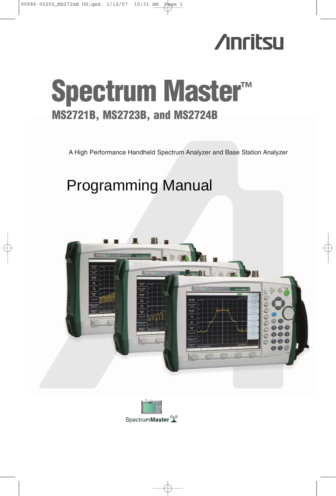

# **Spectrum Master™ MS2721B, MS2723B, and MS2724B**

A High Performance Handheld Spectrum Analyzer and Base Station Analyzer

# Programming Manual



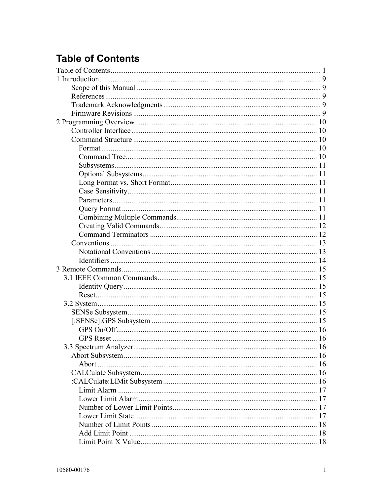# **Table of Contents**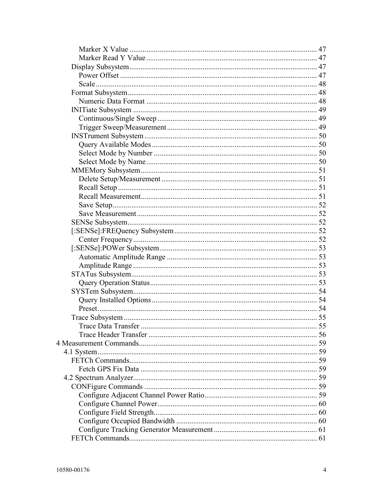| 61 |
|----|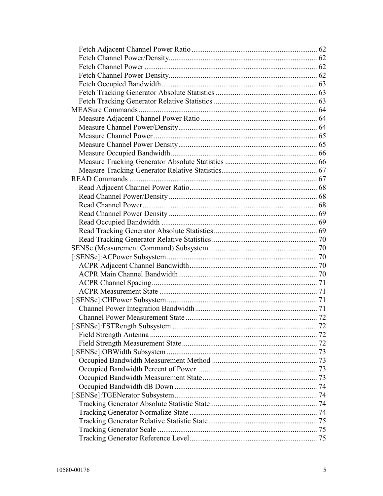| .72 |
|-----|
|     |
|     |
|     |
|     |
|     |
|     |
|     |
|     |
|     |
|     |
|     |
|     |
|     |
|     |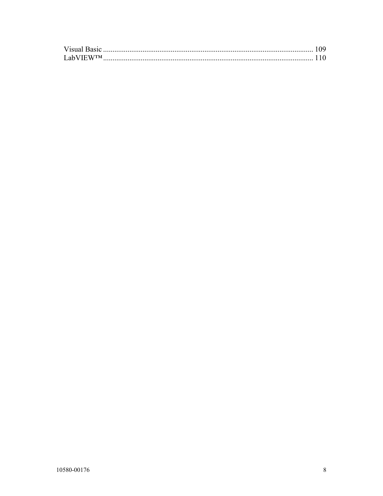| <b>LabVIEWTM</b> |  |
|------------------|--|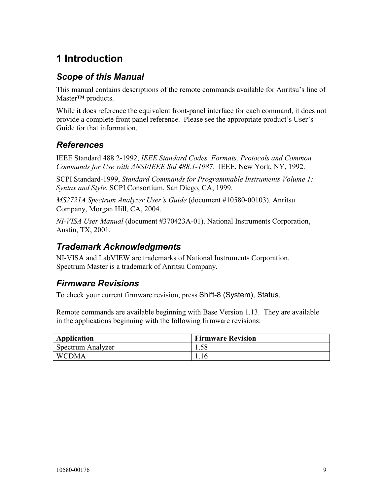# **1 Introduction**

# *Scope of this Manual*

This manual contains descriptions of the remote commands available for Anritsu's line of Master™ products.

While it does reference the equivalent front-panel interface for each command, it does not provide a complete front panel reference. Please see the appropriate product's User's Guide for that information.

# *References*

IEEE Standard 488.2-1992, *IEEE Standard Codes, Formats, Protocols and Common Commands for Use with ANSI/IEEE Std 488.1-1987*. IEEE, New York, NY, 1992.

SCPI Standard-1999, *Standard Commands for Programmable Instruments Volume 1: Syntax and Style*. SCPI Consortium, San Diego, CA, 1999.

*MS2721A Spectrum Analyzer User's Guide* (document #10580-00103). Anritsu Company, Morgan Hill, CA, 2004.

*NI-VISA User Manual* (document #370423A-01). National Instruments Corporation, Austin, TX, 2001.

# *Trademark Acknowledgments*

NI-VISA and LabVIEW are trademarks of National Instruments Corporation. Spectrum Master is a trademark of Anritsu Company.

# *Firmware Revisions*

To check your current firmware revision, press Shift-8 (System), Status.

Remote commands are available beginning with Base Version 1.13. They are available in the applications beginning with the following firmware revisions:

| Application       | <b>Firmware Revision</b> |
|-------------------|--------------------------|
| Spectrum Analyzer |                          |
| <b>WCDMA</b>      |                          |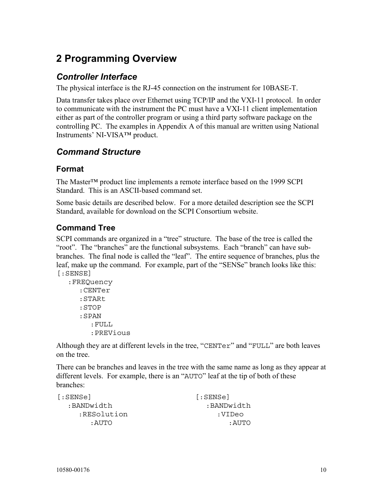# **2 Programming Overview**

# *Controller Interface*

The physical interface is the RJ-45 connection on the instrument for 10BASE-T.

Data transfer takes place over Ethernet using TCP/IP and the VXI-11 protocol. In order to communicate with the instrument the PC must have a VXI-11 client implementation either as part of the controller program or using a third party software package on the controlling PC. The examples in Appendix A of this manual are written using National Instruments' NI-VISA™ product.

# *Command Structure*

# **Format**

The Master™ product line implements a remote interface based on the 1999 SCPI Standard. This is an ASCII-based command set.

Some basic details are described below. For a more detailed description see the SCPI Standard, available for download on the SCPI Consortium website.

# **Command Tree**

SCPI commands are organized in a "tree" structure. The base of the tree is called the "root". The "branches" are the functional subsystems. Each "branch" can have subbranches. The final node is called the "leaf". The entire sequence of branches, plus the leaf, make up the command. For example, part of the "SENSe" branch looks like this: [:SENSE]

```
:FREQuency 
  :CENTer 
  :STARt 
   :STOP 
   :SPAN 
      :FULL 
      :PREVious
```
Although they are at different levels in the tree, "CENTer" and "FULL" are both leaves on the tree.

There can be branches and leaves in the tree with the same name as long as they appear at different levels. For example, there is an "AUTO" leaf at the tip of both of these branches:

| [:SENSe]    | [:SENSe]   |
|-------------|------------|
| :BANDwidth  | :BANDwidth |
| :RESolution | :VIDeo     |
| : AUTO      | : AUTO     |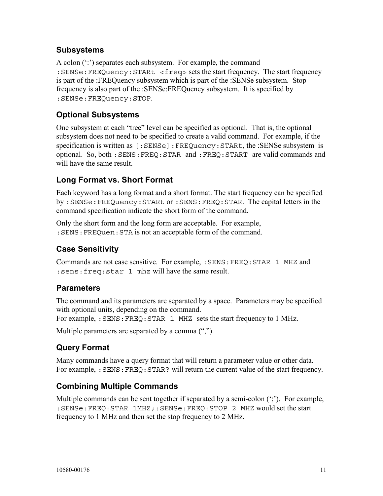## **Subsystems**

A colon (":") separates each subsystem. For example, the command :SENSe:FREQuency:STARt <freq> sets the start frequency. The start frequency is part of the :FREQuency subsystem which is part of the :SENSe subsystem. Stop frequency is also part of the :SENSe:FREQuency subsystem. It is specified by :SENSe:FREQuency:STOP.

# **Optional Subsystems**

One subsystem at each "tree" level can be specified as optional. That is, the optional subsystem does not need to be specified to create a valid command. For example, if the specification is written as [:SENSe]:FREQuency:STARt, the :SENSe subsystem is optional. So, both :SENS:FREQ:STAR and :FREQ:START are valid commands and will have the same result.

# **Long Format vs. Short Format**

Each keyword has a long format and a short format. The start frequency can be specified by :SENSe:FREQuency:STARt or :SENS:FREQ:STAR. The capital letters in the command specification indicate the short form of the command.

Only the short form and the long form are acceptable. For example, :SENS:FREQuen:STA is not an acceptable form of the command.

## **Case Sensitivity**

Commands are not case sensitive. For example, :SENS:FREQ:STAR 1 MHZ and :sens:freq:star 1 mhz will have the same result.

#### **Parameters**

The command and its parameters are separated by a space. Parameters may be specified with optional units, depending on the command.

For example, : SENS: FREQ: STAR 1 MHZ sets the start frequency to 1 MHz.

Multiple parameters are separated by a comma  $(\lq\lq$ .

# **Query Format**

Many commands have a query format that will return a parameter value or other data. For example, : SENS: FREQ: STAR? will return the current value of the start frequency.

## **Combining Multiple Commands**

Multiple commands can be sent together if separated by a semi-colon (";"). For example, :SENSe:FREQ:STAR 1MHZ;:SENSe:FREQ:STOP 2 MHZ would set the start frequency to 1 MHz and then set the stop frequency to 2 MHz.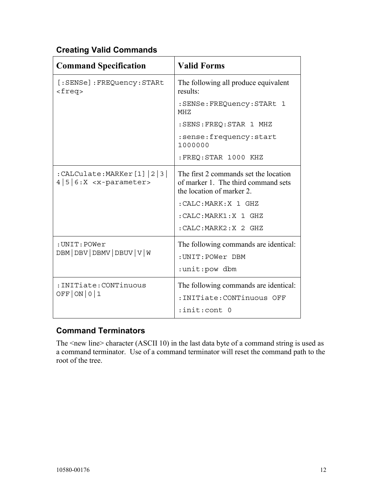# **Creating Valid Commands**

| <b>Command Specification</b>                                  | <b>Valid Forms</b>                                                                                        |
|---------------------------------------------------------------|-----------------------------------------------------------------------------------------------------------|
| [:SENSe]:FREQuency:STARt<br>$<$ freq>                         | The following all produce equivalent<br>results:                                                          |
|                                                               | :SENSe: FREQuency: STARt 1<br>MHZ                                                                         |
|                                                               | : SENS: FREQ: STAR 1 MHZ                                                                                  |
|                                                               | :sense:frequency:start<br>1000000                                                                         |
|                                                               | :FREQ:STAR 1000 KHZ                                                                                       |
| $:$ CALCulate:MARKer $[1]  2 3 $<br>$4 5 6:X < x$ -parameter> | The first 2 commands set the location<br>of marker 1. The third command sets<br>the location of marker 2. |
|                                                               | : CALC: MARK: X 1 GHZ                                                                                     |
|                                                               | : CALC: MARK1:X 1 GHZ                                                                                     |
|                                                               | : CALC: MARK2: X 2 GHZ                                                                                    |
| : UNIT: POWer<br>DBM   DBV   DBMV   DBUV   V   W              | The following commands are identical:<br>: UNIT: POWer DBM<br>:unit:pow dbm                               |
| : INITiate: CONTinuous<br>OFF  ON 0 1                         | The following commands are identical:<br>: INITiate: CONTinuous OFF<br>:init:cont 0                       |

# **Command Terminators**

The <new line> character (ASCII 10) in the last data byte of a command string is used as a command terminator. Use of a command terminator will reset the command path to the root of the tree.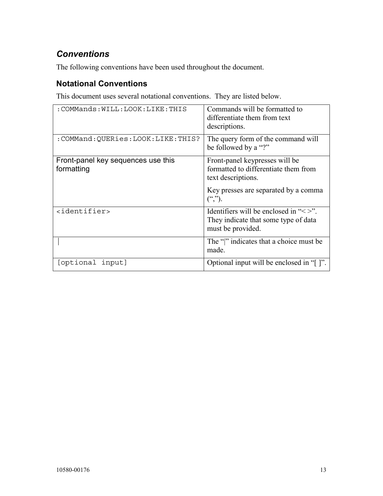# *Conventions*

The following conventions have been used throughout the document.

# **Notational Conventions**

This document uses several notational conventions. They are listed below.

| : COMMands: WILL: LOOK: LIKE: THIS               | Commands will be formatted to<br>differentiate them from text<br>descriptions.                                                       |
|--------------------------------------------------|--------------------------------------------------------------------------------------------------------------------------------------|
| :COMMand:QUERies:LOOK:LIKE:THIS?                 | The query form of the command will<br>be followed by a "?"                                                                           |
| Front-panel key sequences use this<br>formatting | Front-panel keypresses will be<br>formatted to differentiate them from<br>text descriptions.<br>Key presses are separated by a comma |
|                                                  | $($ ",").                                                                                                                            |
| <identifier></identifier>                        | Identifiers will be enclosed in " $\leq$ ".<br>They indicate that some type of data<br>must be provided.                             |
|                                                  | The " " indicates that a choice must be<br>made.                                                                                     |
| [optional input]                                 | Optional input will be enclosed in "[]".                                                                                             |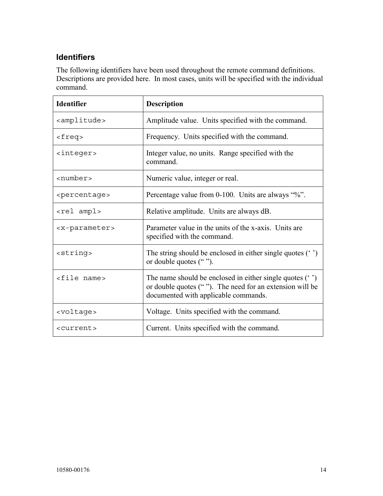# **Identifiers**

The following identifiers have been used throughout the remote command definitions. Descriptions are provided here. In most cases, units will be specified with the individual command.

| <b>Identifier</b>           | <b>Description</b>                                                                                                                                            |
|-----------------------------|---------------------------------------------------------------------------------------------------------------------------------------------------------------|
| <amplitude></amplitude>     | Amplitude value. Units specified with the command.                                                                                                            |
| $<$ freq>                   | Frequency. Units specified with the command.                                                                                                                  |
| <integer></integer>         | Integer value, no units. Range specified with the<br>command.                                                                                                 |
| <number></number>           | Numeric value, integer or real.                                                                                                                               |
| <percentage></percentage>   | Percentage value from 0-100. Units are always "%".                                                                                                            |
| <rel ampl=""></rel>         | Relative amplitude. Units are always dB.                                                                                                                      |
| <x-parameter></x-parameter> | Parameter value in the units of the x-axis. Units are<br>specified with the command.                                                                          |
| <string></string>           | The string should be enclosed in either single quotes $(3)$<br>or double quotes ("").                                                                         |
| <file name=""></file>       | The name should be enclosed in either single quotes $(3)$<br>or double quotes (""). The need for an extension will be<br>documented with applicable commands. |
| <voltage></voltage>         | Voltage. Units specified with the command.                                                                                                                    |
| <current></current>         | Current. Units specified with the command.                                                                                                                    |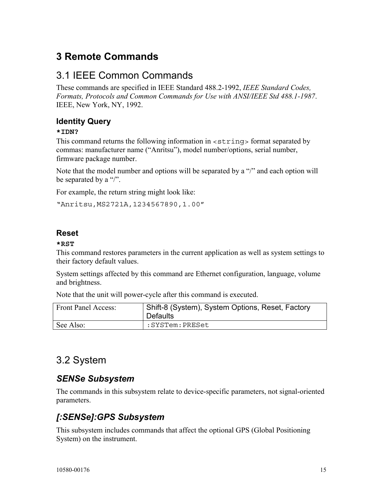# **3 Remote Commands**

# 3.1 IEEE Common Commands

These commands are specified in IEEE Standard 488.2-1992, *IEEE Standard Codes, Formats, Protocols and Common Commands for Use with ANSI/IEEE Std 488.1-1987*. IEEE, New York, NY, 1992.

# **Identity Query**

#### **\*IDN?**

This command returns the following information in <string> format separated by commas: manufacturer name ("Anritsu"), model number/options, serial number, firmware package number.

Note that the model number and options will be separated by a "/" and each option will be separated by a "/".

For example, the return string might look like:

"Anritsu,MS2721A,1234567890,1.00"

## **Reset**

#### **\*RST**

This command restores parameters in the current application as well as system settings to their factory default values.

System settings affected by this command are Ethernet configuration, language, volume and brightness.

Note that the unit will power-cycle after this command is executed.

| Front Panel Access: | Shift-8 (System), System Options, Reset, Factory<br><b>Defaults</b> |
|---------------------|---------------------------------------------------------------------|
| See Also:           | :SYSTem:PRESet:                                                     |

# 3.2 System

# *SENSe Subsystem*

The commands in this subsystem relate to device-specific parameters, not signal-oriented parameters.

# *[:SENSe]:GPS Subsystem*

This subsystem includes commands that affect the optional GPS (Global Positioning System) on the instrument.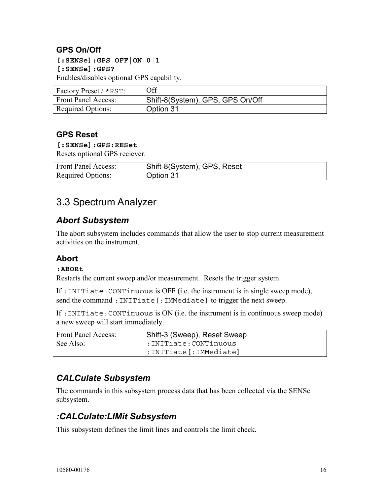# **GPS On/Off**

**[:SENSe]:GPS OFF|ON|0|1 [:SENSe]:GPS?**  Enables/disables optional GPS capability.

| Factory Preset / *RST:     | Off                              |
|----------------------------|----------------------------------|
| <b>Front Panel Access:</b> | Shift-8(System), GPS, GPS On/Off |
| <b>Required Options:</b>   | Option 31                        |

#### **GPS Reset**

#### **[:SENSe]:GPS:RESet**

Resets optional GPS reciever.

| <b>Front Panel Access:</b> | Shift-8(System), GPS, Reset |
|----------------------------|-----------------------------|
| <b>Required Options:</b>   | Option 31                   |

# 3.3 Spectrum Analyzer

# *Abort Subsystem*

The abort subsystem includes commands that allow the user to stop current measurement activities on the instrument.

## **Abort**

#### **:ABORt**

Restarts the current sweep and/or measurement. Resets the trigger system.

If :INITiate:CONTinuous is OFF (i.e. the instrument is in single sweep mode), send the command : INITiate [: IMMediate] to trigger the next sweep.

If :INITiate:CONTinuous is ON (i.e. the instrument is in continuous sweep mode) a new sweep will start immediately.

| <b>Front Panel Access:</b> | Shift-3 (Sweep), Reset Sweep |
|----------------------------|------------------------------|
| See Also:                  | :INITiate:CONTinuous: :      |
|                            | :INITiate[:IMMediate]        |

# *CALCulate Subsystem*

The commands in this subsystem process data that has been collected via the SENSe subsystem.

# *:CALCulate:LIMit Subsystem*

This subsystem defines the limit lines and controls the limit check.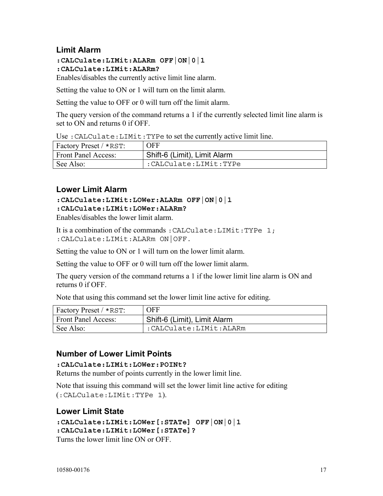## **Limit Alarm**

**:CALCulate:LIMit:ALARm OFF|ON|0|1 :CALCulate:LIMit:ALARm?** 

Enables/disables the currently active limit line alarm.

Setting the value to ON or 1 will turn on the limit alarm.

Setting the value to OFF or 0 will turn off the limit alarm.

The query version of the command returns a 1 if the currently selected limit line alarm is set to ON and returns 0 if OFF.

Use :CALCulate:LIMit:TYPe to set the currently active limit line.

| Factory Preset / *RST:     | <b>OFF</b>                   |
|----------------------------|------------------------------|
| <b>Front Panel Access:</b> | Shift-6 (Limit), Limit Alarm |
| See Also:                  | I: CALCulate: LIMit: TYPe    |

#### **Lower Limit Alarm**

#### **:CALCulate:LIMit:LOWer:ALARm OFF|ON|0|1**

**:CALCulate:LIMit:LOWer:ALARm?** 

Enables/disables the lower limit alarm.

It is a combination of the commands : CALCulate: LIMit: TYPe 1; :CALCulate:LIMit:ALARm ON|OFF.

Setting the value to ON or 1 will turn on the lower limit alarm.

Setting the value to OFF or 0 will turn off the lower limit alarm.

The query version of the command returns a 1 if the lower limit line alarm is ON and returns 0 if OFF.

Note that using this command set the lower limit line active for editing.

| Factory Preset / *RST:     | <b>OFF</b>                   |
|----------------------------|------------------------------|
| <b>Front Panel Access:</b> | Shift-6 (Limit), Limit Alarm |
| See Also:                  | :CALCulate:LIMit:ALARm       |

## **Number of Lower Limit Points**

#### **:CALCulate:LIMit:LOWer:POINt?**

Returns the number of points currently in the lower limit line.

Note that issuing this command will set the lower limit line active for editing (:CALCulate:LIMit:TYPe 1).

## **Lower Limit State**

```
:CALCulate:LIMit:LOWer[:STATe] OFF|ON|0|1 
:CALCulate:LIMit:LOWer[:STATe]?
```
Turns the lower limit line ON or OFF.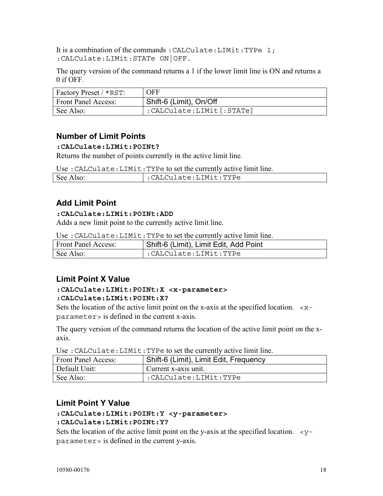It is a combination of the commands: CALCulate: LIMit: TYPe 1; :CALCulate:LIMit:STATe ON|OFF.

The query version of the command returns a 1 if the lower limit line is ON and returns a 0 if OFF.

| Factory Preset / *RST:     | <b>OFF</b>               |
|----------------------------|--------------------------|
| <b>Front Panel Access:</b> | Shift-6 (Limit), On/Off  |
| See Also:                  | :CALCulate:LIMit[:STATe] |

#### **Number of Limit Points**

#### **:CALCulate:LIMit:POINt?**

Returns the number of points currently in the active limit line.

Use :CALCulate:LIMit:TYPe to set the currently active limit line.

| See $\lambda$ <sup>+</sup><br>Also: |                       |
|-------------------------------------|-----------------------|
|                                     | :CALCulate:LIMit:TYPe |

# **Add Limit Point**

#### **:CALCulate:LIMit:POINt:ADD**

Adds a new limit point to the currently active limit line.

Use :CALCulate:LIMit:TYPe to set the currently active limit line.

| <b>Front Panel Access:</b> | Shift-6 (Limit), Limit Edit, Add Point |
|----------------------------|----------------------------------------|
| See Also:                  | :CALCulate:LIMit:TYPe                  |

## **Limit Point X Value**

#### **:CALCulate:LIMit:POINt:X <x-parameter> :CALCulate:LIMit:POINt:X?**

Sets the location of the active limit point on the x-axis at the specified location.  $\langle x - \rangle$ parameter> is defined in the current x-axis.

The query version of the command returns the location of the active limit point on the xaxis.

Use :CALCulate:LIMit:TYPe to set the currently active limit line.

| Front Panel Access: | Shift-6 (Limit), Limit Edit, Frequency |
|---------------------|----------------------------------------|
| Default Unit:       | Current x-axis unit.                   |
| See Also:           | :CALCulate:LIMit:TYPe                  |

## **Limit Point Y Value**

#### **:CALCulate:LIMit:POINt:Y <y-parameter> :CALCulate:LIMit:POINt:Y?**

Sets the location of the active limit point on the y-axis at the specified location.  $\langle y - y \rangle$ parameter> is defined in the current y-axis.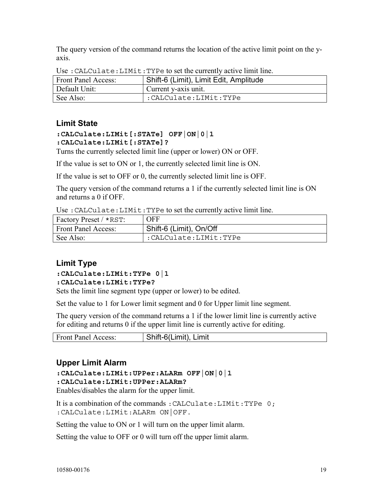The query version of the command returns the location of the active limit point on the yaxis.

| <b>Front Panel Access:</b> | Shift-6 (Limit), Limit Edit, Amplitude |
|----------------------------|----------------------------------------|
| Default Unit:              | Current y-axis unit.                   |
| See Also:                  | :CALCulate:LIMit:TYPe                  |

Use :CALCulate:LIMit:TYPe to set the currently active limit line.

## **Limit State**

#### **:CALCulate:LIMit[:STATe] OFF|ON|0|1 :CALCulate:LIMit[:STATe]?**

Turns the currently selected limit line (upper or lower) ON or OFF.

If the value is set to ON or 1, the currently selected limit line is ON.

If the value is set to OFF or 0, the currently selected limit line is OFF.

The query version of the command returns a 1 if the currently selected limit line is ON and returns a 0 if OFF.

Use :CALCulate:LIMit:TYPe to set the currently active limit line.

| <b>Factory Preset / *RST:</b> | <b>OFF</b>              |
|-------------------------------|-------------------------|
| <b>Front Panel Access:</b>    | Shift-6 (Limit), On/Off |
| See Also:                     | :CALCulate:LIMit:TYPe   |

# **Limit Type**

#### **:CALCulate:LIMit:TYPe 0|1 :CALCulate:LIMit:TYPe?**

Sets the limit line segment type (upper or lower) to be edited.

Set the value to 1 for Lower limit segment and 0 for Upper limit line segment.

The query version of the command returns a 1 if the lower limit line is currently active for editing and returns 0 if the upper limit line is currently active for editing.

|  | <b>Front Panel Access:</b> | Shift-6(Limit), Limit |
|--|----------------------------|-----------------------|
|--|----------------------------|-----------------------|

# **Upper Limit Alarm**

#### **:CALCulate:LIMit:UPPer:ALARm OFF|ON|0|1**

#### **:CALCulate:LIMit:UPPer:ALARm?**

Enables/disables the alarm for the upper limit.

It is a combination of the commands: CALCulate: LIMit: TYPe 0; :CALCulate:LIMit:ALARm ON|OFF.

Setting the value to ON or 1 will turn on the upper limit alarm.

Setting the value to OFF or 0 will turn off the upper limit alarm.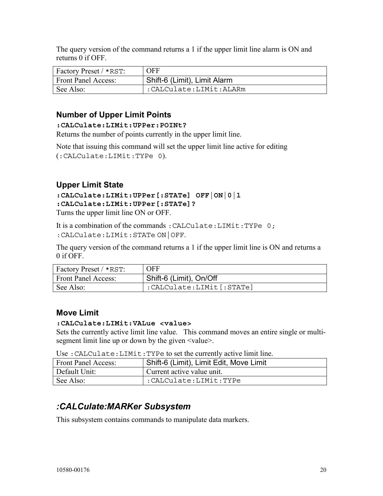The query version of the command returns a 1 if the upper limit line alarm is ON and returns 0 if OFF.

| Factory Preset / *RST: | OFF                          |
|------------------------|------------------------------|
| Front Panel Access:    | Shift-6 (Limit), Limit Alarm |
| See Also:              | :CALCulate:LIMit:ALARm       |

# **Number of Upper Limit Points**

#### **:CALCulate:LIMit:UPPer:POINt?**

Returns the number of points currently in the upper limit line.

Note that issuing this command will set the upper limit line active for editing (:CALCulate:LIMit:TYPe 0).

# **Upper Limit State**

#### **:CALCulate:LIMit:UPPer[:STATe] OFF|ON|0|1 :CALCulate:LIMit:UPPer[:STATe]?**  Turns the upper limit line ON or OFF.

It is a combination of the commands :CALCulate:LIMit:TYPe 0;

:CALCulate:LIMit:STATe ON|OFF.

The query version of the command returns a 1 if the upper limit line is ON and returns a 0 if OFF.

| Factory Preset / *RST:     | <b>OFF</b>               |
|----------------------------|--------------------------|
| <b>Front Panel Access:</b> | Shift-6 (Limit), On/Off  |
| See Also:                  | :CALCulate:LIMit[:STATe] |

## **Move Limit**

#### **:CALCulate:LIMit:VALue <value>**

Sets the currently active limit line value. This command moves an entire single or multisegment limit line up or down by the given  $\le$ value $\ge$ .

Use :CALCulate:LIMit:TYPe to set the currently active limit line.

| <b>Front Panel Access:</b> | Shift-6 (Limit), Limit Edit, Move Limit |
|----------------------------|-----------------------------------------|
| Default Unit:              | Current active value unit.              |
| See Also:                  | :CALCulate:LIMit:TYPe                   |

# *:CALCulate:MARKer Subsystem*

This subsystem contains commands to manipulate data markers.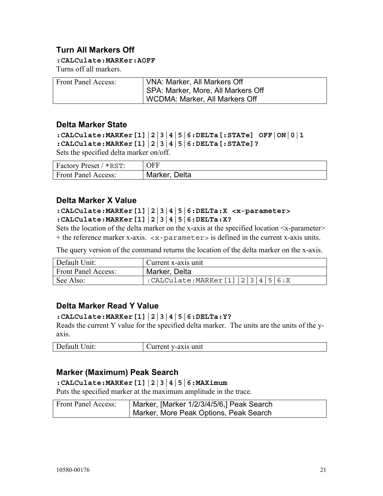## **Turn All Markers Off**

**:CALCulate:MARKer:AOFF** 

Turns off all markers.

| <b>Front Panel Access:</b> | VNA: Marker, All Markers Off       |
|----------------------------|------------------------------------|
|                            | SPA: Marker, More, All Markers Off |
|                            | WCDMA: Marker, All Markers Off     |

#### **Delta Marker State**

```
:CALCulate:MARKer[1]|2|3|4|5|6:DELTa[:STATe] OFF|ON|0|1 
:CALCulate:MARKer[1]|2|3|4|5|6:DELTa[:STATe]? 
Sets the specified delta marker on/off.
```

| Factory Preset / *RST: | <b>OFF</b>    |
|------------------------|---------------|
| Front Panel Access:    | Marker, Delta |

#### **Delta Marker X Value**

#### **:CALCulate:MARKer[1]|2|3|4|5|6:DELTa:X <x-parameter> :CALCulate:MARKer[1]|2|3|4|5|6:DELTa:X?**

Sets the location of the delta marker on the x-axis at the specified location  $\langle x$ -parameter + the reference marker x-axis. <x-parameter> is defined in the current x-axis units.

The query version of the command returns the location of the delta marker on the x-axis.

| Default Unit:              | Current x-axis unit                             |
|----------------------------|-------------------------------------------------|
| <b>Front Panel Access:</b> | Marker, Delta                                   |
| See Also:                  | $\frac{1}{2}$ :CALCulate:MARKer[1]  2 3 4 5 6:X |

#### **Delta Marker Read Y Value**

#### **:CALCulate:MARKer[1]|2|3|4|5|6:DELTa:Y?**

Reads the current Y value for the specified delta marker. The units are the units of the yaxis.

| Default | Current     |
|---------|-------------|
| Unit:   | v-axis unit |

#### **Marker (Maximum) Peak Search**

**:CALCulate:MARKer[1]|2|3|4|5|6:MAXimum**  Puts the specified marker at the maximum amplitude in the trace.

| Front Panel Access: | Marker, [Marker 1/2/3/4/5/6,] Peak Search |
|---------------------|-------------------------------------------|
|                     | Marker, More Peak Options, Peak Search    |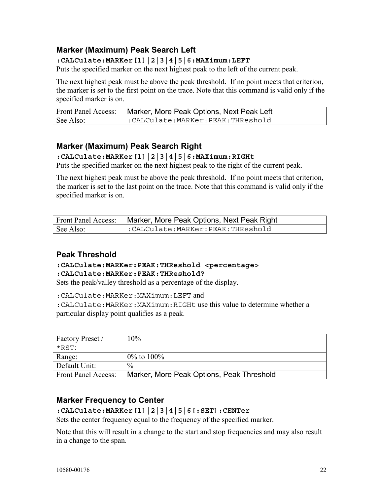# **Marker (Maximum) Peak Search Left**

#### **:CALCulate:MARKer[1]|2|3|4|5|6:MAXimum:LEFT**

Puts the specified marker on the next highest peak to the left of the current peak.

The next highest peak must be above the peak threshold. If no point meets that criterion, the marker is set to the first point on the trace. Note that this command is valid only if the specified marker is on.

| Front Panel Access: | Marker, More Peak Options, Next Peak Left |
|---------------------|-------------------------------------------|
| See Also:           | :CALCulate:MARKer:PEAK:THReshold          |

# **Marker (Maximum) Peak Search Right**

#### **:CALCulate:MARKer[1]|2|3|4|5|6:MAXimum:RIGHt**

Puts the specified marker on the next highest peak to the right of the current peak.

The next highest peak must be above the peak threshold. If no point meets that criterion, the marker is set to the last point on the trace. Note that this command is valid only if the specified marker is on.

| Front Panel Access: | Marker, More Peak Options, Next Peak Right |
|---------------------|--------------------------------------------|
| See Also:           | $\cdot$ :CALCulate:MARKer:PEAK:THReshold   |

## **Peak Threshold**

#### **:CALCulate:MARKer:PEAK:THReshold <percentage> :CALCulate:MARKer:PEAK:THReshold?**

Sets the peak/valley threshold as a percentage of the display.

:CALCulate:MARKer:MAXimum:LEFT and

:CALCulate:MARKer:MAXimum:RIGHt use this value to determine whether a particular display point qualifies as a peak.

| Factory Preset /    | 10%                                       |
|---------------------|-------------------------------------------|
| *RST <sup>.</sup>   |                                           |
| Range:              | $0\%$ to $100\%$                          |
| Default Unit:       | $\frac{0}{0}$                             |
| Front Panel Access: | Marker, More Peak Options, Peak Threshold |

## **Marker Frequency to Center**

**:CALCulate:MARKer[1]|2|3|4|5|6[:SET]:CENTer** 

Sets the center frequency equal to the frequency of the specified marker.

Note that this will result in a change to the start and stop frequencies and may also result in a change to the span.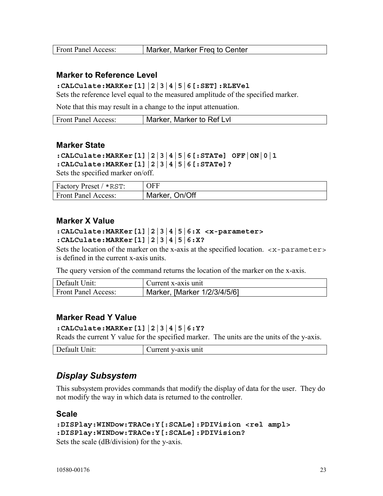| <b>Front Panel Access:</b> | Marker, Marker Freg to Center |
|----------------------------|-------------------------------|
|                            |                               |

#### **Marker to Reference Level**

#### **:CALCulate:MARKer[1]|2|3|4|5|6[:SET]:RLEVel**

Sets the reference level equal to the measured amplitude of the specified marker.

Note that this may result in a change to the input attenuation.

| <b>Front Panel Access:</b> | Marker, Marker to Ref Lyl |
|----------------------------|---------------------------|
|----------------------------|---------------------------|

#### **Marker State**

```
:CALCulate:MARKer[1]|2|3|4|5|6[:STATe] OFF|ON|0|1 
:CALCulate:MARKer[1]|2|3|4|5|6[:STATe]?
```
Sets the specified marker on/off.

| Factory Preset / *RST:     | OFF            |
|----------------------------|----------------|
| <b>Front Panel Access:</b> | Marker, On/Off |

#### **Marker X Value**

#### **:CALCulate:MARKer[1]|2|3|4|5|6:X <x-parameter> :CALCulate:MARKer[1]|2|3|4|5|6:X?**

Sets the location of the marker on the x-axis at the specified location.  $\langle x$ -parameter is defined in the current x-axis units.

The query version of the command returns the location of the marker on the x-axis.

| Default Unit:              | Current x-axis unit          |
|----------------------------|------------------------------|
| <b>Front Panel Access:</b> | Marker, [Marker 1/2/3/4/5/6] |

#### **Marker Read Y Value**

**:CALCulate:MARKer[1]|2|3|4|5|6:Y?** 

Reads the current Y value for the specified marker. The units are the units of the y-axis.

| Default<br>Jnit: | y-axis unit<br>$U$ urrent |
|------------------|---------------------------|
|                  |                           |

#### *Display Subsystem*

This subsystem provides commands that modify the display of data for the user. They do not modify the way in which data is returned to the controller.

#### **Scale**

```
:DISPlay:WINDow:TRACe:Y[:SCALe]:PDIVision <rel ampl> 
:DISPlay:WINDow:TRACe:Y[:SCALe]:PDIVision? 
Sets the scale (dB/division) for the y-axis.
```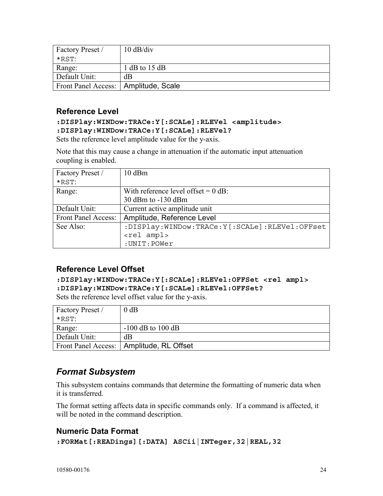| Factory Preset /                       | $10 \text{ dB}/\text{div}$ |
|----------------------------------------|----------------------------|
| *RST <sup>.</sup>                      |                            |
| Range:                                 | $1 dB$ to $15 dB$          |
| Default Unit:                          | dB                         |
| Front Panel Access:   Amplitude, Scale |                            |

#### **Reference Level**

#### **:DISPlay:WINDow:TRACe:Y[:SCALe]:RLEVel <amplitude> :DISPlay:WINDow:TRACe:Y[:SCALe]:RLEVel?**

Sets the reference level amplitude value for the y-axis.

Note that this may cause a change in attenuation if the automatic input attenuation coupling is enabled.

| Factory Preset /    | $10$ dBm                                      |
|---------------------|-----------------------------------------------|
| $*RST$              |                                               |
| Range:              | With reference level offset $= 0$ dB:         |
|                     | 30 dBm to -130 dBm                            |
| Default Unit:       | Current active amplitude unit                 |
| Front Panel Access: | Amplitude, Reference Level                    |
| See Also:           | :DISPlay:WINDow:TRACe:Y[:SCALe]:RLEVel:OFFset |
|                     | <rel ampl=""></rel>                           |
|                     | : UNIT: POWer                                 |

## **Reference Level Offset**

**:DISPlay:WINDow:TRACe:Y[:SCALe]:RLEVel:OFFSet <rel ampl> :DISPlay:WINDow:TRACe:Y[:SCALe]:RLEVel:OFFSet?** 

Sets the reference level offset value for the y-axis.

| Factory Preset / | $0$ dB                                     |
|------------------|--------------------------------------------|
| $*$ RST:         |                                            |
| Range:           | $-100$ dB to $100$ dB                      |
| Default Unit:    | dB                                         |
|                  | Front Panel Access:   Amplitude, RL Offset |

# *Format Subsystem*

This subsystem contains commands that determine the formatting of numeric data when it is transferred.

The format setting affects data in specific commands only. If a command is affected, it will be noted in the command description.

## **Numeric Data Format**

```
:FORMat[:READings][:DATA] ASCii|INTeger,32|REAL,32
```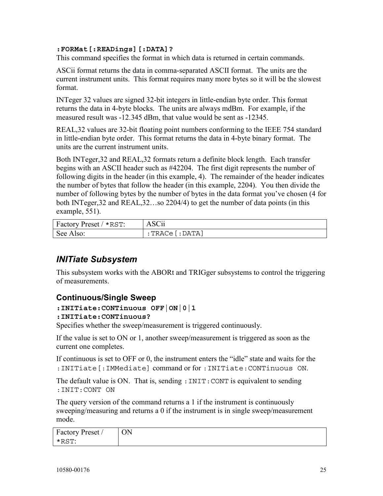#### **:FORMat[:READings][:DATA]?**

This command specifies the format in which data is returned in certain commands.

ASCii format returns the data in comma-separated ASCII format. The units are the current instrument units. This format requires many more bytes so it will be the slowest format.

INTeger 32 values are signed 32-bit integers in little-endian byte order. This format returns the data in 4-byte blocks. The units are always mdBm. For example, if the measured result was -12.345 dBm, that value would be sent as -12345.

REAL,32 values are 32-bit floating point numbers conforming to the IEEE 754 standard in little-endian byte order. This format returns the data in 4-byte binary format. The units are the current instrument units.

Both INTeger,32 and REAL,32 formats return a definite block length. Each transfer begins with an ASCII header such as #42204. The first digit represents the number of following digits in the header (in this example, 4). The remainder of the header indicates the number of bytes that follow the header (in this example, 2204). You then divide the number of following bytes by the number of bytes in the data format you've chosen (4 for both INTeger,32 and REAL,32…so 2204/4) to get the number of data points (in this example, 551).

| Factory Preset / *RST: | ASCii                 |
|------------------------|-----------------------|
| See Also:              | $:$ TRACe $[$ : DATA] |

# *INITiate Subsystem*

This subsystem works with the ABORt and TRIGger subsystems to control the triggering of measurements.

## **Continuous/Single Sweep**

**:INITiate:CONTinuous OFF|ON|0|1** 

#### **:INITiate:CONTinuous?**

Specifies whether the sweep/measurement is triggered continuously.

If the value is set to ON or 1, another sweep/measurement is triggered as soon as the current one completes.

If continuous is set to OFF or 0, the instrument enters the "idle" state and waits for the :INITiate[:IMMediate] command or for :INITiate:CONTinuous ON.

The default value is ON. That is, sending : INIT: CONT is equivalent to sending :INIT:CONT ON

The query version of the command returns a 1 if the instrument is continuously sweeping/measuring and returns a 0 if the instrument is in single sweep/measurement mode.

| Factory Preset / | UN |
|------------------|----|
| *RST:            |    |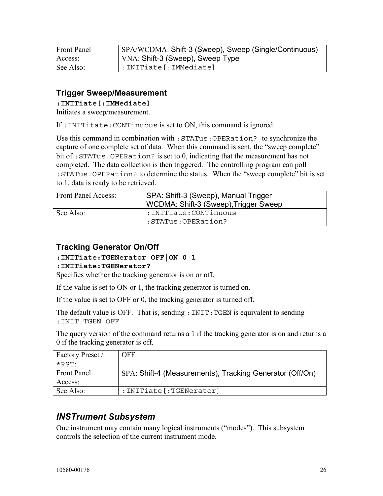| <b>Front Panel</b> | SPA/WCDMA: Shift-3 (Sweep), Sweep (Single/Continuous) |
|--------------------|-------------------------------------------------------|
| Access:            | VNA: Shift-3 (Sweep), Sweep Type                      |
| See Also:          | :INITiate[:IMMediate]                                 |

#### **Trigger Sweep/Measurement**

**:INITiate[:IMMediate]** 

Initiates a sweep/measurement.

If :INITitate:CONTinuous is set to ON, this command is ignored.

Use this command in combination with :STATus:OPERation? to synchronize the capture of one complete set of data. When this command is sent, the "sweep complete" bit of :STATus:OPERation? is set to 0, indicating that the measurement has not completed. The data collection is then triggered. The controlling program can poll :STATus:OPERation? to determine the status. When the "sweep complete" bit is set to 1, data is ready to be retrieved.

| <b>Front Panel Access:</b> | SPA: Shift-3 (Sweep), Manual Trigger<br>WCDMA: Shift-3 (Sweep), Trigger Sweep |
|----------------------------|-------------------------------------------------------------------------------|
| See Also:                  | : INITiate: CONTinuous                                                        |
|                            | :STATus:OPERation?                                                            |

#### **Tracking Generator On/Off**

#### **:INITiate:TGENerator OFF|ON|0|1**

#### **:INITiate:TGENerator?**

Specifies whether the tracking generator is on or off.

If the value is set to ON or 1, the tracking generator is turned on.

If the value is set to OFF or 0, the tracking generator is turned off.

The default value is OFF. That is, sending : INIT: TGEN is equivalent to sending :INIT:TGEN OFF

The query version of the command returns a 1 if the tracking generator is on and returns a 0 if the tracking generator is off.

| Factory Preset /   | <b>OFF</b>                                               |
|--------------------|----------------------------------------------------------|
| *RST <sup>.</sup>  |                                                          |
| <b>Front Panel</b> | SPA: Shift-4 (Measurements), Tracking Generator (Off/On) |
| Access:            |                                                          |
| See Also:          | : INITiate [: TGENerator]                                |

# *INSTrument Subsystem*

One instrument may contain many logical instruments ("modes"). This subsystem controls the selection of the current instrument mode.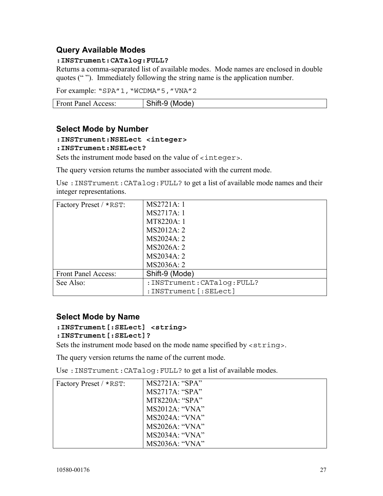## **Query Available Modes**

#### **:INSTrument:CATalog:FULL?**

Returns a comma-separated list of available modes. Mode names are enclosed in double quotes (" "). Immediately following the string name is the application number.

For example: "SPA"1, "WCDMA"5, "VNA"2

| <b>Front Panel Access:</b> | (Mode)<br>ำเฉ<br>∴nit* .<br>rt_u<br>~~ |
|----------------------------|----------------------------------------|
|                            |                                        |

#### **Select Mode by Number**

#### **:INSTrument:NSELect <integer>**

#### **:INSTrument:NSELect?**

Sets the instrument mode based on the value of <integer>.

The query version returns the number associated with the current mode.

Use :INSTrument:CATalog:FULL? to get a list of available mode names and their integer representations.

| Factory Preset / *RST: | MS2721A: 1                   |
|------------------------|------------------------------|
|                        | MS2717A: 1                   |
|                        | MT8220A: 1                   |
|                        | MS2012A: 2                   |
|                        | MS2024A: 2                   |
|                        | MS2026A: 2                   |
|                        | MS2034A: 2                   |
|                        | MS2036A: 2                   |
| Front Panel Access:    | Shift-9 (Mode)               |
| See Also:              | : INSTrument: CATalog: FULL? |
|                        | : INSTrument [: SELect]      |

## **Select Mode by Name**

# **:INSTrument[:SELect] <string>**

#### **:INSTrument[:SELect]?**

Sets the instrument mode based on the mode name specified by  $\leq$ string>.

The query version returns the name of the current mode.

Use : INSTrument: CATalog: FULL? to get a list of available modes.

| Factory Preset / *RST: | MS2721A: "SPA"        |
|------------------------|-----------------------|
|                        | $MS2717A$ : "SPA"     |
|                        | MT8220A: "SPA"        |
|                        | MS2012A: "VNA"        |
|                        | <b>MS2024A: "VNA"</b> |
|                        | <b>MS2026A: "VNA"</b> |
|                        | MS2034A: "VNA"        |
|                        | <b>MS2036A: "VNA"</b> |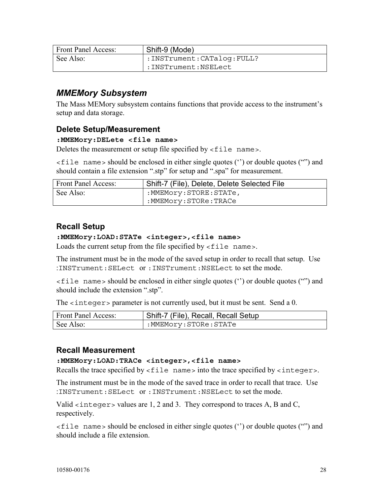| <b>Front Panel Access:</b> | Shift-9 (Mode)            |
|----------------------------|---------------------------|
| See Also:                  | :INSTrument:CATaloq:FULL? |
|                            | :INSTrument:NSELect:      |

# *MMEMory Subsystem*

The Mass MEMory subsystem contains functions that provide access to the instrument's setup and data storage.

#### **Delete Setup/Measurement**

#### **:MMEMory:DELete <file name>**

Deletes the measurement or setup file specified by  $\le$  file name>.

<file name> should be enclosed in either single quotes ('') or double quotes ("") and should contain a file extension ".stp" for setup and ".spa" for measurement.

| <b>Front Panel Access:</b> | Shift-7 (File), Delete, Delete Selected File |
|----------------------------|----------------------------------------------|
| See Also:                  | :MMEMory:STORE:STATe,                        |
|                            | :MMEMory:STORe:TRACe:                        |

# **Recall Setup**

#### **:MMEMory:LOAD:STATe <integer>,<file name>**

Loads the current setup from the file specified by  $\le$  file name>.

The instrument must be in the mode of the saved setup in order to recall that setup. Use :INSTrument:SELect or :INSTrument:NSELect to set the mode.

 $\le$  file name  $>$  should be enclosed in either single quotes ("") or double quotes ("") and should include the extension ".stp".

The <integer> parameter is not currently used, but it must be sent. Send a 0.

| <b>Front Panel Access:</b> | Shift-7 (File), Recall, Recall Setup |
|----------------------------|--------------------------------------|
| See Also:                  | :MMEMory:STORe:STATe                 |

#### **Recall Measurement**

#### **:MMEMory:LOAD:TRACe <integer>,<file name>**

Recalls the trace specified by  $\le$  file name into the trace specified by  $\le$  integers.

The instrument must be in the mode of the saved trace in order to recall that trace. Use :INSTrument:SELect or :INSTrument:NSELect to set the mode.

Valid <integer> values are 1, 2 and 3. They correspond to traces A, B and C, respectively.

<file name> should be enclosed in either single quotes ('') or double quotes ("") and should include a file extension.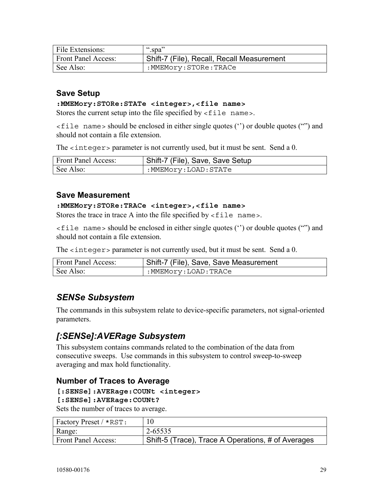| File Extensions:           | " $\text{Spa}$ "                           |
|----------------------------|--------------------------------------------|
| <b>Front Panel Access:</b> | Shift-7 (File), Recall, Recall Measurement |
| See Also:                  | :MMEMory:STORe:TRACe                       |

## **Save Setup**

#### **:MMEMory:STORe:STATe <integer>,<file name>**

Stores the current setup into the file specified by  $\lt$  file name>.

<file name> should be enclosed in either single quotes ('') or double quotes ("") and should not contain a file extension.

The <integer> parameter is not currently used, but it must be sent. Send a 0.

| <b>Front Panel Access:</b> | Shift-7 (File), Save, Save Setup |
|----------------------------|----------------------------------|
| See Also:                  | :MMEMory:LOAD:STATe              |

#### **Save Measurement**

#### **:MMEMory:STORe:TRACe <integer>,<file name>**

Stores the trace in trace A into the file specified by  $\le$  file name>.

<file name> should be enclosed in either single quotes ('') or double quotes ("") and should not contain a file extension.

The  $\le$  integer > parameter is not currently used, but it must be sent. Send a 0.

| <b>Front Panel Access:</b> | Shift-7 (File), Save, Save Measurement |
|----------------------------|----------------------------------------|
| See Also:                  | :MMEMory:LOAD:TRACe                    |

# *SENSe Subsystem*

The commands in this subsystem relate to device-specific parameters, not signal-oriented parameters.

# *[:SENSe]:AVERage Subsystem*

This subsystem contains commands related to the combination of the data from consecutive sweeps. Use commands in this subsystem to control sweep-to-sweep averaging and max hold functionality.

#### **Number of Traces to Average**

#### **[:SENSe]:AVERage:COUNt <integer>**

**[:SENSe]:AVERage:COUNt?** 

Sets the number of traces to average.

| <b>Factory Preset / *RST:</b> |                                                    |
|-------------------------------|----------------------------------------------------|
| Range:                        | 2-65535                                            |
| <b>Front Panel Access:</b>    | Shift-5 (Trace), Trace A Operations, # of Averages |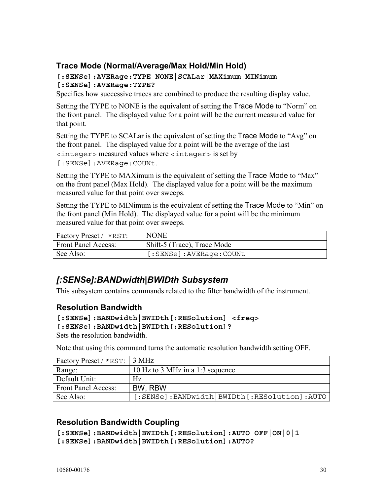## **Trace Mode (Normal/Average/Max Hold/Min Hold)**

#### **[:SENSe]:AVERage:TYPE NONE|SCALar|MAXimum|MINimum [:SENSe]:AVERage:TYPE?**

Specifies how successive traces are combined to produce the resulting display value.

Setting the TYPE to NONE is the equivalent of setting the Trace Mode to "Norm" on the front panel. The displayed value for a point will be the current measured value for that point.

Setting the TYPE to SCALar is the equivalent of setting the Trace Mode to "Avg" on the front panel. The displayed value for a point will be the average of the last <integer> measured values where <integer> is set by

[:SENSe]:AVERage:COUNt.

Setting the TYPE to MAXimum is the equivalent of setting the Trace Mode to "Max" on the front panel (Max Hold). The displayed value for a point will be the maximum measured value for that point over sweeps.

Setting the TYPE to MINimum is the equivalent of setting the Trace Mode to "Min" on the front panel (Min Hold). The displayed value for a point will be the minimum measured value for that point over sweeps.

| Factory Preset / *RST:     | <b>NONE</b>                 |
|----------------------------|-----------------------------|
| <b>Front Panel Access:</b> | Shift-5 (Trace), Trace Mode |
| See Also:                  | [:SENSe]:AVERage:COUNt      |

# *[:SENSe]:BANDwidth|BWIDth Subsystem*

This subsystem contains commands related to the filter bandwidth of the instrument.

#### **Resolution Bandwidth**

```
[:SENSe]:BANDwidth|BWIDth[:RESolution] <freq>
```

```
[:SENSe]:BANDwidth|BWIDth[:RESolution]?
```
Sets the resolution bandwidth.

Note that using this command turns the automatic resolution bandwidth setting OFF.

| Factory Preset / *RST:   3 MHz |                                             |
|--------------------------------|---------------------------------------------|
| Range:                         | 10 Hz to 3 MHz in a 1:3 sequence            |
| Default Unit:                  | Hz                                          |
| <b>Front Panel Access:</b>     | BW, RBW                                     |
| See Also:                      | [:SENSe]:BANDwidth BWIDth[:RESolution]:AUTO |

## **Resolution Bandwidth Coupling**

```
[:SENSe]:BANDwidth|BWIDth[:RESolution]:AUTO OFF|ON|0|1 
[:SENSe]:BANDwidth|BWIDth[:RESolution]:AUTO?
```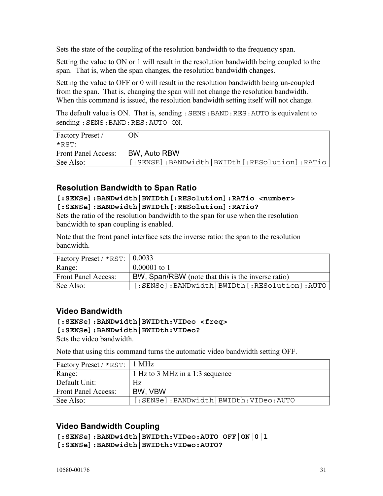Sets the state of the coupling of the resolution bandwidth to the frequency span.

Setting the value to ON or 1 will result in the resolution bandwidth being coupled to the span. That is, when the span changes, the resolution bandwidth changes.

Setting the value to OFF or 0 will result in the resolution bandwidth being un-coupled from the span. That is, changing the span will not change the resolution bandwidth. When this command is issued, the resolution bandwidth setting itself will not change.

The default value is ON. That is, sending : SENS: BAND: RES: AUTO is equivalent to sending :SENS:BAND:RES:AUTO ON.

| <b>Factory Preset</b> /    | ON                                           |
|----------------------------|----------------------------------------------|
| *RST <sup>.</sup>          |                                              |
| <b>Front Panel Access:</b> | BW, Auto RBW                                 |
| See Also:                  | [:SENSE]:BANDwidth BWIDth[:RESolution]:RATio |

#### **Resolution Bandwidth to Span Ratio**

#### **[:SENSe]:BANDwidth|BWIDth[:RESolution]:RATio <number> [:SENSe]:BANDwidth|BWIDth[:RESolution]:RATio?**

Sets the ratio of the resolution bandwidth to the span for use when the resolution bandwidth to span coupling is enabled.

Note that the front panel interface sets the inverse ratio: the span to the resolution bandwidth.

| Factory Preset / $\star$ RST:   0.0033 |                                                    |
|----------------------------------------|----------------------------------------------------|
| Range:                                 | $0.00001$ to 1                                     |
| <b>Front Panel Access:</b>             | BW, Span/RBW (note that this is the inverse ratio) |
| See Also:                              | [:SENSe]:BANDwidth BWIDth[:RESolution]:AUTO        |

## **Video Bandwidth**

#### **[:SENSe]:BANDwidth|BWIDth:VIDeo <freq> [:SENSe]:BANDwidth|BWIDth:VIDeo?**

Sets the video bandwidth.

Note that using this command turns the automatic video bandwidth setting OFF.

| Factory Preset / *RST:   1 MHz |                                      |
|--------------------------------|--------------------------------------|
| Range:                         | 1 Hz to 3 MHz in a 1:3 sequence      |
| Default Unit:                  | Hz.                                  |
| <b>Front Panel Access:</b>     | BW, VBW                              |
| See Also:                      | [:SENSe]:BANDwidth BWIDth:VIDeo:AUTO |

## **Video Bandwidth Coupling**

```
[:SENSe]:BANDwidth|BWIDth:VIDeo:AUTO OFF|ON|0|1
```
**[:SENSe]:BANDwidth|BWIDth:VIDeo:AUTO?**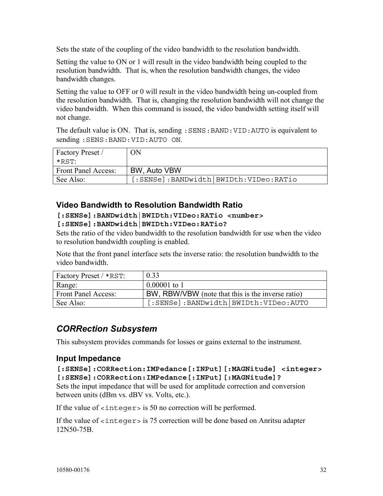Sets the state of the coupling of the video bandwidth to the resolution bandwidth.

Setting the value to ON or 1 will result in the video bandwidth being coupled to the resolution bandwidth. That is, when the resolution bandwidth changes, the video bandwidth changes.

Setting the value to OFF or 0 will result in the video bandwidth being un-coupled from the resolution bandwidth. That is, changing the resolution bandwidth will not change the video bandwidth. When this command is issued, the video bandwidth setting itself will not change.

The default value is ON. That is, sending :SENS:BAND:VID:AUTO is equivalent to sending :SENS:BAND:VID:AUTO ON.

| <b>Factory Preset</b>      | ОN                                    |
|----------------------------|---------------------------------------|
| $\star$ RST:               |                                       |
| <b>Front Panel Access:</b> | BW, Auto VBW                          |
| See Also:                  | [:SENSe]:BANDwidth BWIDth:VIDeo:RATio |

#### **Video Bandwidth to Resolution Bandwidth Ratio**

#### **[:SENSe]:BANDwidth|BWIDth:VIDeo:RATio <number> [:SENSe]:BANDwidth|BWIDth:VIDeo:RATio?**

Sets the ratio of the video bandwidth to the resolution bandwidth for use when the video to resolution bandwidth coupling is enabled.

Note that the front panel interface sets the inverse ratio: the resolution bandwidth to the video bandwidth.

| Factory Preset / *RST:     | 0.33                                              |
|----------------------------|---------------------------------------------------|
| Range:                     | $0.00001$ to 1                                    |
| <b>Front Panel Access:</b> | BW, RBW/VBW (note that this is the inverse ratio) |
| See Also:                  | [:SENSe]:BANDwidth BWIDth:VIDeo:AUTO              |

# *CORRection Subsystem*

This subsystem provides commands for losses or gains external to the instrument.

## **Input Impedance**

#### **[:SENSe]:CORRection:IMPedance[:INPut][:MAGNitude] <integer> [:SENSe]:CORRection:IMPedance[:INPut][:MAGNitude]?**

Sets the input impedance that will be used for amplitude correction and conversion between units (dBm vs. dBV vs. Volts, etc.).

If the value of  $\langle$  integer  $>$  is 50 no correction will be performed.

If the value of  $\langle$  integer  $>$  is 75 correction will be done based on Anritsu adapter 12N50-75B.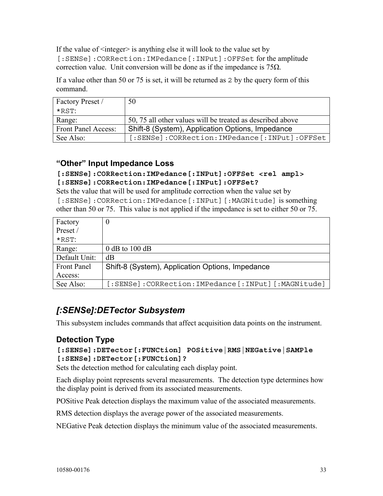If the value of  $\leq$  integer $\geq$  is anything else it will look to the value set by [:SENSe]:CORRection:IMPedance[:INPut]:OFFSet for the amplitude correction value. Unit conversion will be done as if the impedance is  $75\Omega$ .

If a value other than 50 or 75 is set, it will be returned as 2 by the query form of this command.

| Factory Preset /    | 50                                                         |
|---------------------|------------------------------------------------------------|
| *RST <sup>.</sup>   |                                                            |
| Range:              | 50, 75 all other values will be treated as described above |
| Front Panel Access: | Shift-8 (System), Application Options, Impedance           |
| See Also:           | [:SENSe]:CORRection:IMPedance[:INPut]:OFFSet               |

# **"Other" Input Impedance Loss**

#### **[:SENSe]:CORRection:IMPedance[:INPut]:OFFSet <rel ampl> [:SENSe]:CORRection:IMPedance[:INPut]:OFFSet?**

Sets the value that will be used for amplitude correction when the value set by [:SENSe]:CORRection:IMPedance[:INPut][:MAGNitude] is something other than 50 or 75. This value is not applied if the impedance is set to either 50 or 75.

| Factory            |                                                         |
|--------------------|---------------------------------------------------------|
| Preset /           |                                                         |
| $*$ RST $\cdot$    |                                                         |
| Range:             | $0$ dB to 100 dB                                        |
| Default Unit:      | dB                                                      |
| <b>Front Panel</b> | Shift-8 (System), Application Options, Impedance        |
| Access:            |                                                         |
| See Also:          | [:SENSe]: CORRection: IMPedance [: INPut] [: MAGNitude] |

# *[:SENSe]:DETector Subsystem*

This subsystem includes commands that affect acquisition data points on the instrument.

# **Detection Type**

#### **[:SENSe]:DETector[:FUNCtion] POSitive|RMS|NEGative|SAMPle [:SENSe]:DETector[:FUNCtion]?**

Sets the detection method for calculating each display point.

Each display point represents several measurements. The detection type determines how the display point is derived from its associated measurements.

POSitive Peak detection displays the maximum value of the associated measurements.

RMS detection displays the average power of the associated measurements.

NEGative Peak detection displays the minimum value of the associated measurements.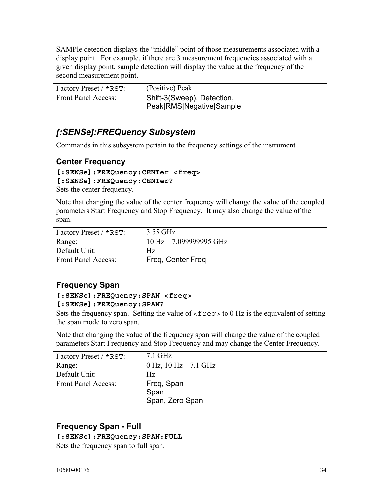SAMPle detection displays the "middle" point of those measurements associated with a display point. For example, if there are 3 measurement frequencies associated with a given display point, sample detection will display the value at the frequency of the second measurement point.

| Factory Preset / *RST:     | (Positive) Peak            |
|----------------------------|----------------------------|
| <b>Front Panel Access:</b> | Shift-3(Sweep), Detection, |
|                            | Peak RMS Negative Sample   |

# *[:SENSe]:FREQuency Subsystem*

Commands in this subsystem pertain to the frequency settings of the instrument.

# **Center Frequency**

# **[:SENSe]:FREQuency:CENTer <freq>**

#### **[:SENSe]:FREQuency:CENTer?**

Sets the center frequency.

Note that changing the value of the center frequency will change the value of the coupled parameters Start Frequency and Stop Frequency. It may also change the value of the span.

| Factory Preset / *RST:     | 3.55 GHz                    |
|----------------------------|-----------------------------|
| Range:                     | $10$ Hz $- 7.099999995$ GHz |
| Default Unit:              | Hz                          |
| <b>Front Panel Access:</b> | Freq, Center Freq           |
|                            |                             |

# **Frequency Span**

#### **[:SENSe]:FREQuency:SPAN <freq> [:SENSe]:FREQuency:SPAN?**

Sets the frequency span. Setting the value of  $\langle$  freq> to 0 Hz is the equivalent of setting the span mode to zero span.

Note that changing the value of the frequency span will change the value of the coupled parameters Start Frequency and Stop Frequency and may change the Center Frequency.

| Factory Preset / *RST:     | $7.1$ GHz                   |
|----------------------------|-----------------------------|
| Range:                     | $0$ Hz, $10$ Hz $- 7.1$ GHz |
| Default Unit:              | Hz.                         |
| <b>Front Panel Access:</b> |                             |
|                            | Freq, Span<br>Span          |
|                            | Span, Zero Span             |

# **Frequency Span - Full**

#### **[:SENSe]:FREQuency:SPAN:FULL**

Sets the frequency span to full span.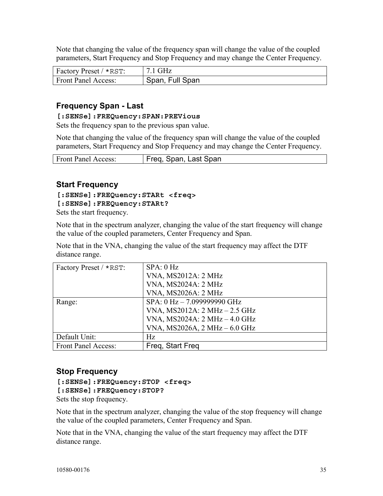Note that changing the value of the frequency span will change the value of the coupled parameters, Start Frequency and Stop Frequency and may change the Center Frequency.

| Factory Preset / *RST:     | $7.1$ GHz       |
|----------------------------|-----------------|
| <b>Front Panel Access:</b> | Span, Full Span |

## **Frequency Span - Last**

#### **[:SENSe]:FREQuency:SPAN:PREVious**

Sets the frequency span to the previous span value.

Note that changing the value of the frequency span will change the value of the coupled parameters, Start Frequency and Stop Frequency and may change the Center Frequency.

| <b>Front Panel Access:</b> | Freq, Span, Last Span |
|----------------------------|-----------------------|

#### **Start Frequency**

### **[:SENSe]:FREQuency:STARt <freq>**

#### **[:SENSe]:FREQuency:STARt?**

Sets the start frequency.

Note that in the spectrum analyzer, changing the value of the start frequency will change the value of the coupled parameters, Center Frequency and Span.

Note that in the VNA, changing the value of the start frequency may affect the DTF distance range.

| Factory Preset / *RST: | SPA: 0 Hz                     |
|------------------------|-------------------------------|
|                        | <b>VNA, MS2012A: 2 MHz</b>    |
|                        | <b>VNA, MS2024A: 2 MHz</b>    |
|                        | <b>VNA, MS2026A: 2 MHz</b>    |
| Range:                 | SPA: 0 Hz - 7.099999990 GHz   |
|                        | VNA, MS2012A: 2 MHz - 2.5 GHz |
|                        | VNA, MS2024A: 2 MHz - 4.0 GHz |
|                        | VNA, MS2026A, 2 MHz - 6.0 GHz |
| Default Unit:          | Hz                            |
| Front Panel Access:    | Freg. Start Freg.             |

## **Stop Frequency**

# **[:SENSe]:FREQuency:STOP <freq>**

#### **[:SENSe]:FREQuency:STOP?**

Sets the stop frequency.

Note that in the spectrum analyzer, changing the value of the stop frequency will change the value of the coupled parameters, Center Frequency and Span.

Note that in the VNA, changing the value of the start frequency may affect the DTF distance range.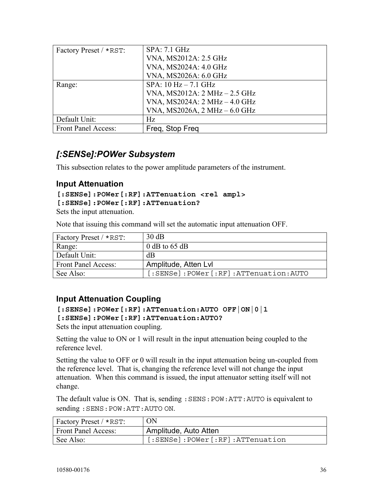| <b>SPA: 7.1 GHz</b>             |
|---------------------------------|
| VNA, MS2012A: 2.5 GHz           |
| VNA, MS2024A: 4.0 GHz           |
| VNA, MS2026A: 6.0 GHz           |
| $SPA: 10 Hz - 7.1 GHz$          |
| VNA, MS2012A: $2 MHz - 2.5 GHz$ |
| VNA, MS2024A: 2 MHz - 4.0 GHz   |
| VNA, MS2026A, 2 MHz - 6.0 GHz   |
| Hz                              |
| Freg. Stop Freg.                |
|                                 |

# *[:SENSe]:POWer Subsystem*

This subsection relates to the power amplitude parameters of the instrument.

## **Input Attenuation**

```
[:SENSe]:POWer[:RF]:ATTenuation <rel ampl> 
[:SENSe]:POWer[:RF]:ATTenuation?
```
Sets the input attenuation.

Note that issuing this command will set the automatic input attenuation OFF.

| <b>Factory Preset / *RST:</b> | 30 dB                                    |
|-------------------------------|------------------------------------------|
| Range:                        | 0 dB to $65$ dB                          |
| Default Unit:                 | dB                                       |
| <b>Front Panel Access:</b>    | Amplitude, Atten Lvl                     |
| See Also:                     | [:SENSe]: POWer [:RF]: ATTenuation: AUTO |

## **Input Attenuation Coupling**

```
[:SENSe]:POWer[:RF]:ATTenuation:AUTO OFF|ON|0|1 
[:SENSe]:POWer[:RF]:ATTenuation:AUTO?
```
Sets the input attenuation coupling.

Setting the value to ON or 1 will result in the input attenuation being coupled to the reference level.

Setting the value to OFF or 0 will result in the input attenuation being un-coupled from the reference level. That is, changing the reference level will not change the input attenuation. When this command is issued, the input attenuator setting itself will not change.

The default value is ON. That is, sending : SENS: POW: ATT: AUTO is equivalent to sending :SENS:POW:ATT:AUTO ON.

| Factory Preset / *RST:     | ON                              |
|----------------------------|---------------------------------|
| <b>Front Panel Access:</b> | Amplitude, Auto Atten           |
| See Also:                  | [:SENSe]:POWer[:RF]:ATTenuation |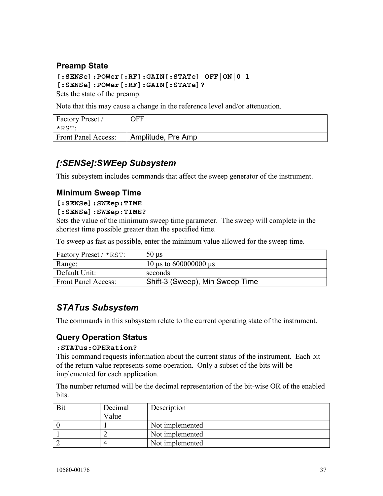## **Preamp State**

**[:SENSe]:POWer[:RF]:GAIN[:STATe] OFF|ON|0|1 [:SENSe]:POWer[:RF]:GAIN[:STATe]?** 

Sets the state of the preamp.

Note that this may cause a change in the reference level and/or attenuation.

| Factory Preset /           | OFF                |
|----------------------------|--------------------|
| *RST:                      |                    |
| <b>Front Panel Access:</b> | Amplitude, Pre Amp |

# *[:SENSe]:SWEep Subsystem*

This subsystem includes commands that affect the sweep generator of the instrument.

## **Minimum Sweep Time**

#### **[:SENSe]:SWEep:TIME**

#### **[:SENSe]:SWEep:TIME?**

Sets the value of the minimum sweep time parameter. The sweep will complete in the shortest time possible greater than the specified time.

To sweep as fast as possible, enter the minimum value allowed for the sweep time.

| Factory Preset / *RST:     | $50 \text{ }\mu\text{s}$        |
|----------------------------|---------------------------------|
| Range:                     | 10 $\mu$ s to 600000000 $\mu$ s |
| Default Unit:              | seconds                         |
| <b>Front Panel Access:</b> | Shift-3 (Sweep), Min Sweep Time |

# *STATus Subsystem*

The commands in this subsystem relate to the current operating state of the instrument.

## **Query Operation Status**

#### **:STATus:OPERation?**

This command requests information about the current status of the instrument. Each bit of the return value represents some operation. Only a subset of the bits will be implemented for each application.

The number returned will be the decimal representation of the bit-wise OR of the enabled **bits** 

| Decimal | Description     |
|---------|-----------------|
| Value   |                 |
|         | Not implemented |
|         | Not implemented |
|         | Not implemented |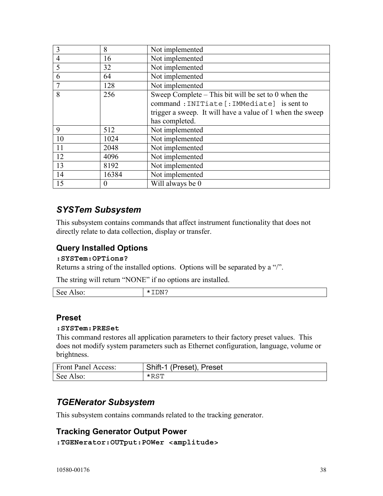| 3              | 8        | Not implemented                                           |
|----------------|----------|-----------------------------------------------------------|
| $\overline{4}$ | 16       | Not implemented                                           |
| 5              | 32       | Not implemented                                           |
| 6              | 64       | Not implemented                                           |
|                | 128      | Not implemented                                           |
| 8              | 256      | Sweep Complete – This bit will be set to 0 when the       |
|                |          | command: INITiate [: IMMediate] is sent to                |
|                |          | trigger a sweep. It will have a value of 1 when the sweep |
|                |          | has completed.                                            |
| 9              | 512      | Not implemented                                           |
| 10             | 1024     | Not implemented                                           |
| 11             | 2048     | Not implemented                                           |
| 12             | 4096     | Not implemented                                           |
| 13             | 8192     | Not implemented                                           |
| 14             | 16384    | Not implemented                                           |
| 15             | $\Omega$ | Will always be 0                                          |

# *SYSTem Subsystem*

This subsystem contains commands that affect instrument functionality that does not directly relate to data collection, display or transfer.

## **Query Installed Options**

#### **:SYSTem:OPTions?**

Returns a string of the installed options. Options will be separated by a "/".

The string will return "NONE" if no options are installed.

| $\sim$<br><b>See</b><br>$\sim$<br>. .<br>$-1100$ | $- - -$<br>'NТ<br>.<br>$\mathbf{v}$<br>---- |
|--------------------------------------------------|---------------------------------------------|
|                                                  |                                             |

## **Preset**

#### **:SYSTem:PRESet**

This command restores all application parameters to their factory preset values. This does not modify system parameters such as Ethernet configuration, language, volume or brightness.

| <b>Front Panel Access:</b> | Shift-1 (Preset), Preset |
|----------------------------|--------------------------|
| See Also:                  | $*$ RST                  |

## *TGENerator Subsystem*

This subsystem contains commands related to the tracking generator.

## **Tracking Generator Output Power**

**:TGENerator:OUTput:POWer <amplitude>**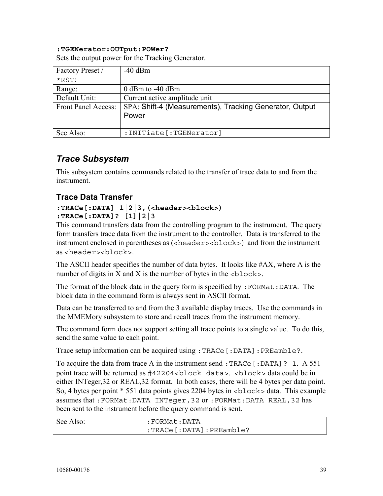#### **:TGENerator:OUTput:POWer?**

Sets the output power for the Tracking Generator.

| Factory Preset /    | $-40$ dBm                                               |
|---------------------|---------------------------------------------------------|
| $*$ RST:            |                                                         |
| Range:              | $0$ dBm to $-40$ dBm                                    |
| Default Unit:       | Current active amplitude unit                           |
| Front Panel Access: | SPA: Shift-4 (Measurements), Tracking Generator, Output |
|                     | Power                                                   |
|                     |                                                         |
| See Also:           | : INITiate [: TGENerator]                               |

## *Trace Subsystem*

This subsystem contains commands related to the transfer of trace data to and from the instrument.

## **Trace Data Transfer**

#### **:TRACe[:DATA] 1|2|3,(<header><block>) :TRACe[:DATA]? [1]|2|3**

This command transfers data from the controlling program to the instrument. The query form transfers trace data from the instrument to the controller. Data is transferred to the instrument enclosed in parentheses as (<header><br/>>block>) and from the instrument as <header><block>.

The ASCII header specifies the number of data bytes. It looks like #AX, where A is the number of digits in X and X is the number of bytes in the  $\langle$ block>.

The format of the block data in the query form is specified by  $:$  FORMat:DATA. The block data in the command form is always sent in ASCII format.

Data can be transferred to and from the 3 available display traces. Use the commands in the MMEMory subsystem to store and recall traces from the instrument memory.

The command form does not support setting all trace points to a single value. To do this, send the same value to each point.

Trace setup information can be acquired using :TRACe[:DATA]:PREamble?.

To acquire the data from trace A in the instrument send : TRACe  $[$ : DATA]? 1. A 551 point trace will be returned as #42204<block data>. <block> data could be in either INTeger,32 or REAL,32 format. In both cases, there will be 4 bytes per data point. So, 4 bytes per point \* 551 data points gives 2204 bytes in <block> data. This example assumes that :FORMat:DATA INTeger,32 or :FORMat:DATA REAL,32 has been sent to the instrument before the query command is sent.

| See Also: | :FORMat:DATA                          |
|-----------|---------------------------------------|
|           | $:$ TRACe $[:$ DATA $]$ $:$ PREamble? |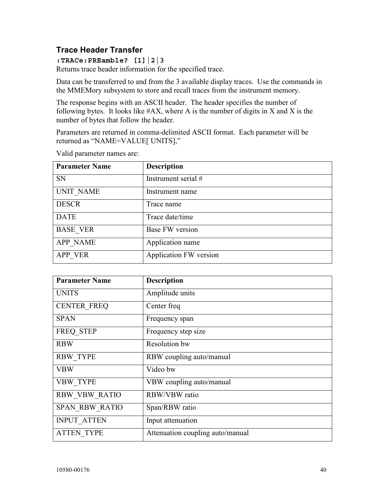## **Trace Header Transfer**

**:TRACe:PREamble? [1]|2|3** 

Returns trace header information for the specified trace.

Data can be transferred to and from the 3 available display traces. Use the commands in the MMEMory subsystem to store and recall traces from the instrument memory.

The response begins with an ASCII header. The header specifies the number of following bytes. It looks like  $#AX$ , where A is the number of digits in X and X is the number of bytes that follow the header.

Parameters are returned in comma-delimited ASCII format. Each parameter will be returned as "NAME=VALUE[ UNITS],"

| <b>Parameter Name</b> | <b>Description</b>     |
|-----------------------|------------------------|
| <b>SN</b>             | Instrument serial $#$  |
| <b>UNIT_NAME</b>      | Instrument name        |
| <b>DESCR</b>          | Trace name             |
| <b>DATE</b>           | Trace date/time        |
| <b>BASE VER</b>       | Base FW version        |
| <b>APP NAME</b>       | Application name       |
| APP VER               | Application FW version |

Valid parameter names are:

| <b>Parameter Name</b> | <b>Description</b>               |
|-----------------------|----------------------------------|
| <b>UNITS</b>          | Amplitude units                  |
| <b>CENTER FREQ</b>    | Center freq                      |
| <b>SPAN</b>           | Frequency span                   |
| FREQ STEP             | Frequency step size              |
| <b>RBW</b>            | Resolution bw                    |
| <b>RBW TYPE</b>       | RBW coupling auto/manual         |
| <b>VBW</b>            | Video bw                         |
| <b>VBW TYPE</b>       | VBW coupling auto/manual         |
| <b>RBW VBW RATIO</b>  | <b>RBW/VBW</b> ratio             |
| <b>SPAN RBW RATIO</b> | Span/RBW ratio                   |
| <b>INPUT ATTEN</b>    | Input attenuation                |
| <b>ATTEN TYPE</b>     | Attenuation coupling auto/manual |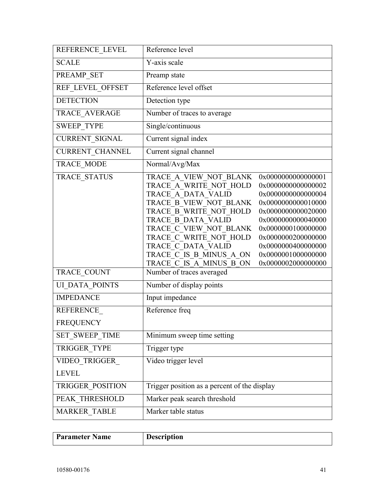| REFERENCE LEVEL        | Reference level                                                                                                                                                                                                                                                                                                                                                                                                                                                                                                                    |  |
|------------------------|------------------------------------------------------------------------------------------------------------------------------------------------------------------------------------------------------------------------------------------------------------------------------------------------------------------------------------------------------------------------------------------------------------------------------------------------------------------------------------------------------------------------------------|--|
| <b>SCALE</b>           | Y-axis scale                                                                                                                                                                                                                                                                                                                                                                                                                                                                                                                       |  |
| PREAMP SET             | Preamp state                                                                                                                                                                                                                                                                                                                                                                                                                                                                                                                       |  |
| REF LEVEL OFFSET       | Reference level offset                                                                                                                                                                                                                                                                                                                                                                                                                                                                                                             |  |
| <b>DETECTION</b>       | Detection type                                                                                                                                                                                                                                                                                                                                                                                                                                                                                                                     |  |
| TRACE_AVERAGE          | Number of traces to average                                                                                                                                                                                                                                                                                                                                                                                                                                                                                                        |  |
| <b>SWEEP TYPE</b>      | Single/continuous                                                                                                                                                                                                                                                                                                                                                                                                                                                                                                                  |  |
| CURRENT_SIGNAL         | Current signal index                                                                                                                                                                                                                                                                                                                                                                                                                                                                                                               |  |
| <b>CURRENT CHANNEL</b> | Current signal channel                                                                                                                                                                                                                                                                                                                                                                                                                                                                                                             |  |
| <b>TRACE MODE</b>      | Normal/Avg/Max                                                                                                                                                                                                                                                                                                                                                                                                                                                                                                                     |  |
| TRACE STATUS           | TRACE A VIEW NOT BLANK<br>0x0000000000000001<br>TRACE A WRITE NOT HOLD<br>0x0000000000000002<br>TRACE A DATA VALID<br>0x0000000000000004<br>TRACE B VIEW NOT BLANK<br>0x0000000000010000<br>TRACE B WRITE NOT HOLD<br>0x0000000000020000<br>TRACE B DATA VALID<br>0x0000000000040000<br>TRACE C VIEW NOT BLANK<br>0x0000000100000000<br>TRACE C WRITE NOT HOLD<br>0x0000000200000000<br>TRACE C DATA VALID<br>0x0000000400000000<br>TRACE C IS B MINUS A ON<br>0x0000001000000000<br>TRACE C IS A MINUS B ON<br>0x0000002000000000 |  |
| TRACE COUNT            | Number of traces averaged                                                                                                                                                                                                                                                                                                                                                                                                                                                                                                          |  |
| <b>UI DATA POINTS</b>  | Number of display points                                                                                                                                                                                                                                                                                                                                                                                                                                                                                                           |  |
| <b>IMPEDANCE</b>       | Input impedance                                                                                                                                                                                                                                                                                                                                                                                                                                                                                                                    |  |
| REFERENCE              | Reference freq                                                                                                                                                                                                                                                                                                                                                                                                                                                                                                                     |  |
| <b>FREQUENCY</b>       |                                                                                                                                                                                                                                                                                                                                                                                                                                                                                                                                    |  |
| SET SWEEP TIME         | Minimum sweep time setting                                                                                                                                                                                                                                                                                                                                                                                                                                                                                                         |  |
| TRIGGER TYPE           | Trigger type                                                                                                                                                                                                                                                                                                                                                                                                                                                                                                                       |  |
| VIDEO_TRIGGER          | Video trigger level                                                                                                                                                                                                                                                                                                                                                                                                                                                                                                                |  |
| <b>LEVEL</b>           |                                                                                                                                                                                                                                                                                                                                                                                                                                                                                                                                    |  |
| TRIGGER POSITION       | Trigger position as a percent of the display                                                                                                                                                                                                                                                                                                                                                                                                                                                                                       |  |
| PEAK THRESHOLD         | Marker peak search threshold                                                                                                                                                                                                                                                                                                                                                                                                                                                                                                       |  |
| <b>MARKER TABLE</b>    | Marker table status                                                                                                                                                                                                                                                                                                                                                                                                                                                                                                                |  |

| <b>Parameter Name</b> | <b>Description</b> |
|-----------------------|--------------------|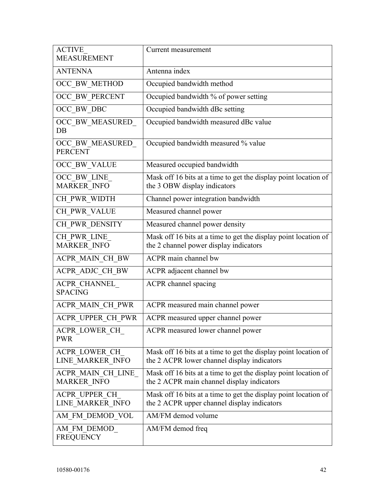| <b>ACTIVE</b><br><b>MEASUREMENT</b>     | Current measurement                                                                                            |
|-----------------------------------------|----------------------------------------------------------------------------------------------------------------|
| <b>ANTENNA</b>                          | Antenna index                                                                                                  |
| OCC_BW_METHOD                           | Occupied bandwidth method                                                                                      |
| OCC_BW_PERCENT                          | Occupied bandwidth % of power setting                                                                          |
| OCC BW DBC                              | Occupied bandwidth dBc setting                                                                                 |
| OCC_BW_MEASURED_<br>$DB$                | Occupied bandwidth measured dBc value                                                                          |
| OCC BW MEASURED<br><b>PERCENT</b>       | Occupied bandwidth measured % value                                                                            |
| OCC_BW_VALUE                            | Measured occupied bandwidth                                                                                    |
| OCC BW LINE<br><b>MARKER INFO</b>       | Mask off 16 bits at a time to get the display point location of<br>the 3 OBW display indicators                |
| CH_PWR_WIDTH                            | Channel power integration bandwidth                                                                            |
| CH_PWR_VALUE                            | Measured channel power                                                                                         |
| CH PWR DENSITY                          | Measured channel power density                                                                                 |
| CH PWR LINE<br><b>MARKER INFO</b>       | Mask off 16 bits at a time to get the display point location of<br>the 2 channel power display indicators      |
| ACPR MAIN CH BW                         | <b>ACPR</b> main channel bw                                                                                    |
| ACPR_ADJC_CH_BW                         | ACPR adjacent channel bw                                                                                       |
| ACPR CHANNEL<br><b>SPACING</b>          | <b>ACPR</b> channel spacing                                                                                    |
| ACPR_MAIN_CH_PWR                        | ACPR measured main channel power                                                                               |
| ACPR_UPPER_CH_PWR                       | ACPR measured upper channel power                                                                              |
| ACPR LOWER CH<br><b>PWR</b>             | ACPR measured lower channel power                                                                              |
| ACPR LOWER CH<br>LINE MARKER INFO       | Mask off 16 bits at a time to get the display point location of<br>the 2 ACPR lower channel display indicators |
| ACPR MAIN CH LINE<br><b>MARKER INFO</b> | Mask off 16 bits at a time to get the display point location of<br>the 2 ACPR main channel display indicators  |
| ACPR UPPER CH<br>LINE MARKER INFO       | Mask off 16 bits at a time to get the display point location of<br>the 2 ACPR upper channel display indicators |
| AM FM DEMOD VOL                         | AM/FM demod volume                                                                                             |
| AM FM DEMOD<br><b>FREQUENCY</b>         | AM/FM demod freq                                                                                               |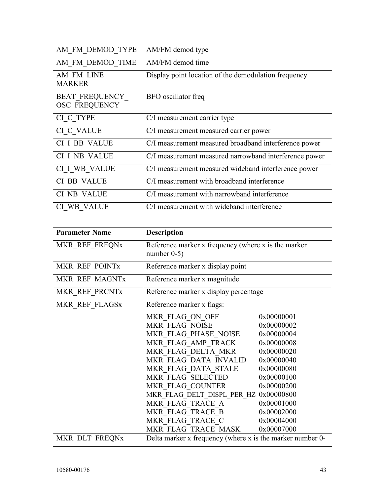| AM FM DEMOD TYPE                              | AM/FM demod type                                       |
|-----------------------------------------------|--------------------------------------------------------|
| AM FM DEMOD TIME                              | AM/FM demod time                                       |
| AM FM LINE<br><b>MARKER</b>                   | Display point location of the demodulation frequency   |
| <b>BEAT FREQUENCY</b><br><b>OSC FREQUENCY</b> | BFO oscillator freq                                    |
| CI_C TYPE                                     | C/I measurement carrier type                           |
| <b>CI_C_VALUE</b>                             | C/I measurement measured carrier power                 |
| CI I BB VALUE                                 | C/I measurement measured broadband interference power  |
| CI I NB VALUE                                 | C/I measurement measured narrowband interference power |
| CI I WB VALUE                                 | C/I measurement measured wideband interference power   |
| CI BB_VALUE                                   | C/I measurement with broadband interference            |
| CI NB VALUE                                   | C/I measurement with narrowband interference           |
| CI WB VALUE                                   | C/I measurement with wideband interference             |

| <b>Parameter Name</b> | <b>Description</b>                                                    |            |
|-----------------------|-----------------------------------------------------------------------|------------|
| MKR REF FREQNx        | Reference marker x frequency (where x is the marker<br>number $0-5$ ) |            |
| MKR REF POINTx        | Reference marker x display point                                      |            |
| MKR REF MAGNTx        | Reference marker x magnitude                                          |            |
| MKR REF PRCNTx        | Reference marker x display percentage                                 |            |
| MKR REF FLAGSx        | Reference marker x flags:                                             |            |
|                       | MKR FLAG ON OFF                                                       | 0x00000001 |
|                       | MKR FLAG NOISE                                                        | 0x00000002 |
|                       | MKR FLAG PHASE NOISE                                                  | 0x00000004 |
|                       | MKR FLAG AMP TRACK                                                    | 0x00000008 |
|                       | MKR FLAG DELTA MKR                                                    | 0x00000020 |
|                       | MKR FLAG DATA INVALID                                                 | 0x00000040 |
|                       | MKR FLAG DATA STALE                                                   | 0x00000080 |
|                       | MKR FLAG SELECTED                                                     | 0x00000100 |
|                       | MKR FLAG COUNTER                                                      | 0x00000200 |
|                       | MKR FLAG DELT DISPL PER HZ 0x00000800                                 |            |
|                       | MKR FLAG TRACE A                                                      | 0x00001000 |
|                       | MKR FLAG TRACE B                                                      | 0x00002000 |
|                       | MKR FLAG TRACE C                                                      | 0x00004000 |
|                       | MKR FLAG TRACE MASK                                                   | 0x00007000 |
| MKR DLT FREQNx        | Delta marker x frequency (where x is the marker number 0-             |            |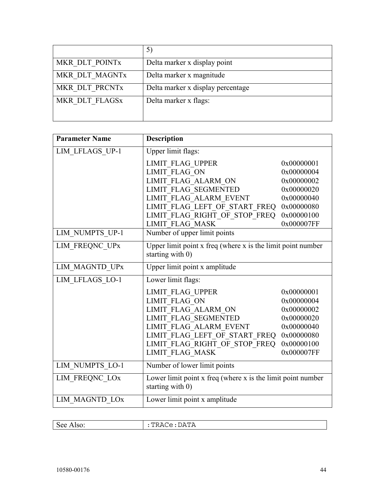| MKR DLT POINTx | Delta marker x display point      |
|----------------|-----------------------------------|
| MKR DLT MAGNTx | Delta marker x magnitude          |
| MKR DLT PRCNTx | Delta marker x display percentage |
| MKR DLT FLAGSx | Delta marker x flags:             |
|                |                                   |

| <b>Parameter Name</b> | <b>Description</b>                                                                  |            |
|-----------------------|-------------------------------------------------------------------------------------|------------|
| LIM LFLAGS UP-1       | Upper limit flags:                                                                  |            |
|                       | <b>LIMIT FLAG UPPER</b>                                                             | 0x00000001 |
|                       | <b>LIMIT FLAG ON</b>                                                                | 0x00000004 |
|                       | LIMIT FLAG ALARM ON                                                                 | 0x00000002 |
|                       | <b>LIMIT FLAG SEGMENTED</b>                                                         | 0x00000020 |
|                       | LIMIT FLAG ALARM EVENT                                                              | 0x00000040 |
|                       | LIMIT_FLAG_LEFT OF START FREQ                                                       | 0x00000080 |
|                       | LIMIT_FLAG_RIGHT_OF_STOP_FREQ                                                       | 0x00000100 |
|                       | <b>LIMIT FLAG MASK</b>                                                              | 0x000007FF |
| LIM NUMPTS UP-1       | Number of upper limit points                                                        |            |
| LIM FREQNC UPx        | Upper limit point $x$ freq (where $x$ is the limit point number<br>starting with 0) |            |
| LIM MAGNTD UPx        | Upper limit point x amplitude                                                       |            |
| LIM LFLAGS LO-1       | Lower limit flags:                                                                  |            |
|                       | <b>LIMIT FLAG UPPER</b>                                                             | 0x00000001 |
|                       | <b>LIMIT FLAG ON</b>                                                                | 0x00000004 |
|                       | LIMIT FLAG ALARM ON                                                                 | 0x00000002 |
|                       | <b>LIMIT FLAG SEGMENTED</b>                                                         | 0x00000020 |
|                       | LIMIT FLAG ALARM EVENT                                                              | 0x00000040 |
|                       | LIMIT FLAG LEFT OF START FREQ                                                       | 0x00000080 |
|                       | LIMIT FLAG RIGHT OF STOP FREQ                                                       | 0x00000100 |
|                       | <b>LIMIT FLAG MASK</b>                                                              | 0x000007FF |
| LIM_NUMPTS_LO-1       | Number of lower limit points                                                        |            |
| LIM FREQNC LOx        | Lower limit point $x$ freq (where $x$ is the limit point number<br>starting with 0) |            |
| LIM_MAGNTD_LOx        | Lower limit point x amplitude                                                       |            |

| $\overline{\phantom{a}}$ | --           |
|--------------------------|--------------|
|                          | 114100.DIIII |
|                          |              |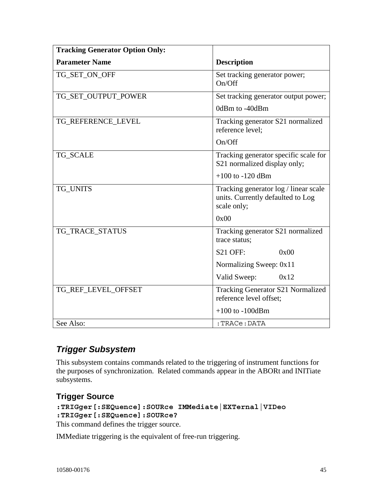| <b>Tracking Generator Option Only:</b> |                                                                                           |
|----------------------------------------|-------------------------------------------------------------------------------------------|
| <b>Parameter Name</b>                  | <b>Description</b>                                                                        |
| TG_SET_ON_OFF                          | Set tracking generator power;<br>On/Off                                                   |
| TG_SET_OUTPUT_POWER                    | Set tracking generator output power;                                                      |
|                                        | 0dBm to -40dBm                                                                            |
| TG_REFERENCE_LEVEL                     | Tracking generator S21 normalized<br>reference level;                                     |
|                                        | On/Off                                                                                    |
| <b>TG_SCALE</b>                        | Tracking generator specific scale for<br>S21 normalized display only;                     |
|                                        | $+100$ to $-120$ dBm                                                                      |
| TG_UNITS                               | Tracking generator log / linear scale<br>units. Currently defaulted to Log<br>scale only; |
|                                        | 0x00                                                                                      |
| TG_TRACE_STATUS                        | Tracking generator S21 normalized<br>trace status;                                        |
|                                        | $S21$ OFF:<br>0x00                                                                        |
|                                        | Normalizing Sweep: 0x11                                                                   |
|                                        | Valid Sweep:<br>0x12                                                                      |
| TG_REF_LEVEL_OFFSET                    | <b>Tracking Generator S21 Normalized</b><br>reference level offset;                       |
|                                        | $+100$ to $-100$ dBm                                                                      |
| See Also:                              | : TRACe: DATA                                                                             |

# *Trigger Subsystem*

This subsystem contains commands related to the triggering of instrument functions for the purposes of synchronization. Related commands appear in the ABORt and INITiate subsystems.

## **Trigger Source**

```
:TRIGger[:SEQuence]:SOURce IMMediate|EXTernal|VIDeo 
:TRIGger[:SEQuence]:SOURce?
```
This command defines the trigger source.

IMMediate triggering is the equivalent of free-run triggering.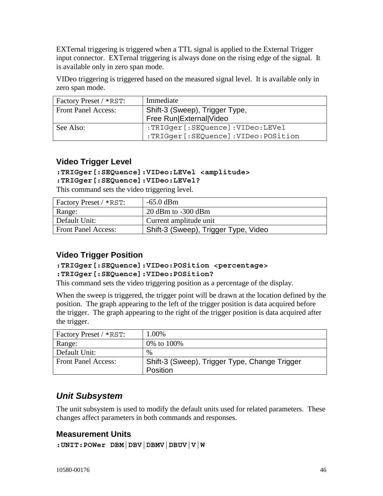EXTernal triggering is triggered when a TTL signal is applied to the External Trigger input connector. EXTernal triggering is always done on the rising edge of the signal. It is available only in zero span mode.

VIDeo triggering is triggered based on the measured signal level. It is available only in zero span mode.

| Factory Preset / *RST:     | Immediate                           |
|----------------------------|-------------------------------------|
| <b>Front Panel Access:</b> | Shift-3 (Sweep), Trigger Type,      |
|                            | Free Run External Video             |
| See Also:                  | :TRIGger [:SEQuence]:VIDeo:LEVel    |
|                            | :TRIGger [:SEQuence]:VIDeo:POSition |

## **Video Trigger Level**

#### **:TRIGger[:SEQuence]:VIDeo:LEVel <amplitude>**

#### **:TRIGger[:SEQuence]:VIDeo:LEVel?**

This command sets the video triggering level.

| Factory Preset / *RST:     | $-65.0$ dBm                          |
|----------------------------|--------------------------------------|
| Range:                     | $20$ dBm to -300 dBm                 |
| Default Unit:              | Current amplitude unit               |
| <b>Front Panel Access:</b> | Shift-3 (Sweep), Trigger Type, Video |

## **Video Trigger Position**

### **:TRIGger[:SEQuence]:VIDeo:POSition <percentage> :TRIGger[:SEQuence]:VIDeo:POSition?**

This command sets the video triggering position as a percentage of the display.

When the sweep is triggered, the trigger point will be drawn at the location defined by the position. The graph appearing to the left of the trigger position is data acquired before the trigger. The graph appearing to the right of the trigger position is data acquired after the trigger.

| Factory Preset / *RST:     | 1.00%                                         |
|----------------------------|-----------------------------------------------|
| Range:                     | 0\% to 100\%                                  |
| Default Unit:              | $\%$                                          |
| <b>Front Panel Access:</b> | Shift-3 (Sweep), Trigger Type, Change Trigger |
|                            | Position                                      |

# *Unit Subsystem*

The unit subsystem is used to modify the default units used for related parameters. These changes affect parameters in both commands and responses.

## **Measurement Units**

```
:UNIT:POWer DBM|DBV|DBMV|DBUV|V|W
```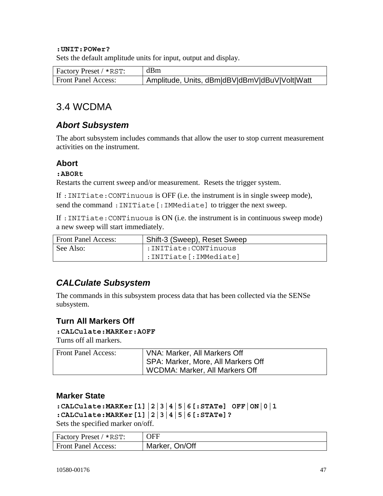#### **:UNIT:POWer?**

Sets the default amplitude units for input, output and display.

| Factory Preset / *RST:     | dBm                                           |
|----------------------------|-----------------------------------------------|
| <b>Front Panel Access:</b> | Amplitude, Units, dBm dBV dBmV dBuV Volt Watt |

# 3.4 WCDMA

## *Abort Subsystem*

The abort subsystem includes commands that allow the user to stop current measurement activities on the instrument.

## **Abort**

#### **:ABORt**

Restarts the current sweep and/or measurement. Resets the trigger system.

If :INITiate:CONTinuous is OFF (i.e. the instrument is in single sweep mode), send the command : INITiate [: IMMediate] to trigger the next sweep.

If :INITiate:CONTinuous is ON (i.e. the instrument is in continuous sweep mode) a new sweep will start immediately.

| <b>Front Panel Access:</b> | Shift-3 (Sweep), Reset Sweep |
|----------------------------|------------------------------|
| See Also:                  | :INITiate:CONTinuous         |
|                            | :INITiate :IMMediate]        |

# *CALCulate Subsystem*

The commands in this subsystem process data that has been collected via the SENSe subsystem.

## **Turn All Markers Off**

#### **:CALCulate:MARKer:AOFF**

Turns off all markers.

| <b>Front Panel Access:</b> | VNA: Marker, All Markers Off       |
|----------------------------|------------------------------------|
|                            | SPA: Marker, More, All Markers Off |
|                            | WCDMA: Marker, All Markers Off     |

#### **Marker State**

```
:CALCulate:MARKer[1]|2|3|4|5|6[:STATe] OFF|ON|0|1 
:CALCulate:MARKer[1]|2|3|4|5|6[:STATe]?
```
Sets the specified marker on/off.

| $\vert$ Factory Preset / *RST: | <b>OFF</b>     |
|--------------------------------|----------------|
| <b>Front Panel Access:</b>     | Marker, On/Off |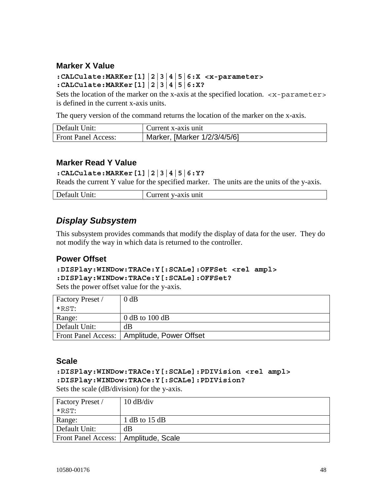## **Marker X Value**

#### **:CALCulate:MARKer[1]|2|3|4|5|6:X <x-parameter> :CALCulate:MARKer[1]|2|3|4|5|6:X?**

Sets the location of the marker on the x-axis at the specified location.  $\langle x$ -parameter> is defined in the current x-axis units.

The query version of the command returns the location of the marker on the x-axis.

| Default Unit:              | Current x-axis unit          |
|----------------------------|------------------------------|
| <b>Front Panel Access:</b> | Marker, [Marker 1/2/3/4/5/6] |

## **Marker Read Y Value**

**:CALCulate:MARKer[1]|2|3|4|5|6:Y?** 

Reads the current Y value for the specified marker. The units are the units of the y-axis.

| Default<br>$J$ nit: | v-axis unit<br>.<br>an un |
|---------------------|---------------------------|
|                     |                           |

## *Display Subsystem*

This subsystem provides commands that modify the display of data for the user. They do not modify the way in which data is returned to the controller.

## **Power Offset**

```
:DISPlay:WINDow:TRACe:Y[:SCALe]:OFFSet <rel ampl> 
:DISPlay:WINDow:TRACe:Y[:SCALe]:OFFSet?
```
Sets the power offset value for the y-axis.

| <b>Factory Preset</b> / | $0$ dB                                        |
|-------------------------|-----------------------------------------------|
| $*$ RST:                |                                               |
| Range:                  | $0$ dB to 100 dB                              |
| Default Unit:           | dВ                                            |
|                         | Front Panel Access:   Amplitude, Power Offset |

#### **Scale**

**:DISPlay:WINDow:TRACe:Y[:SCALe]:PDIVision <rel ampl> :DISPlay:WINDow:TRACe:Y[:SCALe]:PDIVision?**  Sets the scale (dB/division) for the y-axis.

| Factory Preset /                       | $10 \text{ dB}/\text{div}$ |
|----------------------------------------|----------------------------|
| $*$ RST:                               |                            |
| Range:                                 | 1 dB to $15$ dB            |
| Default Unit:                          | dB                         |
| Front Panel Access:   Amplitude, Scale |                            |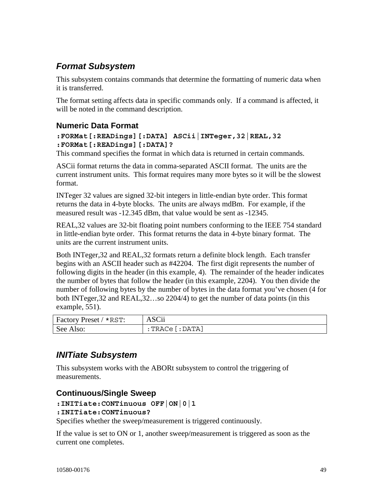# *Format Subsystem*

This subsystem contains commands that determine the formatting of numeric data when it is transferred.

The format setting affects data in specific commands only. If a command is affected, it will be noted in the command description.

## **Numeric Data Format**

#### **:FORMat[:READings][:DATA] ASCii|INTeger,32|REAL,32 :FORMat[:READings][:DATA]?**

This command specifies the format in which data is returned in certain commands.

ASCii format returns the data in comma-separated ASCII format. The units are the current instrument units. This format requires many more bytes so it will be the slowest format.

INTeger 32 values are signed 32-bit integers in little-endian byte order. This format returns the data in 4-byte blocks. The units are always mdBm. For example, if the measured result was -12.345 dBm, that value would be sent as -12345.

REAL,32 values are 32-bit floating point numbers conforming to the IEEE 754 standard in little-endian byte order. This format returns the data in 4-byte binary format. The units are the current instrument units.

Both INTeger,32 and REAL,32 formats return a definite block length. Each transfer begins with an ASCII header such as #42204. The first digit represents the number of following digits in the header (in this example, 4). The remainder of the header indicates the number of bytes that follow the header (in this example, 2204). You then divide the number of following bytes by the number of bytes in the data format you've chosen (4 for both INTeger,32 and REAL,32…so 2204/4) to get the number of data points (in this example, 551).

| Factory Preset / *RST: | <b>ASCii</b>          |
|------------------------|-----------------------|
| See Also:              | $:$ TRACe $[$ : DATA] |

## *INITiate Subsystem*

This subsystem works with the ABORt subsystem to control the triggering of measurements.

## **Continuous/Single Sweep**

```
:INITiate:CONTinuous OFF|ON|0|1
```
#### **:INITiate:CONTinuous?**

Specifies whether the sweep/measurement is triggered continuously.

If the value is set to ON or 1, another sweep/measurement is triggered as soon as the current one completes.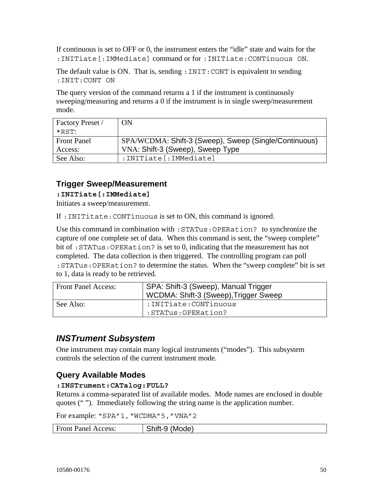If continuous is set to OFF or 0, the instrument enters the "idle" state and waits for the :INITiate[:IMMediate] command or for :INITiate:CONTinuous ON.

The default value is ON. That is, sending: INIT: CONT is equivalent to sending :INIT:CONT ON

The query version of the command returns a 1 if the instrument is continuously sweeping/measuring and returns a 0 if the instrument is in single sweep/measurement mode.

| Factory Preset /   | ON                                                    |
|--------------------|-------------------------------------------------------|
| $*$ RST:           |                                                       |
| <b>Front Panel</b> | SPA/WCDMA: Shift-3 (Sweep), Sweep (Single/Continuous) |
| Access:            | VNA: Shift-3 (Sweep), Sweep Type                      |
| See Also:          | : INITiate [: IMMediate]                              |

## **Trigger Sweep/Measurement**

**:INITiate[:IMMediate]** 

Initiates a sweep/measurement.

If :INITitate:CONTinuous is set to ON, this command is ignored.

Use this command in combination with :STATus:OPERation? to synchronize the capture of one complete set of data. When this command is sent, the "sweep complete" bit of :STATus:OPERation? is set to 0, indicating that the measurement has not completed. The data collection is then triggered. The controlling program can poll :STATus:OPERation? to determine the status. When the "sweep complete" bit is set to 1, data is ready to be retrieved.

| <b>Front Panel Access:</b> | SPA: Shift-3 (Sweep), Manual Trigger<br>WCDMA: Shift-3 (Sweep), Trigger Sweep |
|----------------------------|-------------------------------------------------------------------------------|
| See Also:                  | :INITiate:CONTinuous                                                          |
|                            | :STATus:OPERation?                                                            |

# *INSTrument Subsystem*

One instrument may contain many logical instruments ("modes"). This subsystem controls the selection of the current instrument mode.

## **Query Available Modes**

#### **:INSTrument:CATalog:FULL?**

Returns a comma-separated list of available modes. Mode names are enclosed in double quotes (" "). Immediately following the string name is the application number.

For example: "SPA"1, "WCDMA"5, "VNA"2

| <b>Front Panel Access:</b> | Shift-9 (Mode) |
|----------------------------|----------------|
|----------------------------|----------------|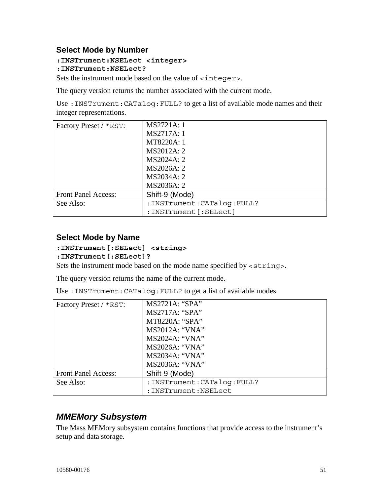## **Select Mode by Number**

#### **:INSTrument:NSELect <integer>**

#### **:INSTrument:NSELect?**

Sets the instrument mode based on the value of <integer>.

The query version returns the number associated with the current mode.

Use :INSTrument:CATalog:FULL? to get a list of available mode names and their integer representations.

| Factory Preset / *RST:     | MS2721A: 1                   |
|----------------------------|------------------------------|
|                            | MS2717A: 1                   |
|                            | MT8220A: 1                   |
|                            | MS2012A: 2                   |
|                            | MS2024A: 2                   |
|                            | MS2026A: 2                   |
|                            | MS2034A: 2                   |
|                            | MS2036A: 2                   |
| <b>Front Panel Access:</b> | Shift-9 (Mode)               |
| See Also:                  | : INSTrument: CATalog: FULL? |
|                            | : INSTrument [: SELect]      |

## **Select Mode by Name**

#### **:INSTrument[:SELect] <string>**

#### **:INSTrument[:SELect]?**

Sets the instrument mode based on the mode name specified by <string>.

The query version returns the name of the current mode.

Use :INSTrument:CATalog:FULL? to get a list of available modes.

| Factory Preset / *RST:     | MS2721A: "SPA"               |
|----------------------------|------------------------------|
|                            | MS2717A: "SPA"               |
|                            | MT8220A: "SPA"               |
|                            | <b>MS2012A: "VNA"</b>        |
|                            | <b>MS2024A: "VNA"</b>        |
|                            | <b>MS2026A: "VNA"</b>        |
|                            | <b>MS2034A: "VNA"</b>        |
|                            | <b>MS2036A: "VNA"</b>        |
| <b>Front Panel Access:</b> | Shift-9 (Mode)               |
| See Also:                  | : INSTrument: CATalog: FULL? |
|                            | :INSTrument:NSELect          |

# *MMEMory Subsystem*

The Mass MEMory subsystem contains functions that provide access to the instrument's setup and data storage.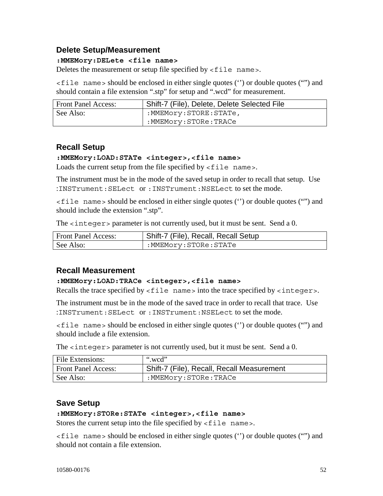## **Delete Setup/Measurement**

#### **:MMEMory:DELete <file name>**

Deletes the measurement or setup file specified by  $\le$  file name>.

<file name> should be enclosed in either single quotes ('') or double quotes ("") and should contain a file extension ".stp" for setup and ".wcd" for measurement.

| Front Panel Access: | Shift-7 (File), Delete, Delete Selected File |
|---------------------|----------------------------------------------|
| See Also:           | :MMEMory:STORE:STATe,                        |
|                     | :MMEMory:STORe:TRACe:                        |

## **Recall Setup**

#### **:MMEMory:LOAD:STATe <integer>,<file name>**

Loads the current setup from the file specified by  $\lt$  file name>.

The instrument must be in the mode of the saved setup in order to recall that setup. Use :INSTrument:SELect or :INSTrument:NSELect to set the mode.

<file name> should be enclosed in either single quotes ('') or double quotes ("") and should include the extension ".stp".

The  $\langle$  integer  $>$  parameter is not currently used, but it must be sent. Send a 0.

| <b>Front Panel Access:</b> | Shift-7 (File), Recall, Recall Setup |
|----------------------------|--------------------------------------|
| See Also:                  | :MMEMory:STORe:STATe                 |

## **Recall Measurement**

#### **:MMEMory:LOAD:TRACe <integer>,<file name>**

Recalls the trace specified by  $\le$  file name  $>$  into the trace specified by  $\le$  integer  $>$ .

The instrument must be in the mode of the saved trace in order to recall that trace. Use :INSTrument:SELect or :INSTrument:NSELect to set the mode.

<file name> should be enclosed in either single quotes ('') or double quotes ("") and should include a file extension.

The <integer> parameter is not currently used, but it must be sent. Send a 0.

| File Extensions:           | ".wcd"                                     |
|----------------------------|--------------------------------------------|
| <b>Front Panel Access:</b> | Shift-7 (File), Recall, Recall Measurement |
| See Also:                  | :MMEMory:STORe:TRACe                       |

## **Save Setup**

#### **:MMEMory:STORe:STATe <integer>,<file name>**

Stores the current setup into the file specified by  $\le$  file name>.

<file name> should be enclosed in either single quotes ('') or double quotes ("") and should not contain a file extension.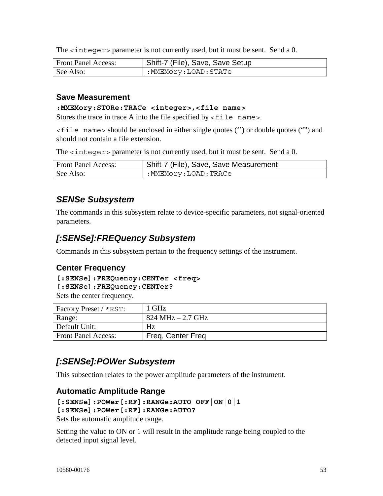The  $\langle$  integer  $>$  parameter is not currently used, but it must be sent. Send a 0.

| <b>Front Panel Access:</b> | Shift-7 (File), Save, Save Setup |
|----------------------------|----------------------------------|
| See Also:                  | :MMEMory:LOAD:STATe              |

### **Save Measurement**

#### **:MMEMory:STORe:TRACe <integer>,<file name>**

Stores the trace in trace A into the file specified by  $\le$  file name>.

<file name> should be enclosed in either single quotes ('') or double quotes ("") and should not contain a file extension.

The  $\langle$  integer > parameter is not currently used, but it must be sent. Send a 0.

| <b>Front Panel Access:</b> | <sup>I</sup> Shift-7 (File), Save, Save Measurement |
|----------------------------|-----------------------------------------------------|
| See Also:                  | :MMEMory:LOAD:TRACe                                 |

## *SENSe Subsystem*

The commands in this subsystem relate to device-specific parameters, not signal-oriented parameters.

## *[:SENSe]:FREQuency Subsystem*

Commands in this subsystem pertain to the frequency settings of the instrument.

## **Center Frequency**

**[:SENSe]:FREQuency:CENTer <freq>** 

```
[:SENSe]:FREQuency:CENTer?
```
Sets the center frequency.

| Factory Preset / *RST:     | 1 GHz               |
|----------------------------|---------------------|
| Range:                     | $824 MHz - 2.7 GHz$ |
| Default Unit:              | Hz                  |
| <b>Front Panel Access:</b> | Freq, Center Freq   |

# *[:SENSe]:POWer Subsystem*

This subsection relates to the power amplitude parameters of the instrument.

#### **Automatic Amplitude Range**

```
[:SENSe]:POWer[:RF]:RANGe:AUTO OFF|ON|0|1
```

```
[:SENSe]:POWer[:RF]:RANGe:AUTO?
```
Sets the automatic amplitude range.

Setting the value to ON or 1 will result in the amplitude range being coupled to the detected input signal level.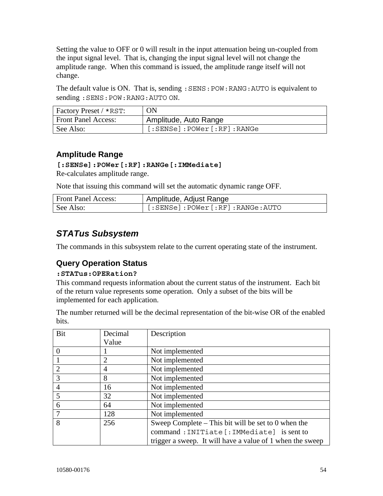Setting the value to OFF or 0 will result in the input attenuation being un-coupled from the input signal level. That is, changing the input signal level will not change the amplitude range. When this command is issued, the amplitude range itself will not change.

The default value is ON. That is, sending : SENS: POW: RANG: AUTO is equivalent to sending :SENS:POW:RANG:AUTO ON.

| <b>Factory Preset / *RST:</b> | ON                        |
|-------------------------------|---------------------------|
| <b>Front Panel Access:</b>    | Amplitude, Auto Range     |
| See Also:                     | [:SENSE]:POWer[:RF]:RANGE |

## **Amplitude Range**

#### **[:SENSe]:POWer[:RF]:RANGe[:IMMediate]**

Re-calculates amplitude range.

Note that issuing this command will set the automatic dynamic range OFF.

| <b>Front Panel Access:</b> | Amplitude, Adjust Range         |
|----------------------------|---------------------------------|
| See Also:                  | [:SENSe]:POWer[:RF]:RANGe:AUTO. |

# *STATus Subsystem*

The commands in this subsystem relate to the current operating state of the instrument.

## **Query Operation Status**

#### **:STATus:OPERation?**

This command requests information about the current status of the instrument. Each bit of the return value represents some operation. Only a subset of the bits will be implemented for each application.

The number returned will be the decimal representation of the bit-wise OR of the enabled bits.

| Bit            | Decimal        | Description                                               |
|----------------|----------------|-----------------------------------------------------------|
|                | Value          |                                                           |
|                |                | Not implemented                                           |
|                | $\overline{2}$ | Not implemented                                           |
| $\overline{2}$ | $\overline{4}$ | Not implemented                                           |
| 3              | 8              | Not implemented                                           |
| $\overline{4}$ | 16             | Not implemented                                           |
| 5              | 32             | Not implemented                                           |
| 6              | 64             | Not implemented                                           |
| $\tau$         | 128            | Not implemented                                           |
| 8              | 256            | Sweep Complete – This bit will be set to 0 when the       |
|                |                | command: INITiate [: IMMediate] is sent to                |
|                |                | trigger a sweep. It will have a value of 1 when the sweep |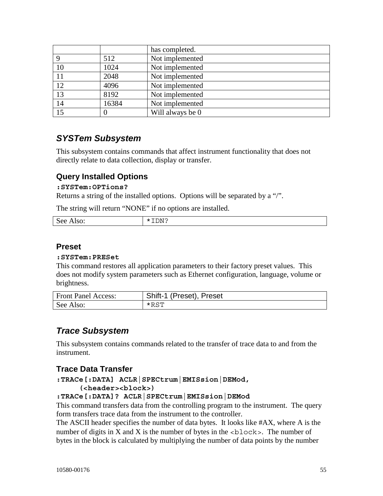|    |       | has completed.   |
|----|-------|------------------|
|    | 512   | Not implemented  |
| 10 | 1024  | Not implemented  |
| 11 | 2048  | Not implemented  |
| 12 | 4096  | Not implemented  |
| 13 | 8192  | Not implemented  |
| 14 | 16384 | Not implemented  |
| 15 |       | Will always be 0 |

## *SYSTem Subsystem*

This subsystem contains commands that affect instrument functionality that does not directly relate to data collection, display or transfer.

### **Query Installed Options**

#### **:SYSTem:OPTions?**

Returns a string of the installed options. Options will be separated by a "/".

The string will return "NONE" if no options are installed.

| $S_{\rho}$<br>$\sim$ $\sim$<br>$\overline{\phantom{a}}$<br>◡<br>JV.<br>$- - - -$ | ∩N ∩<br>--<br>$\mathbf{r}$<br>---- |
|----------------------------------------------------------------------------------|------------------------------------|
|                                                                                  |                                    |

#### **Preset**

#### **:SYSTem:PRESet**

This command restores all application parameters to their factory preset values. This does not modify system parameters such as Ethernet configuration, language, volume or brightness.

| <b>Front Panel Access:</b> | Shift-1 (Preset), Preset |
|----------------------------|--------------------------|
| See Also:                  | $*$ RST                  |

## *Trace Subsystem*

This subsystem contains commands related to the transfer of trace data to and from the instrument.

## **Trace Data Transfer**

**:TRACe[:DATA] ACLR|SPECtrum|EMISsion|DEMod,** 

#### **(<header><block>)**

#### **:TRACe[:DATA]? ACLR|SPECtrum|EMISsion|DEMod**

This command transfers data from the controlling program to the instrument. The query form transfers trace data from the instrument to the controller.

The ASCII header specifies the number of data bytes. It looks like #AX, where A is the number of digits in X and X is the number of bytes in the  $\langle$ block>. The number of bytes in the block is calculated by multiplying the number of data points by the number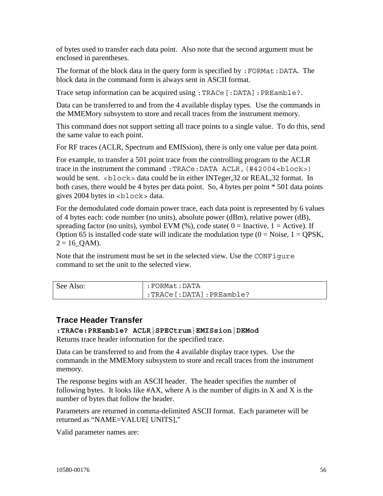of bytes used to transfer each data point. Also note that the second argument must be enclosed in parentheses.

The format of the block data in the query form is specified by  $:$  FORMat:DATA. The block data in the command form is always sent in ASCII format.

Trace setup information can be acquired using :TRACe[:DATA]:PREamble?.

Data can be transferred to and from the 4 available display types. Use the commands in the MMEMory subsystem to store and recall traces from the instrument memory.

This command does not support setting all trace points to a single value. To do this, send the same value to each point.

For RF traces (ACLR, Spectrum and EMISsion), there is only one value per data point.

For example, to transfer a 501 point trace from the controlling program to the ACLR trace in the instrument the command : TRACe: DATA ACLR, (#42004<br/>block>) would be sent.  $\lt$ block > data could be in either INTeger, 32 or REAL, 32 format. In both cases, there would be 4 bytes per data point. So, 4 bytes per point \* 501 data points gives 2004 bytes in <block> data.

For the demodulated code domain power trace, each data point is represented by 6 values of 4 bytes each: code number (no units), absolute power (dBm), relative power (dB), spreading factor (no units), symbol EVM (%), code state(  $0 = \text{Inactive}, 1 = \text{Active}$ ). If Option 65 is installed code state will indicate the modulation type  $(0 = Noise, 1 = QPSK)$ ,  $2 = 16$  QAM).

Note that the instrument must be set in the selected view. Use the CONFigure command to set the unit to the selected view.

| See Also: | :FORMat:DATA                     |
|-----------|----------------------------------|
|           | $\mid$ :TRACe [:DATA] :PREamble? |

## **Trace Header Transfer**

#### **:TRACe:PREamble? ACLR|SPECtrum|EMISsion|DEMod**

Returns trace header information for the specified trace.

Data can be transferred to and from the 4 available display trace types. Use the commands in the MMEMory subsystem to store and recall traces from the instrument memory.

The response begins with an ASCII header. The header specifies the number of following bytes. It looks like  $#AX$ , where A is the number of digits in X and X is the number of bytes that follow the header.

Parameters are returned in comma-delimited ASCII format. Each parameter will be returned as "NAME=VALUE[ UNITS],"

Valid parameter names are: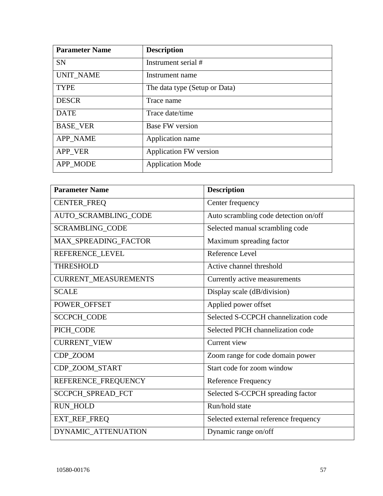| <b>Parameter Name</b> | <b>Description</b>            |
|-----------------------|-------------------------------|
| <b>SN</b>             | Instrument serial #           |
| <b>UNIT_NAME</b>      | Instrument name               |
| <b>TYPE</b>           | The data type (Setup or Data) |
| <b>DESCR</b>          | Trace name                    |
| <b>DATE</b>           | Trace date/time               |
| <b>BASE_VER</b>       | <b>Base FW</b> version        |
| <b>APP_NAME</b>       | Application name              |
| APP VER               | <b>Application FW version</b> |
| APP MODE              | <b>Application Mode</b>       |

| <b>Parameter Name</b>       | <b>Description</b>                    |
|-----------------------------|---------------------------------------|
| <b>CENTER_FREQ</b>          | Center frequency                      |
| AUTO_SCRAMBLING_CODE        | Auto scrambling code detection on/off |
| <b>SCRAMBLING_CODE</b>      | Selected manual scrambling code       |
| MAX_SPREADING_FACTOR        | Maximum spreading factor              |
| REFERENCE_LEVEL             | Reference Level                       |
| <b>THRESHOLD</b>            | Active channel threshold              |
| <b>CURRENT_MEASUREMENTS</b> | Currently active measurements         |
| <b>SCALE</b>                | Display scale (dB/division)           |
| POWER_OFFSET                | Applied power offset                  |
| <b>SCCPCH_CODE</b>          | Selected S-CCPCH channelization code  |
| PICH_CODE                   | Selected PICH channelization code     |
| <b>CURRENT_VIEW</b>         | Current view                          |
| CDP_ZOOM                    | Zoom range for code domain power      |
| CDP_ZOOM_START              | Start code for zoom window            |
| REFERENCE_FREQUENCY         | <b>Reference Frequency</b>            |
| SCCPCH_SPREAD_FCT           | Selected S-CCPCH spreading factor     |
| <b>RUN_HOLD</b>             | Run/hold state                        |
| EXT_REF_FREQ                | Selected external reference frequency |
| DYNAMIC_ATTENUATION         | Dynamic range on/off                  |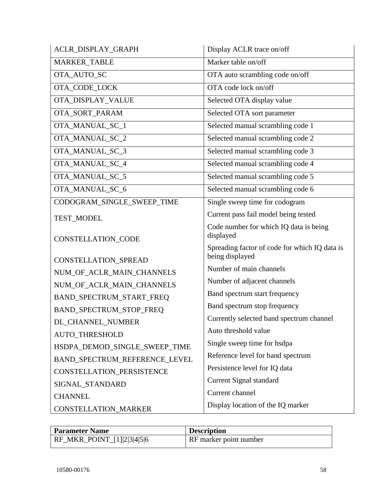| ACLR_DISPLAY_GRAPH            | Display ACLR trace on/off                                        |
|-------------------------------|------------------------------------------------------------------|
| <b>MARKER_TABLE</b>           | Marker table on/off                                              |
| OTA_AUTO_SC                   | OTA auto scrambling code on/off                                  |
| OTA_CODE_LOCK                 | OTA code lock on/off                                             |
| OTA_DISPLAY_VALUE             | Selected OTA display value                                       |
| OTA_SORT_PARAM                | Selected OTA sort parameter                                      |
| OTA_MANUAL_SC_1               | Selected manual scrambling code 1                                |
| OTA_MANUAL_SC_2               | Selected manual scrambling code 2                                |
| OTA_MANUAL_SC_3               | Selected manual scrambling code 3                                |
| OTA_MANUAL_SC_4               | Selected manual scrambling code 4                                |
| OTA_MANUAL_SC_5               | Selected manual scrambling code 5                                |
| OTA_MANUAL_SC_6               | Selected manual scrambling code 6                                |
| CODOGRAM SINGLE SWEEP TIME    | Single sweep time for codogram                                   |
| <b>TEST_MODEL</b>             | Current pass fail model being tested                             |
| <b>CONSTELLATION_CODE</b>     | Code number for which IQ data is being<br>displayed              |
| CONSTELLATION_SPREAD          | Spreading factor of code for which IQ data is<br>being displayed |
| NUM_OF_ACLR_MAIN_CHANNELS     | Number of main channels                                          |
| NUM_OF_ACLR_MAIN_CHANNELS     | Number of adjacent channels                                      |
| BAND_SPECTRUM_START_FREQ      | Band spectrum start frequency                                    |
| BAND_SPECTRUM_STOP_FREQ       | Band spectrum stop frequency                                     |
| DL_CHANNEL_NUMBER             | Currently selected band spectrum channel                         |
| <b>AUTO THRESHOLD</b>         | Auto threshold value                                             |
| HSDPA_DEMOD_SINGLE_SWEEP_TIME | Single sweep time for hsdpa                                      |
| BAND_SPECTRUM_REFERENCE_LEVEL | Reference level for band spectrum                                |
| CONSTELLATION_PERSISTENCE     | Persistence level for IQ data                                    |
| SIGNAL_STANDARD               | Current Signal standard                                          |
| <b>CHANNEL</b>                | Current channel                                                  |
| <b>CONSTELLATION_MARKER</b>   | Display location of the IQ marker                                |

| <b>Parameter Name</b>      | <b>Description</b>            |
|----------------------------|-------------------------------|
| RF_MKR_POINT_[1] 2 3 4 5 6 | <b>RF</b> marker point number |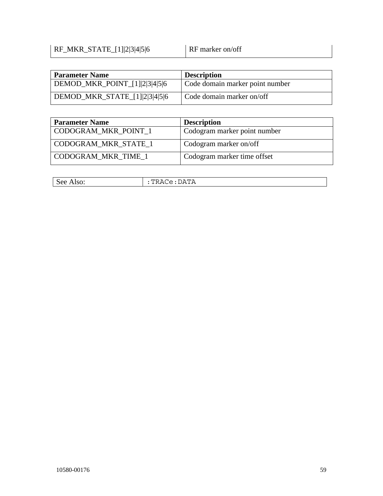## $RF\_MKR\_STATE\_[1][2]3|4|5|6$  RF marker on/off

| <b>Parameter Name</b>         | <b>Description</b>              |
|-------------------------------|---------------------------------|
| DEMOD_MKR_POINT_[1] 2 3 4 5 6 | Code domain marker point number |
| DEMOD_MKR_STATE_[1] 2 3 4 5 6 | Code domain marker on/off       |

| <b>Parameter Name</b>       | <b>Description</b>           |
|-----------------------------|------------------------------|
| CODOGRAM_MKR_POINT_1        | Codogram marker point number |
| <b>CODOGRAM MKR STATE 1</b> | Codogram marker on/off       |
| CODOGRAM_MKR_TIME_1         | Codogram marker time offset  |

| INACG. DAIA |
|-------------|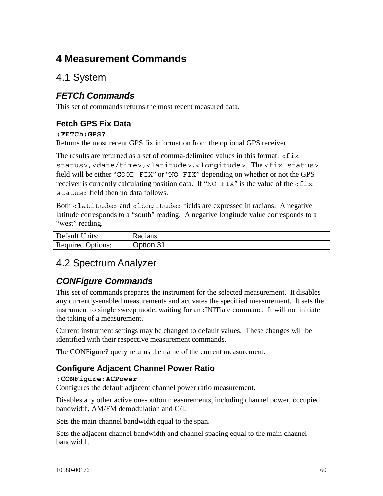# **4 Measurement Commands**

# 4.1 System

# *FETCh Commands*

This set of commands returns the most recent measured data.

## **Fetch GPS Fix Data**

#### **:FETCh:GPS?**

Returns the most recent GPS fix information from the optional GPS receiver.

The results are returned as a set of comma-delimited values in this format:  $\epsilon$  f ix status>,<date/time>,<latitude>,<longitude>. The <fix status> field will be either "GOOD FIX" or "NO FIX" depending on whether or not the GPS receiver is currently calculating position data. If "NO FIX" is the value of the  $\leq$  fix status> field then no data follows.

Both <latitude> and <longitude> fields are expressed in radians. A negative latitude corresponds to a "south" reading. A negative longitude value corresponds to a "west" reading.

| Default Units:           | Radians   |
|--------------------------|-----------|
| <b>Required Options:</b> | Option 31 |

# 4.2 Spectrum Analyzer

# *CONFigure Commands*

This set of commands prepares the instrument for the selected measurement. It disables any currently-enabled measurements and activates the specified measurement. It sets the instrument to single sweep mode, waiting for an :INITiate command. It will not initiate the taking of a measurement.

Current instrument settings may be changed to default values. These changes will be identified with their respective measurement commands.

The CONFigure? query returns the name of the current measurement.

## **Configure Adjacent Channel Power Ratio**

#### **:CONFigure:ACPower**

Configures the default adjacent channel power ratio measurement.

Disables any other active one-button measurements, including channel power, occupied bandwidth, AM/FM demodulation and C/I.

Sets the main channel bandwidth equal to the span.

Sets the adjacent channel bandwidth and channel spacing equal to the main channel bandwidth.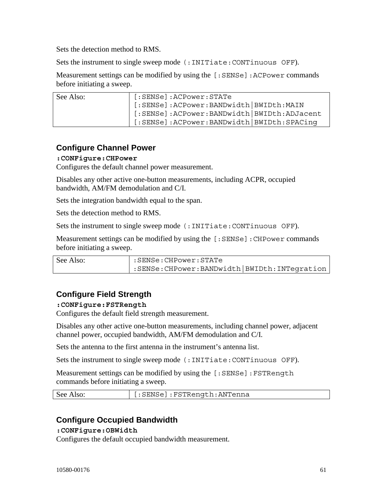Sets the detection method to RMS.

Sets the instrument to single sweep mode (:INITiate:CONTinuous OFF).

Measurement settings can be modified by using the [:SENSe]: ACPower commands before initiating a sweep.

| See Also: | [:SENSe]:ACPower:STATe                       |
|-----------|----------------------------------------------|
|           | [:SENSe]:ACPower:BANDwidth BWIDth:MAIN       |
|           | [:SENSe]:ACPower:BANDwidth   BWIDth:ADJacent |
|           | [:SENSe]:ACPower:BANDwidth BWIDth:SPACing    |

## **Configure Channel Power**

#### **:CONFigure:CHPower**

Configures the default channel power measurement.

Disables any other active one-button measurements, including ACPR, occupied bandwidth, AM/FM demodulation and C/I.

Sets the integration bandwidth equal to the span.

Sets the detection method to RMS.

Sets the instrument to single sweep mode (:INITiate:CONTinuous OFF).

Measurement settings can be modified by using the [:SENSe]: CHPower commands before initiating a sweep.

| See Also: | :SENSe:CHPower:STATe                              |  |
|-----------|---------------------------------------------------|--|
|           | : SENSe: CHPower: BANDwidth   BWIDth: INTegration |  |

## **Configure Field Strength**

#### **:CONFigure:FSTRength**

Configures the default field strength measurement.

Disables any other active one-button measurements, including channel power, adjacent channel power, occupied bandwidth, AM/FM demodulation and C/I.

Sets the antenna to the first antenna in the instrument's antenna list.

Sets the instrument to single sweep mode (:INITiate:CONTinuous OFF).

Measurement settings can be modified by using the [: SENSe]: FSTRength commands before initiating a sweep.

| See Also: | [:SENSe]:FSTRength:ANTenna [ |
|-----------|------------------------------|
|-----------|------------------------------|

## **Configure Occupied Bandwidth**

#### **:CONFigure:OBWidth**

Configures the default occupied bandwidth measurement.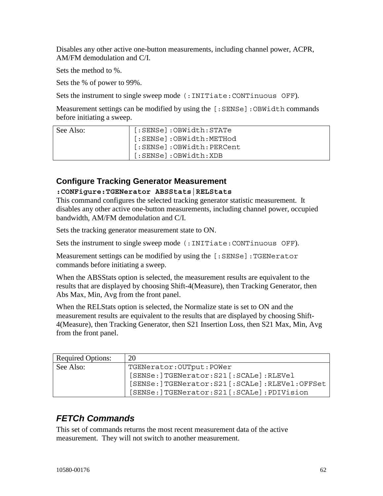Disables any other active one-button measurements, including channel power, ACPR, AM/FM demodulation and C/I.

Sets the method to %.

Sets the % of power to 99%.

Sets the instrument to single sweep mode (:INITiate:CONTinuous OFF).

Measurement settings can be modified by using the [:SENSe]:OBWidth commands before initiating a sweep.

| See Also: | [:SENSe]:OBWidth:STATe   |
|-----------|--------------------------|
|           | [:SENSe]:OBWidth:METHod  |
|           | [:SENSe]:OBWidth:PERCent |
|           | [:SENSe]:OBWidth:XDB     |

## **Configure Tracking Generator Measurement**

#### **:CONFigure:TGENerator ABSStats|RELStats**

This command configures the selected tracking generator statistic measurement. It disables any other active one-button measurements, including channel power, occupied bandwidth, AM/FM demodulation and C/I.

Sets the tracking generator measurement state to ON.

Sets the instrument to single sweep mode (:INITiate:CONTinuous OFF).

Measurement settings can be modified by using the [:SENSe]:TGENerator commands before initiating a sweep.

When the ABSStats option is selected, the measurement results are equivalent to the results that are displayed by choosing Shift-4(Measure), then Tracking Generator, then Abs Max, Min, Avg from the front panel.

When the RELStats option is selected, the Normalize state is set to ON and the measurement results are equivalent to the results that are displayed by choosing Shift-4(Measure), then Tracking Generator, then S21 Insertion Loss, then S21 Max, Min, Avg from the front panel.

| <b>Required Options:</b> | 20                                            |
|--------------------------|-----------------------------------------------|
| See Also:                | TGENerator: OUTput: POWer                     |
|                          | [SENSe: ]TGENerator: S21 [: SCALe]: RLEVel    |
|                          | [SENSe:]TGENerator:S21[:SCALe]:RLEVel:OFFSet  |
|                          | [SENSe: ]TGENerator: S21 [: SCALe]: PDIVision |

# *FETCh Commands*

This set of commands returns the most recent measurement data of the active measurement. They will not switch to another measurement.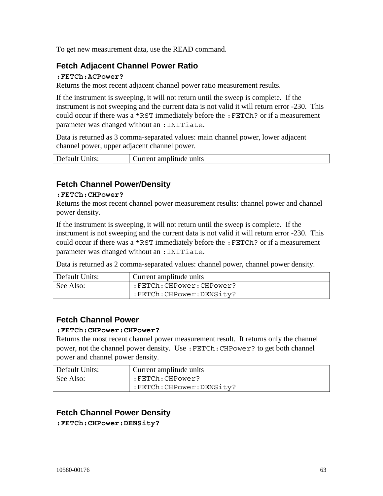To get new measurement data, use the READ command.

## **Fetch Adjacent Channel Power Ratio**

#### **:FETCh:ACPower?**

Returns the most recent adjacent channel power ratio measurement results.

If the instrument is sweeping, it will not return until the sweep is complete. If the instrument is not sweeping and the current data is not valid it will return error -230. This could occur if there was a \*RST immediately before the :FETCh? or if a measurement parameter was changed without an :INITiate.

Data is returned as 3 comma-separated values: main channel power, lower adjacent channel power, upper adjacent channel power.

| Default Units: | Current amplitude units |
|----------------|-------------------------|
|                |                         |

## **Fetch Channel Power/Density**

#### **:FETCh:CHPower?**

Returns the most recent channel power measurement results: channel power and channel power density.

If the instrument is sweeping, it will not return until the sweep is complete. If the instrument is not sweeping and the current data is not valid it will return error -230. This could occur if there was a \*RST immediately before the :FETCh? or if a measurement parameter was changed without an :INITiate.

Data is returned as 2 comma-separated values: channel power, channel power density.

| Default Units: | Current amplitude units   |
|----------------|---------------------------|
| See Also:      | :FETCh:CHPower:CHPower?   |
|                | :FETCh: CHPower: DENSity? |

## **Fetch Channel Power**

#### **:FETCh:CHPower:CHPower?**

Returns the most recent channel power measurement result. It returns only the channel power, not the channel power density. Use :FETCh:CHPower? to get both channel power and channel power density.

| Default Units: | Current amplitude units   |
|----------------|---------------------------|
| See Also:      | :FETCh:CHPower?           |
|                | :FETCh: CHPower: DENSity? |

## **Fetch Channel Power Density**

**:FETCh:CHPower:DENSity?**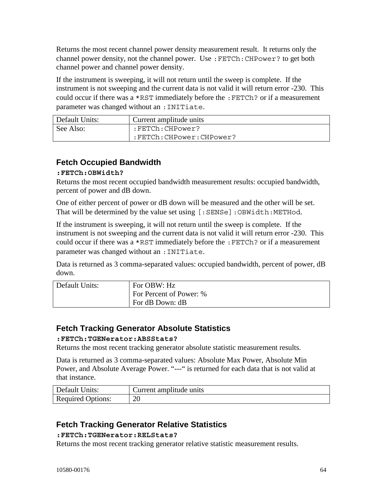Returns the most recent channel power density measurement result. It returns only the channel power density, not the channel power. Use :FETCh:CHPower? to get both channel power and channel power density.

If the instrument is sweeping, it will not return until the sweep is complete. If the instrument is not sweeping and the current data is not valid it will return error -230. This could occur if there was a \*RST immediately before the :FETCh? or if a measurement parameter was changed without an : INITiate.

| Default Units: | Current amplitude units   |
|----------------|---------------------------|
| See Also:      | :FETCh:CHPower?           |
|                | :FETCh:CHPower:CHPower? : |

## **Fetch Occupied Bandwidth**

### **:FETCh:OBWidth?**

Returns the most recent occupied bandwidth measurement results: occupied bandwidth, percent of power and dB down.

One of either percent of power or dB down will be measured and the other will be set. That will be determined by the value set using [:SENSe]:OBWidth:METHod.

If the instrument is sweeping, it will not return until the sweep is complete. If the instrument is not sweeping and the current data is not valid it will return error -230. This could occur if there was a \*RST immediately before the :FETCh? or if a measurement parameter was changed without an :INITiate.

Data is returned as 3 comma-separated values: occupied bandwidth, percent of power, dB down.

| Default Units: | For OBW: Hz             |
|----------------|-------------------------|
|                | For Percent of Power: % |
|                | For dB Down: dB         |

## **Fetch Tracking Generator Absolute Statistics**

#### **:FETCh:TGENerator:ABSStats?**

Returns the most recent tracking generator absolute statistic measurement results.

Data is returned as 3 comma-separated values: Absolute Max Power, Absolute Min Power, and Absolute Average Power. "---" is returned for each data that is not valid at that instance.

| Default Units:           | Current amplitude units |
|--------------------------|-------------------------|
| <b>Required Options:</b> | 20                      |

## **Fetch Tracking Generator Relative Statistics**

#### **:FETCh:TGENerator:RELStats?**

Returns the most recent tracking generator relative statistic measurement results.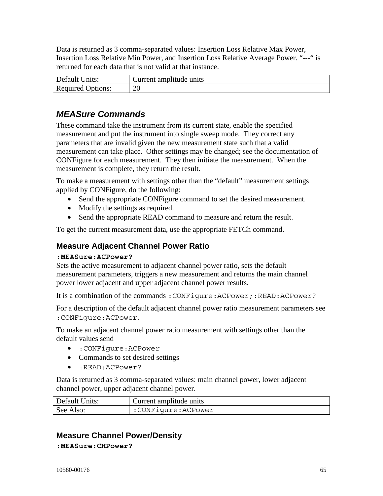Data is returned as 3 comma-separated values: Insertion Loss Relative Max Power, Insertion Loss Relative Min Power, and Insertion Loss Relative Average Power. "---" is returned for each data that is not valid at that instance.

| Default Units:           | Current amplitude units |
|--------------------------|-------------------------|
| <b>Required Options:</b> | 20                      |

# *MEASure Commands*

These command take the instrument from its current state, enable the specified measurement and put the instrument into single sweep mode. They correct any parameters that are invalid given the new measurement state such that a valid measurement can take place. Other settings may be changed; see the documentation of CONFigure for each measurement. They then initiate the measurement. When the measurement is complete, they return the result.

To make a measurement with settings other than the "default" measurement settings applied by CONFigure, do the following:

- Send the appropriate CONFigure command to set the desired measurement.
- Modify the settings as required.
- Send the appropriate READ command to measure and return the result.

To get the current measurement data, use the appropriate FETCh command.

## **Measure Adjacent Channel Power Ratio**

#### **:MEASure:ACPower?**

Sets the active measurement to adjacent channel power ratio, sets the default measurement parameters, triggers a new measurement and returns the main channel power lower adjacent and upper adjacent channel power results.

It is a combination of the commands : CONFigure: ACPower;: READ: ACPower?

For a description of the default adjacent channel power ratio measurement parameters see :CONFigure:ACPower.

To make an adjacent channel power ratio measurement with settings other than the default values send

- :CONFigure:ACPower
- Commands to set desired settings
- :READ:ACPower?

Data is returned as 3 comma-separated values: main channel power, lower adjacent channel power, upper adjacent channel power.

| Default Units: | Current amplitude units |
|----------------|-------------------------|
| See Also:      | :CONFigure:ACPower      |

## **Measure Channel Power/Density**

**:MEASure:CHPower?**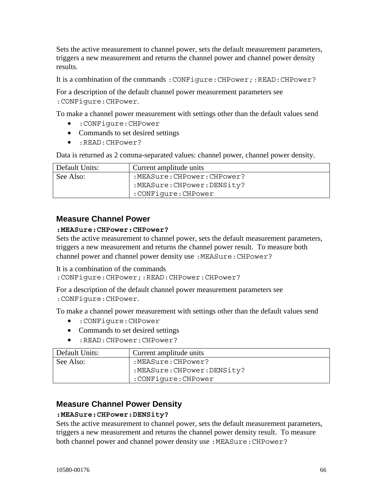Sets the active measurement to channel power, sets the default measurement parameters, triggers a new measurement and returns the channel power and channel power density results.

It is a combination of the commands: CONFigure: CHPower;:READ: CHPower?

For a description of the default channel power measurement parameters see :CONFigure:CHPower.

To make a channel power measurement with settings other than the default values send

- :CONFigure:CHPower
- Commands to set desired settings
- :READ:CHPower?

Data is returned as 2 comma-separated values: channel power, channel power density.

| Default Units: | Current amplitude units     |
|----------------|-----------------------------|
| See Also:      | :MEASure:CHPower:CHPower?   |
|                | :MEASure: CHPower: DENSity? |
|                | :CONFiqure:CHPower          |

### **Measure Channel Power**

#### **:MEASure:CHPower:CHPower?**

Sets the active measurement to channel power, sets the default measurement parameters, triggers a new measurement and returns the channel power result. To measure both channel power and channel power density use: MEASure: CHPower?

It is a combination of the commands

:CONFigure:CHPower;:READ:CHPower:CHPower?

For a description of the default channel power measurement parameters see :CONFigure:CHPower.

To make a channel power measurement with settings other than the default values send

- :CONFigure:CHPower
- Commands to set desired settings
- :READ:CHPower:CHPower?

| Default Units: | Current amplitude units     |
|----------------|-----------------------------|
| See Also:      | :MEASure:CHPower?           |
|                | :MEASure: CHPower: DENSity? |
|                | :CONFiqure:CHPower          |

#### **Measure Channel Power Density**

#### **:MEASure:CHPower:DENSity?**

Sets the active measurement to channel power, sets the default measurement parameters, triggers a new measurement and returns the channel power density result. To measure both channel power and channel power density use: MEASure: CHPower?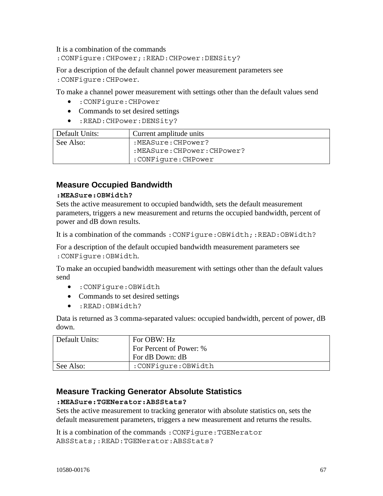It is a combination of the commands

:CONFigure:CHPower;:READ:CHPower:DENSity?

For a description of the default channel power measurement parameters see :CONFigure:CHPower.

To make a channel power measurement with settings other than the default values send

- :CONFigure:CHPower
- Commands to set desired settings
- :READ:CHPower:DENSity?

| Default Units: | Current amplitude units   |
|----------------|---------------------------|
| See Also:      | :MEASure:CHPower?         |
|                | :MEASure:CHPower:CHPower? |
|                | :CONFiqure:CHPower        |

## **Measure Occupied Bandwidth**

#### **:MEASure:OBWidth?**

Sets the active measurement to occupied bandwidth, sets the default measurement parameters, triggers a new measurement and returns the occupied bandwidth, percent of power and dB down results.

It is a combination of the commands : CONFigure: OBWidth;: READ: OBWidth?

For a description of the default occupied bandwidth measurement parameters see :CONFigure:OBWidth.

To make an occupied bandwidth measurement with settings other than the default values send

- :CONFigure:OBWidth
- Commands to set desired settings
- :READ:OBWidth?

Data is returned as 3 comma-separated values: occupied bandwidth, percent of power, dB down.

| Default Units: | For OBW: Hz                                |
|----------------|--------------------------------------------|
|                | For Percent of Power: %<br>For dB Down: dB |
| See Also:      | :CONFiqure:OBWidth                         |

## **Measure Tracking Generator Absolute Statistics**

#### **:MEASure:TGENerator:ABSStats?**

Sets the active measurement to tracking generator with absolute statistics on, sets the default measurement parameters, triggers a new measurement and returns the results.

It is a combination of the commands :CONFigure:TGENerator ABSStats;:READ:TGENerator:ABSStats?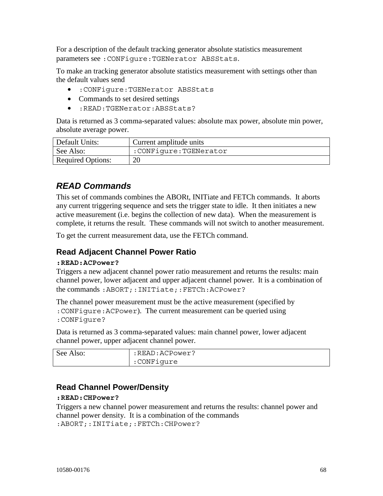For a description of the default tracking generator absolute statistics measurement parameters see :CONFigure:TGENerator ABSStats.

To make an tracking generator absolute statistics measurement with settings other than the default values send

- :CONFigure:TGENerator ABSStats
- Commands to set desired settings
- :READ:TGENerator:ABSStats?

Data is returned as 3 comma-separated values: absolute max power, absolute min power, absolute average power.

| Default Units:           | Current amplitude units |
|--------------------------|-------------------------|
| See Also:                | :CONFiqure:TGENerator   |
| <b>Required Options:</b> | 20                      |

# *READ Commands*

This set of commands combines the ABORt, INITiate and FETCh commands. It aborts any current triggering sequence and sets the trigger state to idle. It then initiates a new active measurement (i.e. begins the collection of new data). When the measurement is complete, it returns the result. These commands will not switch to another measurement.

To get the current measurement data, use the FETCh command.

## **Read Adjacent Channel Power Ratio**

#### **:READ:ACPower?**

Triggers a new adjacent channel power ratio measurement and returns the results: main channel power, lower adjacent and upper adjacent channel power. It is a combination of the commands :ABORT;:INITiate;:FETCh:ACPower?

The channel power measurement must be the active measurement (specified by :CONFigure:ACPower). The current measurement can be queried using

:CONFigure?

Data is returned as 3 comma-separated values: main channel power, lower adjacent channel power, upper adjacent channel power.

| See Also: | :READ:ACPower? |
|-----------|----------------|
|           | :CONFiqure     |

## **Read Channel Power/Density**

#### **:READ:CHPower?**

Triggers a new channel power measurement and returns the results: channel power and channel power density. It is a combination of the commands :ABORT;:INITiate;:FETCh:CHPower?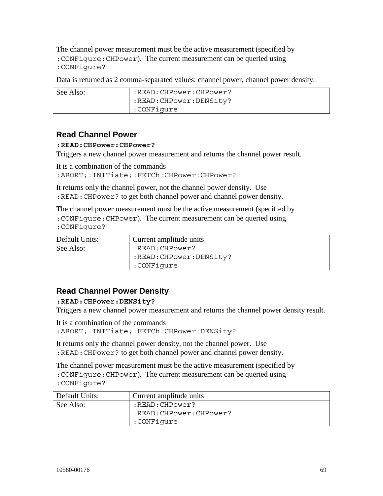The channel power measurement must be the active measurement (specified by :CONFigure:CHPower). The current measurement can be queried using :CONFigure?

Data is returned as 2 comma-separated values: channel power, channel power density.

| See Also: | :READ:CHPower:CHPower? |
|-----------|------------------------|
|           | :READ:CHPower:DENSity? |
|           | :CONFiqure             |

### **Read Channel Power**

#### **:READ:CHPower:CHPower?**

Triggers a new channel power measurement and returns the channel power result.

```
It is a combination of the commands 
:ABORT;:INITiate;:FETCh:CHPower:CHPower?
```
It returns only the channel power, not the channel power density. Use :READ:CHPower? to get both channel power and channel power density.

The channel power measurement must be the active measurement (specified by

:CONFigure:CHPower). The current measurement can be queried using :CONFigure?

| Default Units: | Current amplitude units  |
|----------------|--------------------------|
| See Also:      | :READ:CHPower?           |
|                | :READ: CHPower: DENSity? |
|                | :CONFiqure               |

## **Read Channel Power Density**

#### **:READ:CHPower:DENSity?**

Triggers a new channel power measurement and returns the channel power density result.

It is a combination of the commands

:ABORT;:INITiate;:FETCh:CHPower:DENSity?

It returns only the channel power density, not the channel power. Use :READ:CHPower? to get both channel power and channel power density.

The channel power measurement must be the active measurement (specified by

:CONFigure:CHPower). The current measurement can be queried using :CONFigure?

| Default Units: | Current amplitude units |
|----------------|-------------------------|
| See Also:      | :READ:CHPower?          |
|                | :READ:CHPower:CHPower?  |
|                | :CONFiqure              |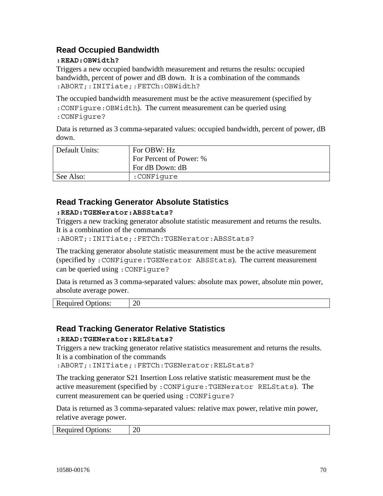## **Read Occupied Bandwidth**

#### **:READ:OBWidth?**

Triggers a new occupied bandwidth measurement and returns the results: occupied bandwidth, percent of power and dB down. It is a combination of the commands :ABORT;:INITiate;:FETCh:OBWidth?

The occupied bandwidth measurement must be the active measurement (specified by :CONFigure:OBWidth). The current measurement can be queried using :CONFigure?

Data is returned as 3 comma-separated values: occupied bandwidth, percent of power, dB down.

| Default Units: | For OBW: Hz             |
|----------------|-------------------------|
|                | For Percent of Power: % |
|                | For dB Down: dB         |
| See Also:      | :CONFiqure              |

## **Read Tracking Generator Absolute Statistics**

#### **:READ:TGENerator:ABSStats?**

Triggers a new tracking generator absolute statistic measurement and returns the results. It is a combination of the commands

:ABORT;:INITiate;:FETCh:TGENerator:ABSStats?

The tracking generator absolute statistic measurement must be the active measurement (specified by :CONFigure:TGENerator ABSStats). The current measurement can be queried using :CONFigure?

Data is returned as 3 comma-separated values: absolute max power, absolute min power, absolute average power.

Required Options: 20

## **Read Tracking Generator Relative Statistics**

#### **:READ:TGENerator:RELStats?**

Triggers a new tracking generator relative statistics measurement and returns the results. It is a combination of the commands

:ABORT;:INITiate;:FETCh:TGENerator:RELStats?

The tracking generator S21 Insertion Loss relative statistic measurement must be the active measurement (specified by :CONFigure:TGENerator RELStats). The current measurement can be queried using :CONFigure?

Data is returned as 3 comma-separated values: relative max power, relative min power, relative average power.

| Required C | $\sim$ |
|------------|--------|
| Options:   | ∠∪     |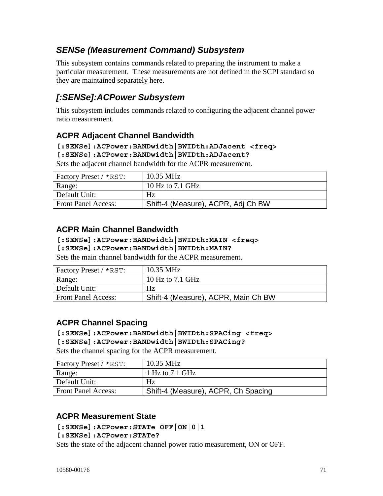# *SENSe (Measurement Command) Subsystem*

This subsystem contains commands related to preparing the instrument to make a particular measurement. These measurements are not defined in the SCPI standard so they are maintained separately here.

# *[:SENSe]:ACPower Subsystem*

This subsystem includes commands related to configuring the adjacent channel power ratio measurement.

## **ACPR Adjacent Channel Bandwidth**

**[:SENSe]:ACPower:BANDwidth|BWIDth:ADJacent <freq>** 

**[:SENSe]:ACPower:BANDwidth|BWIDth:ADJacent?** 

Sets the adjacent channel bandwidth for the ACPR measurement.

| Factory Preset / *RST:     | 10.35 MHz                          |
|----------------------------|------------------------------------|
| Range:                     | 10 Hz to 7.1 GHz                   |
| Default Unit:              | Hz                                 |
| <b>Front Panel Access:</b> | Shift-4 (Measure), ACPR, Adj Ch BW |

## **ACPR Main Channel Bandwidth**

#### **[:SENSe]:ACPower:BANDwidth|BWIDth:MAIN <freq>**

**[:SENSe]:ACPower:BANDwidth|BWIDth:MAIN?** 

Sets the main channel bandwidth for the ACPR measurement.

| Factory Preset / *RST:     | $10.35 \text{ MHz}$                 |
|----------------------------|-------------------------------------|
| Range:                     | 10 Hz to 7.1 GHz                    |
| Default Unit:              | Hz                                  |
| <b>Front Panel Access:</b> | Shift-4 (Measure), ACPR, Main Ch BW |

## **ACPR Channel Spacing**

#### **[:SENSe]:ACPower:BANDwidth|BWIDth:SPACing <freq>**

**[:SENSe]:ACPower:BANDwidth|BWIDth:SPACing?** 

Sets the channel spacing for the ACPR measurement.

| <b>Factory Preset / *RST:</b> | $10.35 \text{ MHz}$                 |
|-------------------------------|-------------------------------------|
| Range:                        | 1 Hz to 7.1 GHz                     |
| Default Unit:                 | Hz                                  |
| <b>Front Panel Access:</b>    | Shift-4 (Measure), ACPR, Ch Spacing |

## **ACPR Measurement State**

**[:SENSe]:ACPower:STATe OFF|ON|0|1** 

**[:SENSe]:ACPower:STATe?** 

Sets the state of the adjacent channel power ratio measurement, ON or OFF.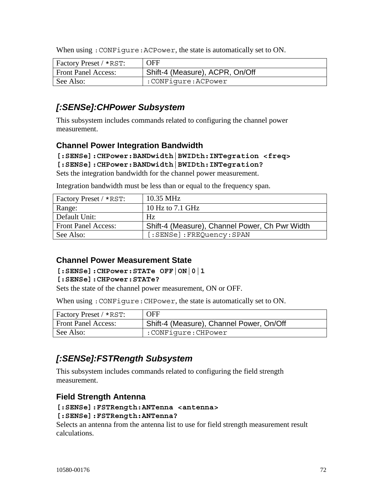When using : CONFigure: ACPower, the state is automatically set to ON.

| Factory Preset / *RST:     | <b>OFF</b>                      |
|----------------------------|---------------------------------|
| <b>Front Panel Access:</b> | Shift-4 (Measure), ACPR, On/Off |
| See Also:                  | :CONFiqure:ACPower              |

## *[:SENSe]:CHPower Subsystem*

This subsystem includes commands related to configuring the channel power measurement.

### **Channel Power Integration Bandwidth**

#### **[:SENSe]:CHPower:BANDwidth|BWIDth:INTegration <freq> [:SENSe]:CHPower:BANDwidth|BWIDth:INTegration?**

Sets the integration bandwidth for the channel power measurement.

| Factory Preset / *RST:     | 10.35 MHz                                      |
|----------------------------|------------------------------------------------|
| Range:                     | 10 Hz to 7.1 GHz                               |
| Default Unit:              | Hz                                             |
| <b>Front Panel Access:</b> | Shift-4 (Measure), Channel Power, Ch Pwr Width |
| See Also:                  | [:SENSe]:FREQuency:SPAN                        |

Integration bandwidth must be less than or equal to the frequency span.

### **Channel Power Measurement State**

#### **[:SENSe]:CHPower:STATe OFF|ON|0|1**

#### **[:SENSe]:CHPower:STATe?**

Sets the state of the channel power measurement, ON or OFF.

When using: CONFigure: CHPower, the state is automatically set to ON.

| <b>Factory Preset / *RST:</b> | OFF                                      |
|-------------------------------|------------------------------------------|
| <b>Front Panel Access:</b>    | Shift-4 (Measure), Channel Power, On/Off |
| See Also:                     | :CONFigure:CHPower                       |

## *[:SENSe]:FSTRength Subsystem*

This subsystem includes commands related to configuring the field strength measurement.

### **Field Strength Antenna**

## **[:SENSe]:FSTRength:ANTenna <antenna>**

#### **[:SENSe]:FSTRength:ANTenna?**

Selects an antenna from the antenna list to use for field strength measurement result calculations.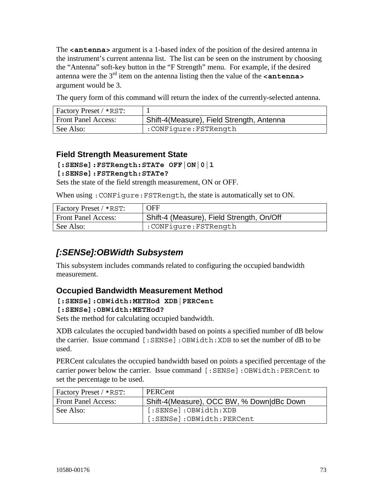The **<antenna>** argument is a 1-based index of the position of the desired antenna in the instrument's current antenna list. The list can be seen on the instrument by choosing the "Antenna" soft-key button in the "F Strength" menu. For example, if the desired antenna were the  $3<sup>rd</sup>$  item on the antenna listing then the value of the  $\leq$ **antenna** argument would be 3.

The query form of this command will return the index of the currently-selected antenna.

| <b>Factory Preset / *RST:</b> |                                           |
|-------------------------------|-------------------------------------------|
| <b>Front Panel Access:</b>    | Shift-4(Measure), Field Strength, Antenna |
| See Also:                     | cONFigure:FSTRength: '                    |

### **Field Strength Measurement State**

### **[:SENSe]:FSTRength:STATe OFF|ON|0|1**

#### **[:SENSe]:FSTRength:STATe?**

Sets the state of the field strength measurement, ON or OFF.

When using :CONFigure:FSTRength, the state is automatically set to ON.

| <b>Factory Preset / *RST:</b> | <b>OFF</b>                                |
|-------------------------------|-------------------------------------------|
| <b>Front Panel Access:</b>    | Shift-4 (Measure), Field Strength, On/Off |
| See Also:                     | :CONFiqure:FSTRength:                     |

## *[:SENSe]:OBWidth Subsystem*

This subsystem includes commands related to configuring the occupied bandwidth measurement.

### **Occupied Bandwidth Measurement Method**

#### **[:SENSe]:OBWidth:METHod XDB|PERCent**

#### **[:SENSe]:OBWidth:METHod?**

Sets the method for calculating occupied bandwidth.

XDB calculates the occupied bandwidth based on points a specified number of dB below the carrier. Issue command [:SENSe]:OBWidth:XDB to set the number of dB to be used.

PERCent calculates the occupied bandwidth based on points a specified percentage of the carrier power below the carrier. Issue command [:SENSe]:OBWidth:PERCent to set the percentage to be used.

| Factory Preset / *RST:     | PERCent                                   |
|----------------------------|-------------------------------------------|
| <b>Front Panel Access:</b> | Shift-4(Measure), OCC BW, % Down dBc Down |
| See Also:                  | [:SENSe]:OBWidth:XDB                      |
|                            | [:SENSe]:OBWidth:PERCent                  |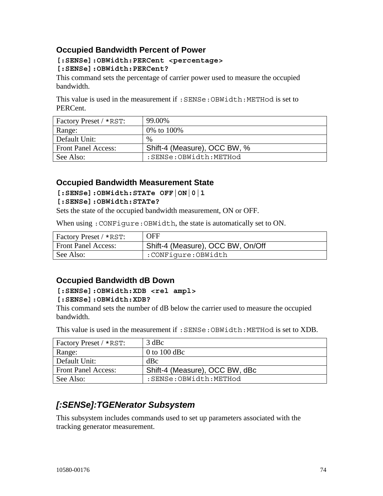### **Occupied Bandwidth Percent of Power**

#### **[:SENSe]:OBWidth:PERCent <percentage> [:SENSe]:OBWidth:PERCent?**

This command sets the percentage of carrier power used to measure the occupied bandwidth.

This value is used in the measurement if :SENSe:OBWidth:METHod is set to PERCent.

| Factory Preset / *RST:     | 99.00%                       |
|----------------------------|------------------------------|
| Range:                     | 0% to 100%                   |
| Default Unit:              | $\%$                         |
| <b>Front Panel Access:</b> | Shift-4 (Measure), OCC BW, % |
| See Also:                  | :SENSe:OBWidth:METHod        |

### **Occupied Bandwidth Measurement State**

**[:SENSe]:OBWidth:STATe OFF|ON|0|1** 

#### **[:SENSe]:OBWidth:STATe?**

Sets the state of the occupied bandwidth measurement, ON or OFF.

When using :CONFigure:OBWidth, the state is automatically set to ON.

| Factory Preset / *RST:     | <b>OFF</b>                        |
|----------------------------|-----------------------------------|
| <b>Front Panel Access:</b> | Shift-4 (Measure), OCC BW, On/Off |
| See Also:                  | :CONFiqure:OBWidth                |

### **Occupied Bandwidth dB Down**

#### **[:SENSe]:OBWidth:XDB <rel ampl> [:SENSe]:OBWidth:XDB?**

This command sets the number of dB below the carrier used to measure the occupied bandwidth.

This value is used in the measurement if :SENSe:OBWidth:METHod is set to XDB.

| <b>Factory Preset / *RST:</b> | $3$ dBc                        |
|-------------------------------|--------------------------------|
| Range:                        | 0 to 100 dBc                   |
| Default Unit:                 | dBc                            |
| <b>Front Panel Access:</b>    | Shift-4 (Measure), OCC BW, dBc |
| See Also:                     | :SENSe:OBWidth:METHod          |

## *[:SENSe]:TGENerator Subsystem*

This subsystem includes commands used to set up parameters associated with the tracking generator measurement.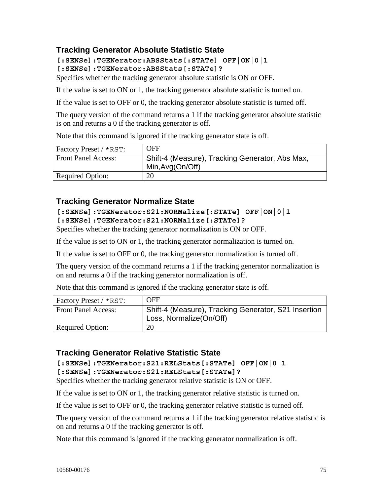### **Tracking Generator Absolute Statistic State**

**[:SENSe]:TGENerator:ABSStats[:STATe] OFF|ON|0|1** 

**[:SENSe]:TGENerator:ABSStats[:STATe]?** 

Specifies whether the tracking generator absolute statistic is ON or OFF.

If the value is set to ON or 1, the tracking generator absolute statistic is turned on.

If the value is set to OFF or 0, the tracking generator absolute statistic is turned off.

The query version of the command returns a 1 if the tracking generator absolute statistic is on and returns a 0 if the tracking generator is off.

Note that this command is ignored if the tracking generator state is off.

| <b>Factory Preset / *RST:</b> | <b>OFF</b>                                                          |
|-------------------------------|---------------------------------------------------------------------|
| <b>Front Panel Access:</b>    | Shift-4 (Measure), Tracking Generator, Abs Max,<br>Min, Avg(On/Off) |
| <b>Required Option:</b>       | 20                                                                  |

### **Tracking Generator Normalize State**

#### **[:SENSe]:TGENerator:S21:NORMalize[:STATe] OFF|ON|0|1 [:SENSe]:TGENerator:S21:NORMalize[:STATe]?**

Specifies whether the tracking generator normalization is ON or OFF.

If the value is set to ON or 1, the tracking generator normalization is turned on.

If the value is set to OFF or 0, the tracking generator normalization is turned off.

The query version of the command returns a 1 if the tracking generator normalization is on and returns a 0 if the tracking generator normalization is off.

Note that this command is ignored if the tracking generator state is off.

| Factory Preset / *RST:     | <b>OFF</b>                                           |
|----------------------------|------------------------------------------------------|
| <b>Front Panel Access:</b> | Shift-4 (Measure), Tracking Generator, S21 Insertion |
|                            | Loss, Normalize(On/Off)                              |
| <b>Required Option:</b>    | 20                                                   |

### **Tracking Generator Relative Statistic State**

**[:SENSe]:TGENerator:S21:RELStats[:STATe] OFF|ON|0|1 [:SENSe]:TGENerator:S21:RELStats[:STATe]?** 

Specifies whether the tracking generator relative statistic is ON or OFF.

If the value is set to ON or 1, the tracking generator relative statistic is turned on.

If the value is set to OFF or 0, the tracking generator relative statistic is turned off.

The query version of the command returns a 1 if the tracking generator relative statistic is on and returns a 0 if the tracking generator is off.

Note that this command is ignored if the tracking generator normalization is off.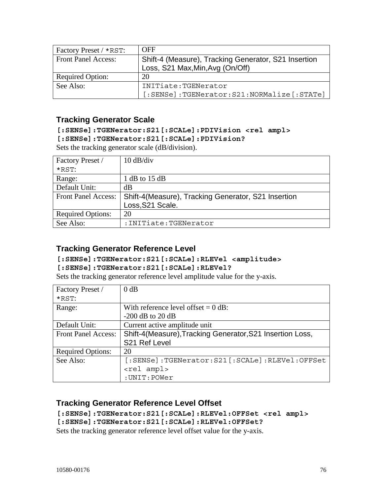| Factory Preset / *RST:     | <b>OFF</b>                                           |
|----------------------------|------------------------------------------------------|
| <b>Front Panel Access:</b> | Shift-4 (Measure), Tracking Generator, S21 Insertion |
|                            | Loss, S21 Max, Min, Avg (On/Off)                     |
| <b>Required Option:</b>    | 20                                                   |
| See Also:                  | INITiate:TGENerator                                  |
|                            | [:SENSe]:TGENerator:S21:NORMalize[:STATe]            |

### **Tracking Generator Scale**

#### **[:SENSe]:TGENerator:S21[:SCALe]:PDIVision <rel ampl> [:SENSe]:TGENerator:S21[:SCALe]:PDIVision?**

Sets the tracking generator scale (dB/division).

| Factory Preset /           | $10 \text{ dB}/\text{div}$                          |
|----------------------------|-----------------------------------------------------|
| $*$ RST:                   |                                                     |
| Range:                     | 1 dB to $15$ dB                                     |
| Default Unit:              | dВ                                                  |
| <b>Front Panel Access:</b> | Shift-4(Measure), Tracking Generator, S21 Insertion |
|                            | Loss, S21 Scale.                                    |
| <b>Required Options:</b>   | 20                                                  |
| See Also:                  | : INITiate: TGENerator                              |

### **Tracking Generator Reference Level**

## **[:SENSe]:TGENerator:S21[:SCALe]:RLEVel <amplitude>**

#### **[:SENSe]:TGENerator:S21[:SCALe]:RLEVel?**

Sets the tracking generator reference level amplitude value for the y-axis.

| Factory Preset /           | 0 dB                                                      |
|----------------------------|-----------------------------------------------------------|
| $*$ RST:                   |                                                           |
| Range:                     | With reference level offset $= 0$ dB:                     |
|                            | $-200$ dB to 20 dB                                        |
| Default Unit:              | Current active amplitude unit                             |
| <b>Front Panel Access:</b> | Shift-4(Measure), Tracking Generator, S21 Insertion Loss, |
|                            | S <sub>21</sub> Ref Level                                 |
| <b>Required Options:</b>   | 20                                                        |
| See Also:                  | [:SENSe]:TGENerator:S21[:SCALe]:RLEVel:OFFSet             |
|                            | <rel ampl=""></rel>                                       |
|                            | :UNIT:POWer                                               |

### **Tracking Generator Reference Level Offset**

**[:SENSe]:TGENerator:S21[:SCALe]:RLEVel:OFFSet <rel ampl> [:SENSe]:TGENerator:S21[:SCALe]:RLEVel:OFFSet?** 

Sets the tracking generator reference level offset value for the y-axis.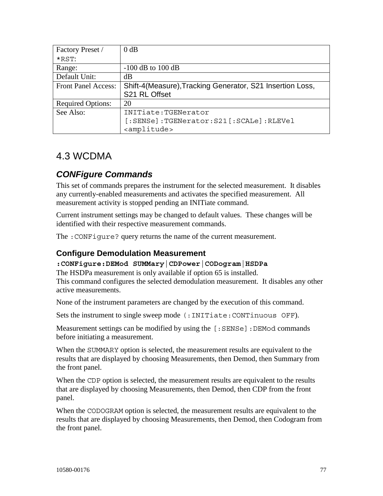| Factory Preset /           | $0$ dB                                                    |
|----------------------------|-----------------------------------------------------------|
| $*$ RST:                   |                                                           |
| Range:                     | $-100$ dB to $100$ dB                                     |
| Default Unit:              | dB                                                        |
| <b>Front Panel Access:</b> | Shift-4(Measure), Tracking Generator, S21 Insertion Loss, |
|                            | S21 RL Offset                                             |
| <b>Required Options:</b>   |                                                           |
|                            | 20                                                        |
| See Also:                  | INITiate: TGENerator                                      |
|                            | [:SENSe]:TGENerator:S21[:SCALe]:RLEVel                    |

## 4.3 WCDMA

## *CONFigure Commands*

This set of commands prepares the instrument for the selected measurement. It disables any currently-enabled measurements and activates the specified measurement. All measurement activity is stopped pending an INITiate command.

Current instrument settings may be changed to default values. These changes will be identified with their respective measurement commands.

The :CONFigure? query returns the name of the current measurement.

### **Configure Demodulation Measurement**

#### **:CONFigure:DEMod SUMMary|CDPower|CODogram|HSDPa**

The HSDPa measurement is only available if option 65 is installed. This command configures the selected demodulation measurement. It disables any other active measurements.

None of the instrument parameters are changed by the execution of this command.

Sets the instrument to single sweep mode (:INITiate:CONTinuous OFF).

Measurement settings can be modified by using the [: SENSe]: DEMod commands before initiating a measurement.

When the SUMMARY option is selected, the measurement results are equivalent to the results that are displayed by choosing Measurements, then Demod, then Summary from the front panel.

When the CDP option is selected, the measurement results are equivalent to the results that are displayed by choosing Measurements, then Demod, then CDP from the front panel.

When the CODOGRAM option is selected, the measurement results are equivalent to the results that are displayed by choosing Measurements, then Demod, then Codogram from the front panel.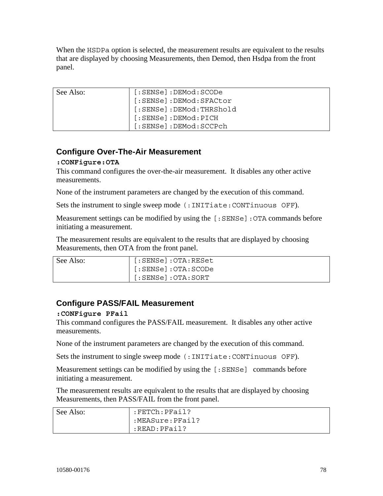When the HSDPa option is selected, the measurement results are equivalent to the results that are displayed by choosing Measurements, then Demod, then Hsdpa from the front panel.

| See Also: | [:SENSe]:DEMod:SCODe    |
|-----------|-------------------------|
|           | [:SENSe]:DEMod:SFACtor  |
|           | [:SENSe]:DEMod:THRShold |
|           | [:SENSe]:DEMod:PICH ]   |
|           | [:SENSe]:DEMod:SCCPch   |

### **Configure Over-The-Air Measurement**

#### **:CONFigure:OTA**

This command configures the over-the-air measurement. It disables any other active measurements.

None of the instrument parameters are changed by the execution of this command.

Sets the instrument to single sweep mode (:INITiate:CONTinuous OFF).

Measurement settings can be modified by using the [:SENSe]:OTA commands before initiating a measurement.

The measurement results are equivalent to the results that are displayed by choosing Measurements, then OTA from the front panel.

| See Also: | $[:SENSE]:\mathrm{OTA:RESet}$   |
|-----------|---------------------------------|
|           | $[:SENSE]:\overline{OTA}:SCODE$ |
|           | $[:SENSE]:\overline{OTA}:SORT$  |

### **Configure PASS/FAIL Measurement**

#### **:CONFigure PFail**

This command configures the PASS/FAIL measurement. It disables any other active measurements.

None of the instrument parameters are changed by the execution of this command.

Sets the instrument to single sweep mode (:INITiate:CONTinuous OFF).

Measurement settings can be modified by using the [:SENSe] commands before initiating a measurement.

The measurement results are equivalent to the results that are displayed by choosing Measurements, then PASS/FAIL from the front panel.

| See Also: | :FETCh:PFail?   |
|-----------|-----------------|
|           | :MEASure:PFail? |
|           | :READ:PFail?    |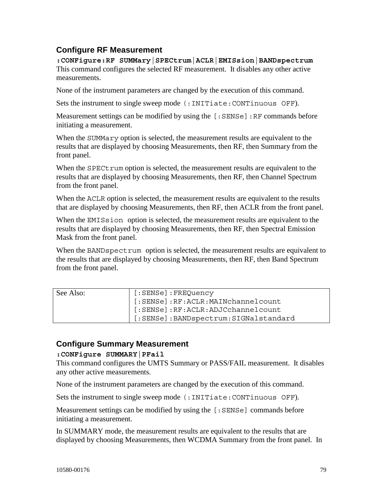### **Configure RF Measurement**

**:CONFigure:RF SUMMary|SPECtrum|ACLR|EMISsion|BANDspectrum**  This command configures the selected RF measurement. It disables any other active measurements.

None of the instrument parameters are changed by the execution of this command.

Sets the instrument to single sweep mode (:INITiate:CONTinuous OFF).

Measurement settings can be modified by using the [:SENSe]:RF commands before initiating a measurement.

When the SUMMary option is selected, the measurement results are equivalent to the results that are displayed by choosing Measurements, then RF, then Summary from the front panel.

When the SPECt rum option is selected, the measurement results are equivalent to the results that are displayed by choosing Measurements, then RF, then Channel Spectrum from the front panel.

When the ACLR option is selected, the measurement results are equivalent to the results that are displayed by choosing Measurements, then RF, then ACLR from the front panel.

When the EMISsion option is selected, the measurement results are equivalent to the results that are displayed by choosing Measurements, then RF, then Spectral Emission Mask from the front panel.

When the BANDspectrum option is selected, the measurement results are equivalent to the results that are displayed by choosing Measurements, then RF, then Band Spectrum from the front panel.

| See Also: | [:SENSe]:FREQuency                   |
|-----------|--------------------------------------|
|           | [:SENSe]:RF:ACLR:MAINchannelcount    |
|           | [:SENSe]:RF:ACLR:ADJCchannelcount    |
|           | [:SENSe]:BANDspectrum:SIGNalstandard |

### **Configure Summary Measurement**

#### **:CONFigure SUMMARY|PFail**

This command configures the UMTS Summary or PASS/FAIL measurement. It disables any other active measurements.

None of the instrument parameters are changed by the execution of this command.

Sets the instrument to single sweep mode (:INITiate:CONTinuous OFF).

Measurement settings can be modified by using the [: SENSe] commands before initiating a measurement.

In SUMMARY mode, the measurement results are equivalent to the results that are displayed by choosing Measurements, then WCDMA Summary from the front panel. In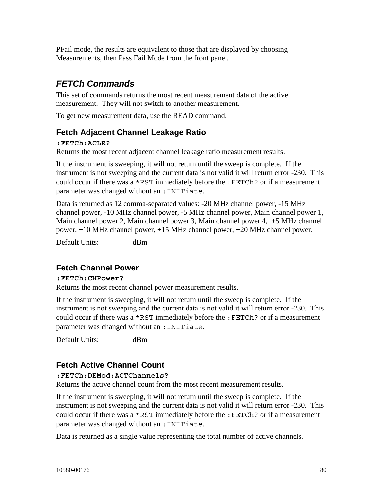PFail mode, the results are equivalent to those that are displayed by choosing Measurements, then Pass Fail Mode from the front panel.

## *FETCh Commands*

This set of commands returns the most recent measurement data of the active measurement. They will not switch to another measurement.

To get new measurement data, use the READ command.

### **Fetch Adjacent Channel Leakage Ratio**

#### **:FETCh:ACLR?**

Returns the most recent adjacent channel leakage ratio measurement results.

If the instrument is sweeping, it will not return until the sweep is complete. If the instrument is not sweeping and the current data is not valid it will return error -230. This could occur if there was a \*RST immediately before the :FETCh? or if a measurement parameter was changed without an :INITiate.

Data is returned as 12 comma-separated values: -20 MHz channel power, -15 MHz channel power, -10 MHz channel power, -5 MHz channel power, Main channel power 1, Main channel power 2, Main channel power 3, Main channel power 4, +5 MHz channel power, +10 MHz channel power, +15 MHz channel power, +20 MHz channel power.

| $\overline{\phantom{a}}$<br>$\mathbf{D}$ ets<br>'m<br>$\cup$ nits:<br>Delault<br>unu |
|--------------------------------------------------------------------------------------|
|--------------------------------------------------------------------------------------|

### **Fetch Channel Power**

#### **:FETCh:CHPower?**

Returns the most recent channel power measurement results.

If the instrument is sweeping, it will not return until the sweep is complete. If the instrument is not sweeping and the current data is not valid it will return error -230. This could occur if there was a \*RST immediately before the :FETCh? or if a measurement parameter was changed without an :INITiate.

| Default<br>$\ln$ ts: | $\overline{\phantom{a}}$<br>dBm<br><u>— ——</u> |
|----------------------|------------------------------------------------|
|                      |                                                |

### **Fetch Active Channel Count**

#### **:FETCh:DEMod:ACTChannels?**

Returns the active channel count from the most recent measurement results.

If the instrument is sweeping, it will not return until the sweep is complete. If the instrument is not sweeping and the current data is not valid it will return error -230. This could occur if there was a \*RST immediately before the :FETCh? or if a measurement parameter was changed without an :INITiate.

Data is returned as a single value representing the total number of active channels.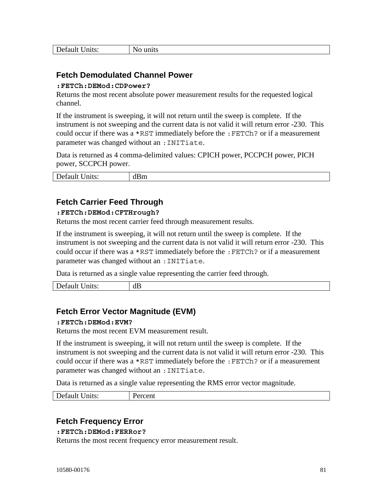| nits:<br>ില<br>refault<br>້ | ոռւշ<br>. . |
|-----------------------------|-------------|
|-----------------------------|-------------|

### **Fetch Demodulated Channel Power**

#### **:FETCh:DEMod:CDPower?**

Returns the most recent absolute power measurement results for the requested logical channel.

If the instrument is sweeping, it will not return until the sweep is complete. If the instrument is not sweeping and the current data is not valid it will return error -230. This could occur if there was a \*RST immediately before the :FETCh? or if a measurement parameter was changed without an :INITiate.

Data is returned as 4 comma-delimited values: CPICH power, PCCPCH power, PICH power, SCCPCH power.

| $\mathbf{D}_{\mathbf{P}}$<br>nits:<br>$P$ ciallit Umu | $\overline{\phantom{a}}$<br>.<br>וווטו<br>----- |
|-------------------------------------------------------|-------------------------------------------------|
|                                                       |                                                 |

### **Fetch Carrier Feed Through**

#### **:FETCh:DEMod:CFTHrough?**

Returns the most recent carrier feed through measurement results.

If the instrument is sweeping, it will not return until the sweep is complete. If the instrument is not sweeping and the current data is not valid it will return error -230. This could occur if there was a \*RST immediately before the :FETCh? or if a measurement parameter was changed without an : INITiate.

Data is returned as a single value representing the carrier feed through.

Default Units: dB

### **Fetch Error Vector Magnitude (EVM)**

#### **:FETCh:DEMod:EVM?**

Returns the most recent EVM measurement result.

If the instrument is sweeping, it will not return until the sweep is complete. If the instrument is not sweeping and the current data is not valid it will return error -230. This could occur if there was a \*RST immediately before the :FETCh? or if a measurement parameter was changed without an :INITiate.

Data is returned as a single value representing the RMS error vector magnitude.

| nits:<br>$\sim$ $\sim$ $\sim$<br>Default ' | ercent |
|--------------------------------------------|--------|
|--------------------------------------------|--------|

### **Fetch Frequency Error**

#### **:FETCh:DEMod:FERRor?**

Returns the most recent frequency error measurement result.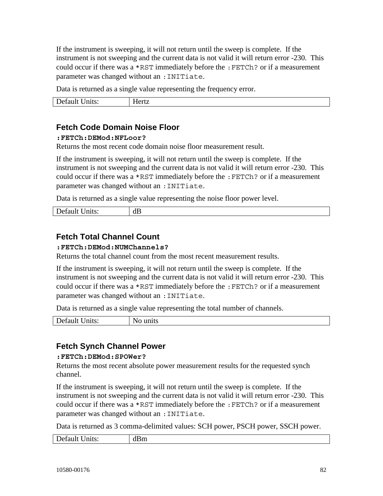If the instrument is sweeping, it will not return until the sweep is complete. If the instrument is not sweeping and the current data is not valid it will return error -230. This could occur if there was a \*RST immediately before the :FETCh? or if a measurement parameter was changed without an :INITiate.

Data is returned as a single value representing the frequency error.

| $\sim$ and $\sim$<br>$-1 + 0.5$<br>. .<br>$\cup$ IIIIs.<br>Delault<br>TIMM |
|----------------------------------------------------------------------------|
|----------------------------------------------------------------------------|

### **Fetch Code Domain Noise Floor**

#### **:FETCh:DEMod:NFLoor?**

Returns the most recent code domain noise floor measurement result.

If the instrument is sweeping, it will not return until the sweep is complete. If the instrument is not sweeping and the current data is not valid it will return error -230. This could occur if there was a \*RST immediately before the :FETCh? or if a measurement parameter was changed without an : INITiate.

Data is returned as a single value representing the noise floor power level.

| )et<br>---<br>۱∽۰۰+۰۰<br>Delaulu<br>$UIII0$ . | dB |
|-----------------------------------------------|----|
|                                               |    |

### **Fetch Total Channel Count**

#### **:FETCh:DEMod:NUMChannels?**

Returns the total channel count from the most recent measurement results.

If the instrument is sweeping, it will not return until the sweep is complete. If the instrument is not sweeping and the current data is not valid it will return error -230. This could occur if there was a \*RST immediately before the :FETCh? or if a measurement parameter was changed without an :INITiate.

Data is returned as a single value representing the total number of channels.

| Default<br>Units:<br>units<br>ÑŌ |  |
|----------------------------------|--|
|----------------------------------|--|

### **Fetch Synch Channel Power**

#### **:FETCh:DEMod:SPOWer?**

Returns the most recent absolute power measurement results for the requested synch channel.

If the instrument is sweeping, it will not return until the sweep is complete. If the instrument is not sweeping and the current data is not valid it will return error -230. This could occur if there was a \*RST immediately before the :FETCh? or if a measurement parameter was changed without an : INITiate.

Data is returned as 3 comma-delimited values: SCH power, PSCH power, SSCH power.

| Default   | $\overline{\phantom{a}}$ |
|-----------|--------------------------|
| $\ln$ ts: | dBm                      |
|           |                          |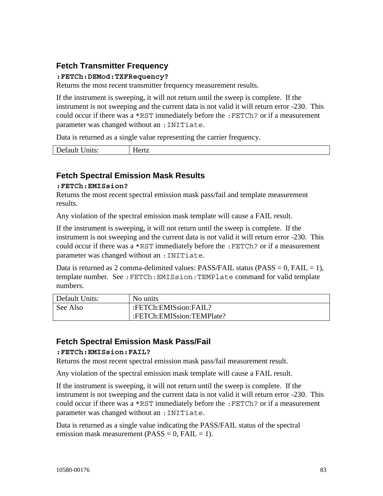### **Fetch Transmitter Frequency**

#### **:FETCh:DEMod:TXFRequency?**

Returns the most recent transmitter frequency measurement results.

If the instrument is sweeping, it will not return until the sweep is complete. If the instrument is not sweeping and the current data is not valid it will return error -230. This could occur if there was a \*RST immediately before the :FETCh? or if a measurement parameter was changed without an :INITiate.

Data is returned as a single value representing the carrier frequency.

| D       | --     |
|---------|--------|
| Default | .ert7  |
| mits:   | TIVILL |

### **Fetch Spectral Emission Mask Results**

#### **:FETCh:EMISsion?**

Returns the most recent spectral emission mask pass/fail and template measurement results.

Any violation of the spectral emission mask template will cause a FAIL result.

If the instrument is sweeping, it will not return until the sweep is complete. If the instrument is not sweeping and the current data is not valid it will return error -230. This could occur if there was a \*RST immediately before the :FETCh? or if a measurement parameter was changed without an :INITiate.

Data is returned as 2 comma-delimited values: PASS/FAIL status (PASS =  $0$ , FAIL =  $1$ ), template number. See :FETCh:EMISsion:TEMPlate command for valid template numbers.

| Default Units: | No units                  |
|----------------|---------------------------|
| See Also       | :FETCh:EMISsion:FAIL?     |
|                | :FETCh:EMISsion:TEMPlate? |

### **Fetch Spectral Emission Mask Pass/Fail**

#### **:FETCh:EMISsion:FAIL?**

Returns the most recent spectral emission mask pass/fail measurement result.

Any violation of the spectral emission mask template will cause a FAIL result.

If the instrument is sweeping, it will not return until the sweep is complete. If the instrument is not sweeping and the current data is not valid it will return error -230. This could occur if there was a \*RST immediately before the :FETCh? or if a measurement parameter was changed without an :INITiate.

Data is returned as a single value indicating the PASS/FAIL status of the spectral emission mask measurement ( $PASS = 0$ ,  $FAIL = 1$ ).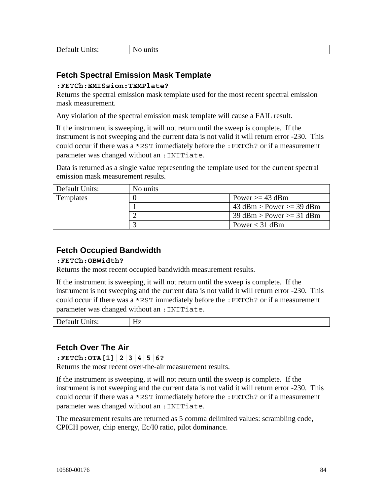| Default<br>$\cup$ nits: | пь |
|-------------------------|----|
|                         |    |

### **Fetch Spectral Emission Mask Template**

#### **:FETCh:EMISsion:TEMPlate?**

Returns the spectral emission mask template used for the most recent spectral emission mask measurement.

Any violation of the spectral emission mask template will cause a FAIL result.

If the instrument is sweeping, it will not return until the sweep is complete. If the instrument is not sweeping and the current data is not valid it will return error -230. This could occur if there was a \*RST immediately before the :FETCh? or if a measurement parameter was changed without an :INITiate.

Data is returned as a single value representing the template used for the current spectral emission mask measurement results.

| Default Units: | No units |                            |
|----------------|----------|----------------------------|
| Templates      |          | Power $>=$ 43 dBm          |
|                |          | 43 dBm > Power >= 39 dBm   |
|                |          | $39$ dBm > Power >= 31 dBm |
|                |          | Power $<$ 31 dBm           |

### **Fetch Occupied Bandwidth**

#### **:FETCh:OBWidth?**

Returns the most recent occupied bandwidth measurement results.

If the instrument is sweeping, it will not return until the sweep is complete. If the instrument is not sweeping and the current data is not valid it will return error -230. This could occur if there was a \*RST immediately before the :FETCh? or if a measurement parameter was changed without an :INITiate.

| Default<br>$\cup$ nits: | $- -$<br>பேச<br>−<br>11 <i>L</i> |
|-------------------------|----------------------------------|
|                         |                                  |

### **Fetch Over The Air**

**:FETCh:OTA[1]|2|3|4|5|6?** 

Returns the most recent over-the-air measurement results.

If the instrument is sweeping, it will not return until the sweep is complete. If the instrument is not sweeping and the current data is not valid it will return error -230. This could occur if there was a  $*$ RST immediately before the : FETCh? or if a measurement parameter was changed without an : INITiate.

The measurement results are returned as 5 comma delimited values: scrambling code, CPICH power, chip energy, Ec/I0 ratio, pilot dominance.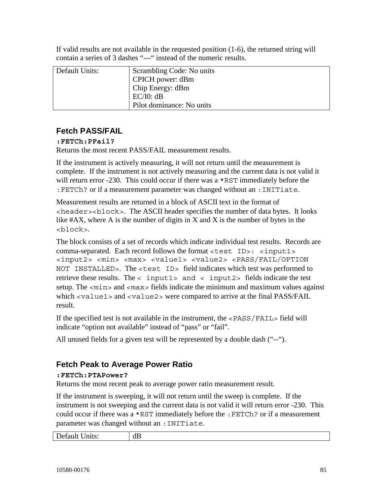If valid results are not available in the requested position (1-6), the returned string will contain a series of 3 dashes "---" instead of the numeric results.

| Default Units: | Scrambling Code: No units |
|----------------|---------------------------|
|                | CPICH power: dBm          |
|                | Chip Energy: dBm          |
|                | EC/IO: dB                 |
|                | Pilot dominance: No units |

### **Fetch PASS/FAIL**

### **:FETCh:PFail?**

Returns the most recent PASS/FAIL measurement results.

If the instrument is actively measuring, it will not return until the measurement is complete. If the instrument is not actively measuring and the current data is not valid it will return error -230. This could occur if there was a \*RST immediately before the : FETCh? or if a measurement parameter was changed without an : INITiate.

Measurement results are returned in a block of ASCII text in the format of <header><block>. The ASCII header specifies the number of data bytes. It looks like  $#AX$ , where A is the number of digits in X and X is the number of bytes in the <block>.

The block consists of a set of records which indicate individual test results. Records are comma-separated. Each record follows the format <test ID>: <input1> <input2> <min> <max> <value1> <value2> <PASS/FAIL/OPTION NOT INSTALLED>. The <test ID> field indicates which test was performed to retrieve these results. The  $\langle$  input1> and  $\langle$  input2> fields indicate the test setup. The  $\langle \text{min}\rangle$  and  $\langle \text{max}\rangle$  fields indicate the minimum and maximum values against which <value1> and <value2> were compared to arrive at the final PASS/FAIL result.

If the specified test is not available in the instrument, the <PASS/FAIL> field will indicate "option not available" instead of "pass" or "fail".

All unused fields for a given test will be represented by a double dash ("--").

### **Fetch Peak to Average Power Ratio**

#### **:FETCh:PTAPower?**

Returns the most recent peak to average power ratio measurement result.

If the instrument is sweeping, it will not return until the sweep is complete. If the instrument is not sweeping and the current data is not valid it will return error -230. This could occur if there was a \*RST immediately before the :FETCh? or if a measurement parameter was changed without an : INITiate.

| Default<br>$\cup$ all $\cup$ . | --<br>u<br>w |
|--------------------------------|--------------|
|                                |              |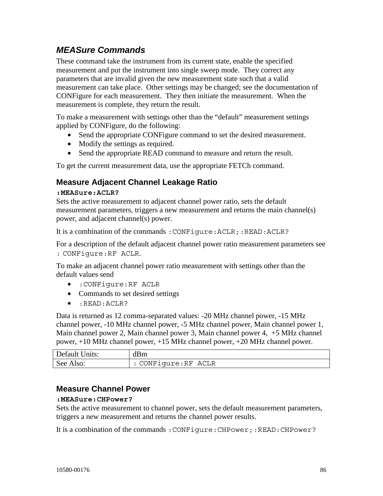## *MEASure Commands*

These command take the instrument from its current state, enable the specified measurement and put the instrument into single sweep mode. They correct any parameters that are invalid given the new measurement state such that a valid measurement can take place. Other settings may be changed; see the documentation of CONFigure for each measurement. They then initiate the measurement. When the measurement is complete, they return the result.

To make a measurement with settings other than the "default" measurement settings applied by CONFigure, do the following:

- Send the appropriate CONFigure command to set the desired measurement.
- Modify the settings as required.
- Send the appropriate READ command to measure and return the result.

To get the current measurement data, use the appropriate FETCh command.

### **Measure Adjacent Channel Leakage Ratio**

#### **:MEASure:ACLR?**

Sets the active measurement to adjacent channel power ratio, sets the default measurement parameters, triggers a new measurement and returns the main channel(s) power, and adjacent channel(s) power.

It is a combination of the commands: CONFigure: ACLR;: READ: ACLR?

For a description of the default adjacent channel power ratio measurement parameters see : CONFigure:RF ACLR.

To make an adjacent channel power ratio measurement with settings other than the default values send

- :CONFigure:RF ACLR
- Commands to set desired settings
- :READ:ACLR?

Data is returned as 12 comma-separated values: -20 MHz channel power, -15 MHz channel power, -10 MHz channel power, -5 MHz channel power, Main channel power 1, Main channel power 2, Main channel power 3, Main channel power 4, +5 MHz channel power, +10 MHz channel power, +15 MHz channel power, +20 MHz channel power.

| Default Units: | dBm                  |
|----------------|----------------------|
| See Also:      | : CONFigure: RF ACLR |

### **Measure Channel Power**

#### **:MEASure:CHPower?**

Sets the active measurement to channel power, sets the default measurement parameters, triggers a new measurement and returns the channel power results.

It is a combination of the commands : CONFigure: CHPower;:READ: CHPower?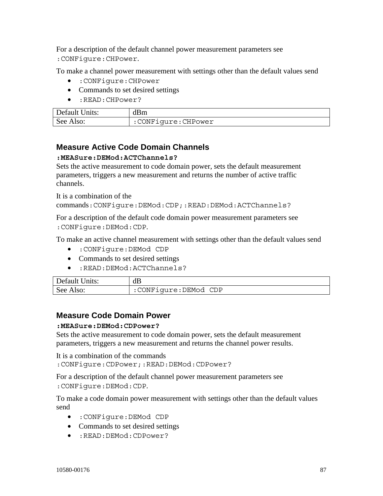For a description of the default channel power measurement parameters see :CONFigure:CHPower.

To make a channel power measurement with settings other than the default values send

- :CONFigure:CHPower
- Commands to set desired settings
- :READ:CHPower?

| Default Units: | dBm                 |
|----------------|---------------------|
| See Also:      | :CONFigure: CHPower |

### **Measure Active Code Domain Channels**

#### **:MEASure:DEMod:ACTChannels?**

Sets the active measurement to code domain power, sets the default measurement parameters, triggers a new measurement and returns the number of active traffic channels.

It is a combination of the

commands:CONFigure:DEMod:CDP;:READ:DEMod:ACTChannels?

For a description of the default code domain power measurement parameters see :CONFigure:DEMod:CDP.

To make an active channel measurement with settings other than the default values send

- :CONFigure:DEMod CDP
- Commands to set desired settings
- :READ:DEMod:ACTChannels?

| Default Units: | dB                     |
|----------------|------------------------|
| See Also:      | : CONFiqure: DEMod CDP |

### **Measure Code Domain Power**

#### **:MEASure:DEMod:CDPower?**

Sets the active measurement to code domain power, sets the default measurement parameters, triggers a new measurement and returns the channel power results.

It is a combination of the commands :CONFigure:CDPower;:READ:DEMod:CDPower?

For a description of the default channel power measurement parameters see :CONFigure:DEMod:CDP.

To make a code domain power measurement with settings other than the default values send

- :CONFigure:DEMod CDP
- Commands to set desired settings
- :READ:DEMod:CDPower?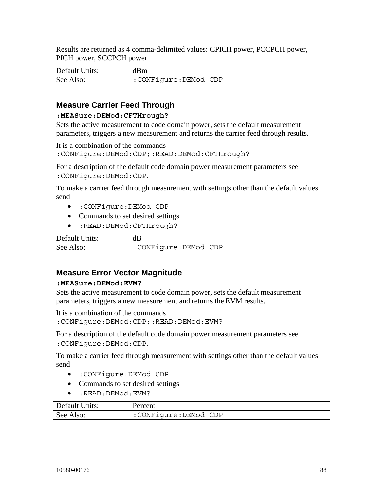Results are returned as 4 comma-delimited values: CPICH power, PCCPCH power, PICH power, SCCPCH power.

| Default Units: | dBm                  |
|----------------|----------------------|
| See Also:      | :CONFigure:DEMod CDP |

### **Measure Carrier Feed Through**

#### **:MEASure:DEMod:CFTHrough?**

Sets the active measurement to code domain power, sets the default measurement parameters, triggers a new measurement and returns the carrier feed through results.

It is a combination of the commands

:CONFigure:DEMod:CDP;:READ:DEMod:CFTHrough?

For a description of the default code domain power measurement parameters see :CONFigure:DEMod:CDP.

To make a carrier feed through measurement with settings other than the default values send

- :CONFigure:DEMod CDP
- Commands to set desired settings
- :READ:DEMod:CFTHrough?

| Default Units: | dB                     |
|----------------|------------------------|
| See Also:      | : CONFigure: DEMod CDP |

### **Measure Error Vector Magnitude**

#### **:MEASure:DEMod:EVM?**

Sets the active measurement to code domain power, sets the default measurement parameters, triggers a new measurement and returns the EVM results.

It is a combination of the commands

:CONFigure:DEMod:CDP;:READ:DEMod:EVM?

For a description of the default code domain power measurement parameters see :CONFigure:DEMod:CDP.

To make a carrier feed through measurement with settings other than the default values send

- :CONFigure:DEMod CDP
- Commands to set desired settings
- : READ: DEMod: EVM?

| Default Units: | Percent              |
|----------------|----------------------|
| See Also:      | :CONFigure:DEMod CDP |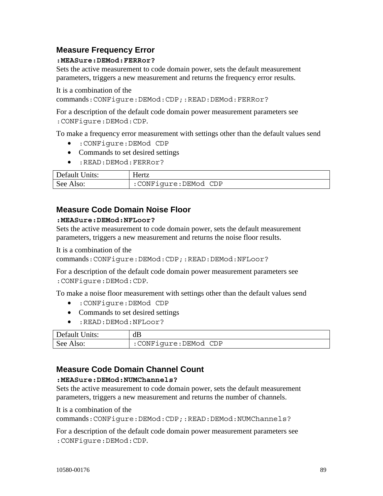### **Measure Frequency Error**

#### **:MEASure:DEMod:FERRor?**

Sets the active measurement to code domain power, sets the default measurement parameters, triggers a new measurement and returns the frequency error results.

It is a combination of the

commands:CONFigure:DEMod:CDP;:READ:DEMod:FERRor?

For a description of the default code domain power measurement parameters see :CONFigure:DEMod:CDP.

To make a frequency error measurement with settings other than the default values send

- :CONFigure:DEMod CDP
- Commands to set desired settings
- :READ:DEMod:FERRor?

| Default Units: | <b>Hertz</b>         |
|----------------|----------------------|
| See Also:      | :CONFigure:DEMod CDP |

### **Measure Code Domain Noise Floor**

#### **:MEASure:DEMod:NFLoor?**

Sets the active measurement to code domain power, sets the default measurement parameters, triggers a new measurement and returns the noise floor results.

It is a combination of the

commands:CONFigure:DEMod:CDP;:READ:DEMod:NFLoor?

For a description of the default code domain power measurement parameters see :CONFigure:DEMod:CDP.

To make a noise floor measurement with settings other than the default values send

- :CONFigure:DEMod CDP
- Commands to set desired settings
- :READ:DEMod:NFLoor?

| Default Units: | dB                   |
|----------------|----------------------|
| See Also:      | :CONFigure:DEMod CDP |

### **Measure Code Domain Channel Count**

#### **:MEASure:DEMod:NUMChannels?**

Sets the active measurement to code domain power, sets the default measurement parameters, triggers a new measurement and returns the number of channels.

It is a combination of the

commands:CONFigure:DEMod:CDP;:READ:DEMod:NUMChannels?

For a description of the default code domain power measurement parameters see :CONFigure:DEMod:CDP.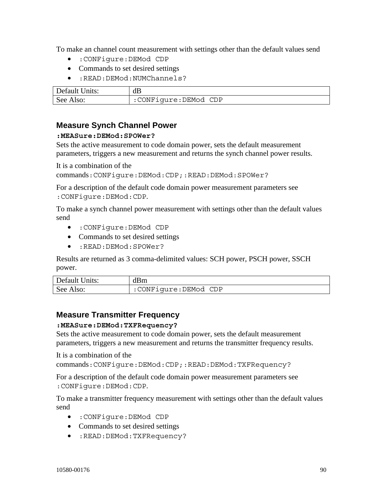To make an channel count measurement with settings other than the default values send

- :CONFigure:DEMod CDP
- Commands to set desired settings
- :READ:DEMod:NUMChannels?

| Default Units: | dB                   |
|----------------|----------------------|
| See Also:      | :CONFigure:DEMod CDP |

#### **Measure Synch Channel Power**

#### **:MEASure:DEMod:SPOWer?**

Sets the active measurement to code domain power, sets the default measurement parameters, triggers a new measurement and returns the synch channel power results.

It is a combination of the

commands:CONFigure:DEMod:CDP;:READ:DEMod:SPOWer?

For a description of the default code domain power measurement parameters see :CONFigure:DEMod:CDP.

To make a synch channel power measurement with settings other than the default values send

- :CONFigure:DEMod CDP
- Commands to set desired settings
- :READ:DEMod:SPOWer?

Results are returned as 3 comma-delimited values: SCH power, PSCH power, SSCH power.

| Default Units: | dBm                  |
|----------------|----------------------|
| See Also:      | :CONFiqure:DEMod CDP |

### **Measure Transmitter Frequency**

#### **:MEASure:DEMod:TXFRequency?**

Sets the active measurement to code domain power, sets the default measurement parameters, triggers a new measurement and returns the transmitter frequency results.

It is a combination of the

commands:CONFigure:DEMod:CDP;:READ:DEMod:TXFRequency?

For a description of the default code domain power measurement parameters see :CONFigure:DEMod:CDP.

To make a transmitter frequency measurement with settings other than the default values send

- :CONFigure:DEMod CDP
- Commands to set desired settings
- :READ:DEMod:TXFRequency?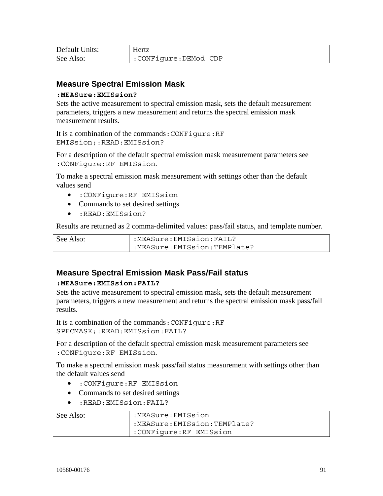| Default Units: | Hertz                |
|----------------|----------------------|
| See Also:      | :CONFigure:DEMod CDP |

### **Measure Spectral Emission Mask**

#### **:MEASure:EMISsion?**

Sets the active measurement to spectral emission mask, sets the default measurement parameters, triggers a new measurement and returns the spectral emission mask measurement results.

It is a combination of the commands:CONFigure:RF EMISsion;:READ:EMISsion?

For a description of the default spectral emission mask measurement parameters see :CONFigure:RF EMISsion.

To make a spectral emission mask measurement with settings other than the default values send

- :CONFigure:RF EMISsion
- Commands to set desired settings
- :READ:EMISsion?

Results are returned as 2 comma-delimited values: pass/fail status, and template number.

| See Also: | :MEASure:EMISsion:FAIL?     |
|-----------|-----------------------------|
|           | :MEASure:EMISsion:TEMPlate? |

### **Measure Spectral Emission Mask Pass/Fail status**

#### **:MEASure:EMISsion:FAIL?**

Sets the active measurement to spectral emission mask, sets the default measurement parameters, triggers a new measurement and returns the spectral emission mask pass/fail results.

It is a combination of the commands:CONFigure:RF SPECMASK;:READ:EMISsion:FAIL?

For a description of the default spectral emission mask measurement parameters see :CONFigure:RF EMISsion.

To make a spectral emission mask pass/fail status measurement with settings other than the default values send

- :CONFigure:RF EMISsion
- Commands to set desired settings
- :READ:EMISsion:FAIL?

| See Also: | :MEASure:EMISsion           |
|-----------|-----------------------------|
|           | :MEASure:EMISsion:TEMPlate? |
|           | : CONFiqure: RF EMISsion    |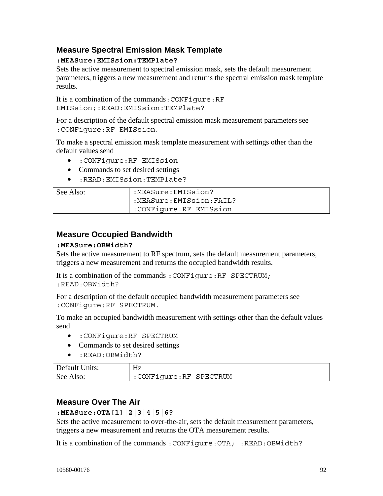### **Measure Spectral Emission Mask Template**

### **:MEASure:EMISsion:TEMPlate?**

Sets the active measurement to spectral emission mask, sets the default measurement parameters, triggers a new measurement and returns the spectral emission mask template results.

It is a combination of the commands:CONFigure:RF EMISsion;:READ:EMISsion:TEMPlate?

For a description of the default spectral emission mask measurement parameters see :CONFigure:RF EMISsion.

To make a spectral emission mask template measurement with settings other than the default values send

- :CONFigure:RF EMISsion
- Commands to set desired settings
- :READ:EMISsion:TEMPlate?

| See Also: | :MEASure:EMISsion?      |
|-----------|-------------------------|
|           | :MEASure:EMISsion:FAIL? |
|           | :CONFiqure:RF EMISsion  |

### **Measure Occupied Bandwidth**

#### **:MEASure:OBWidth?**

Sets the active measurement to RF spectrum, sets the default measurement parameters, triggers a new measurement and returns the occupied bandwidth results.

It is a combination of the commands :CONFigure:RF SPECTRUM; :READ:OBWidth?

For a description of the default occupied bandwidth measurement parameters see :CONFigure:RF SPECTRUM.

To make an occupied bandwidth measurement with settings other than the default values send

- :CONFigure:RF SPECTRUM
- Commands to set desired settings
- :READ:OBWidth?

| Default Units: | Нz                       |
|----------------|--------------------------|
| See Also:      | : CONFiqure: RF SPECTRUM |

### **Measure Over The Air**

#### **:MEASure:OTA[1]|2|3|4|5|6?**

Sets the active measurement to over-the-air, sets the default measurement parameters, triggers a new measurement and returns the OTA measurement results.

It is a combination of the commands: CONFigure: OTA; :READ: OBWidth?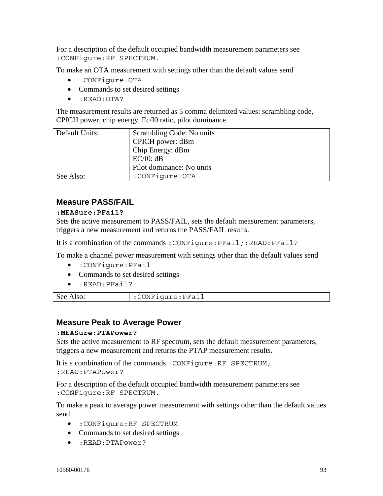For a description of the default occupied bandwidth measurement parameters see :CONFigure:RF SPECTRUM.

To make an OTA measurement with settings other than the default values send

- :CONFigure:OTA
- Commands to set desired settings
- :READ:OTA?

The measurement results are returned as 5 comma delimited values: scrambling code, CPICH power, chip energy, Ec/I0 ratio, pilot dominance.

| Default Units: | Scrambling Code: No units |
|----------------|---------------------------|
|                | CPICH power: dBm          |
|                | Chip Energy: dBm          |
|                | EC/IO: dB                 |
|                | Pilot dominance: No units |
| See Also:      | :CONFiqure:OTA            |

### **Measure PASS/FAIL**

#### **:MEASure:PFail?**

Sets the active measurement to PASS/FAIL, sets the default measurement parameters, triggers a new measurement and returns the PASS/FAIL results.

It is a combination of the commands : CONFigure: PFail;:READ: PFail?

To make a channel power measurement with settings other than the default values send

- :CONFigure:PFail
- Commands to set desired settings
- :READ:PFail?

| See Also: | :CONFigure:PFail |
|-----------|------------------|
|           |                  |

#### **Measure Peak to Average Power**

#### **:MEASure:PTAPower?**

Sets the active measurement to RF spectrum, sets the default measurement parameters, triggers a new measurement and returns the PTAP measurement results.

It is a combination of the commands :CONFigure:RF SPECTRUM; :READ:PTAPower?

For a description of the default occupied bandwidth measurement parameters see :CONFigure:RF SPECTRUM.

To make a peak to average power measurement with settings other than the default values send

- :CONFigure:RF SPECTRUM
- Commands to set desired settings
- :READ:PTAPower?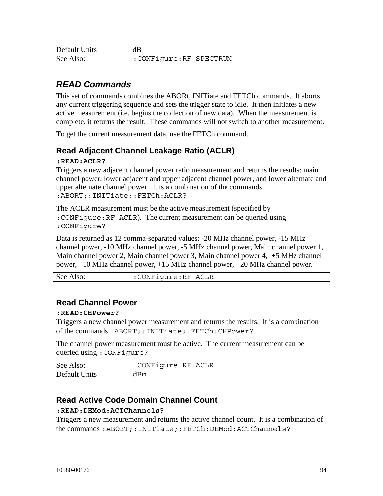| Default Units | dB                       |
|---------------|--------------------------|
| See Also:     | : CONFiqure: RF SPECTRUM |

## *READ Commands*

This set of commands combines the ABORt, INITiate and FETCh commands. It aborts any current triggering sequence and sets the trigger state to idle. It then initiates a new active measurement (i.e. begins the collection of new data). When the measurement is complete, it returns the result. These commands will not switch to another measurement.

To get the current measurement data, use the FETCh command.

### **Read Adjacent Channel Leakage Ratio (ACLR)**

#### **:READ:ACLR?**

Triggers a new adjacent channel power ratio measurement and returns the results: main channel power, lower adjacent and upper adjacent channel power, and lower alternate and upper alternate channel power. It is a combination of the commands :ABORT;:INITiate;:FETCh:ACLR?

The ACLR measurement must be the active measurement (specified by :CONFigure:RF ACLR). The current measurement can be queried using :CONFigure?

Data is returned as 12 comma-separated values: -20 MHz channel power, -15 MHz channel power, -10 MHz channel power, -5 MHz channel power, Main channel power 1, Main channel power 2, Main channel power 3, Main channel power 4, +5 MHz channel power, +10 MHz channel power, +15 MHz channel power, +20 MHz channel power.

| See Also: | : CONFigure: RF ACLR |
|-----------|----------------------|
|-----------|----------------------|

### **Read Channel Power**

#### **:READ:CHPower?**

Triggers a new channel power measurement and returns the results. It is a combination of the commands :ABORT;:INITiate;:FETCh:CHPower?

The channel power measurement must be active. The current measurement can be queried using :CONFigure?

| See Also:     | :CONFigure:RF ACLR |
|---------------|--------------------|
| Default Units | dBm                |

### **Read Active Code Domain Channel Count**

#### **:READ:DEMod:ACTChannels?**

Triggers a new measurement and returns the active channel count. It is a combination of the commands :ABORT;:INITiate;:FETCh:DEMod:ACTChannels?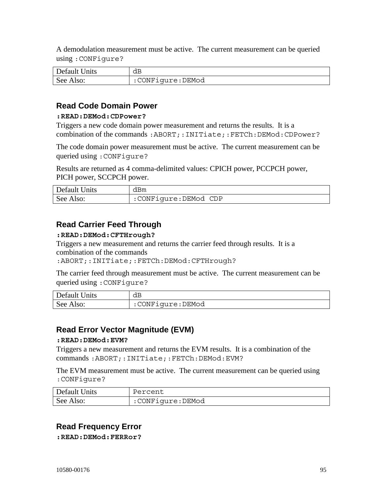A demodulation measurement must be active. The current measurement can be queried using :CONFigure?

| Default Units | dB               |
|---------------|------------------|
| See Also:     | :CONFigure:DEMod |

### **Read Code Domain Power**

#### **:READ:DEMod:CDPower?**

Triggers a new code domain power measurement and returns the results. It is a combination of the commands :ABORT;:INITiate;:FETCh:DEMod:CDPower?

The code domain power measurement must be active. The current measurement can be queried using :CONFigure?

Results are returned as 4 comma-delimited values: CPICH power, PCCPCH power, PICH power, SCCPCH power.

| Default Units | dBm                  |
|---------------|----------------------|
| See Also:     | :CONFigure:DEMod CDP |

### **Read Carrier Feed Through**

#### **:READ:DEMod:CFTHrough?**

Triggers a new measurement and returns the carrier feed through results. It is a combination of the commands

:ABORT;:INITiate;:FETCh:DEMod:CFTHrough?

The carrier feed through measurement must be active. The current measurement can be queried using :CONFigure?

| Default Units | dB               |
|---------------|------------------|
| See Also:     | :CONFiqure:DEMod |

### **Read Error Vector Magnitude (EVM)**

#### **:READ:DEMod:EVM?**

Triggers a new measurement and returns the EVM results. It is a combination of the commands :ABORT;:INITiate;:FETCh:DEMod:EVM?

The EVM measurement must be active. The current measurement can be queried using :CONFigure?

| Default Units | Percent          |
|---------------|------------------|
| See Also:     | :CONFiqure:DEMod |

### **Read Frequency Error**

**:READ:DEMod:FERRor?**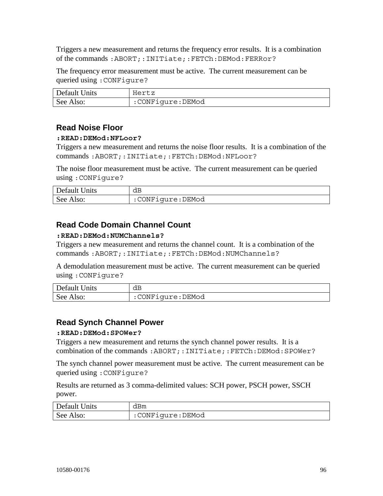Triggers a new measurement and returns the frequency error results. It is a combination of the commands :ABORT;:INITiate;:FETCh:DEMod:FERRor?

The frequency error measurement must be active. The current measurement can be queried using :CONFigure?

| Default Units | Hertz            |
|---------------|------------------|
| See Also:     | :CONFigure:DEMod |

### **Read Noise Floor**

#### **:READ:DEMod:NFLoor?**

Triggers a new measurement and returns the noise floor results. It is a combination of the commands :ABORT;:INITiate;:FETCh:DEMod:NFLoor?

The noise floor measurement must be active. The current measurement can be queried using :CONFigure?

| Default Units | dB               |
|---------------|------------------|
| See Also:     | :CONFigure:DEMod |

### **Read Code Domain Channel Count**

#### **:READ:DEMod:NUMChannels?**

Triggers a new measurement and returns the channel count. It is a combination of the commands :ABORT;:INITiate;:FETCh:DEMod:NUMChannels?

A demodulation measurement must be active. The current measurement can be queried using :CONFigure?

| Default Units | dB               |
|---------------|------------------|
| See Also:     | :CONFigure:DEMod |

### **Read Synch Channel Power**

#### **:READ:DEMod:SPOWer?**

Triggers a new measurement and returns the synch channel power results. It is a combination of the commands :ABORT;:INITiate;:FETCh:DEMod:SPOWer?

The synch channel power measurement must be active. The current measurement can be queried using :CONFigure?

Results are returned as 3 comma-delimited values: SCH power, PSCH power, SSCH power.

| Default Units | dBm              |
|---------------|------------------|
| See Also:     | :CONFigure:DEMod |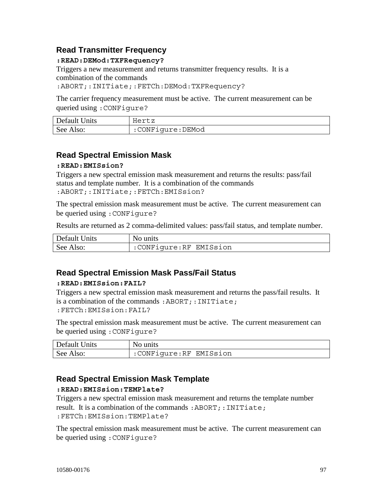### **Read Transmitter Frequency**

#### **:READ:DEMod:TXFRequency?**

Triggers a new measurement and returns transmitter frequency results. It is a combination of the commands

:ABORT;:INITiate;:FETCh:DEMod:TXFRequency?

The carrier frequency measurement must be active. The current measurement can be queried using :CONFigure?

| Default Units | Hertz            |
|---------------|------------------|
| See Also:     | :CONFigure:DEMod |

### **Read Spectral Emission Mask**

#### **:READ:EMISsion?**

Triggers a new spectral emission mask measurement and returns the results: pass/fail status and template number. It is a combination of the commands :ABORT;:INITiate;:FETCh:EMISsion?

The spectral emission mask measurement must be active. The current measurement can be queried using :CONFigure?

Results are returned as 2 comma-delimited values: pass/fail status, and template number.

| Default Units | No units               |
|---------------|------------------------|
| See Also:     | :CONFigure:RF EMISsion |

### **Read Spectral Emission Mask Pass/Fail Status**

#### **:READ:EMISsion:FAIL?**

Triggers a new spectral emission mask measurement and returns the pass/fail results. It is a combination of the commands :ABORT;:INITiate; :FETCh:EMISsion:FAIL?

The spectral emission mask measurement must be active. The current measurement can be queried using :CONFigure?

| Default Units | No units               |
|---------------|------------------------|
| See Also:     | :CONFigure:RF EMISsion |

### **Read Spectral Emission Mask Template**

#### **:READ:EMISsion:TEMPlate?**

Triggers a new spectral emission mask measurement and returns the template number result. It is a combination of the commands: ABORT;: INITiate; :FETCh:EMISsion:TEMPlate?

The spectral emission mask measurement must be active. The current measurement can be queried using :CONFigure?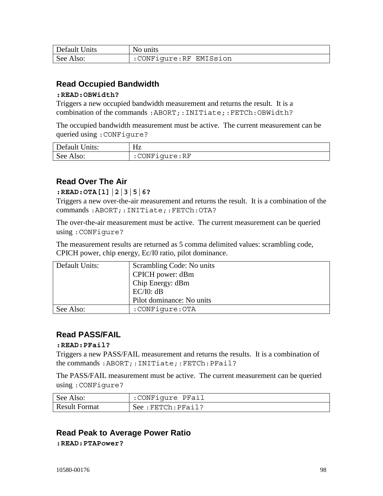| Default Units | No units               |
|---------------|------------------------|
| See Also:     | :CONFigure:RF EMISsion |

### **Read Occupied Bandwidth**

#### **:READ:OBWidth?**

Triggers a new occupied bandwidth measurement and returns the result. It is a combination of the commands :ABORT;:INITiate;:FETCh:OBWidth?

The occupied bandwidth measurement must be active. The current measurement can be queried using :CONFigure?

| Default Units: | Hz            |
|----------------|---------------|
| See Also:      | :CONFigure:RF |

### **Read Over The Air**

#### **:READ:OTA[1]|2|3|5|6?**

Triggers a new over-the-air measurement and returns the result. It is a combination of the commands :ABORT;:INITiate;:FETCh:OTA?

The over-the-air measurement must be active. The current measurement can be queried using :CONFigure?

The measurement results are returned as 5 comma delimited values: scrambling code, CPICH power, chip energy, Ec/I0 ratio, pilot dominance.

| Default Units: | Scrambling Code: No units |
|----------------|---------------------------|
|                | CPICH power: dBm          |
|                | Chip Energy: dBm          |
|                | EC/IO: dB                 |
|                | Pilot dominance: No units |
| See Also:      | :CONFiqure:OTA            |

### **Read PASS/FAIL**

#### **:READ:PFail?**

Triggers a new PASS/FAIL measurement and returns the results. It is a combination of the commands :ABORT;:INITiate;:FETCh:PFail?

The PASS/FAIL measurement must be active. The current measurement can be queried using :CONFigure?

| See Also:            | :CONFigure PFail       |
|----------------------|------------------------|
| <b>Result Format</b> | $See:$ FETCh: $PFAil?$ |

### **Read Peak to Average Power Ratio**

**:READ:PTAPower?**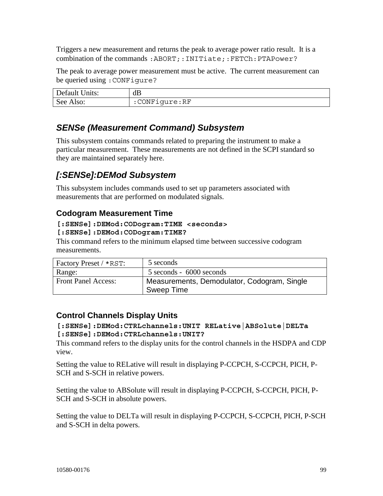Triggers a new measurement and returns the peak to average power ratio result. It is a combination of the commands: ABORT;: INITiate;: FETCh: PTAPower?

The peak to average power measurement must be active. The current measurement can be queried using :CONFigure?

| Default Units: | dB            |
|----------------|---------------|
| See Also:      | :CONFiqure:RF |

## *SENSe (Measurement Command) Subsystem*

This subsystem contains commands related to preparing the instrument to make a particular measurement. These measurements are not defined in the SCPI standard so they are maintained separately here.

## *[:SENSe]:DEMod Subsystem*

This subsystem includes commands used to set up parameters associated with measurements that are performed on modulated signals.

### **Codogram Measurement Time**

#### **[:SENSe]:DEMod:CODogram:TIME <seconds>**

#### **[:SENSe]:DEMod:CODogram:TIME?**

This command refers to the minimum elapsed time between successive codogram measurements.

| Factory Preset / *RST:     | 5 seconds                                                 |
|----------------------------|-----------------------------------------------------------|
| Range:                     | 5 seconds - 6000 seconds                                  |
| <b>Front Panel Access:</b> | Measurements, Demodulator, Codogram, Single<br>Sweep Time |

### **Control Channels Display Units**

#### **[:SENSe]:DEMod:CTRLchannels:UNIT RELative|ABSolute|DELTa [:SENSe]:DEMod:CTRLchannels:UNIT?**

This command refers to the display units for the control channels in the HSDPA and CDP view.

Setting the value to RELative will result in displaying P-CCPCH, S-CCPCH, PICH, P-SCH and S-SCH in relative powers.

Setting the value to ABSolute will result in displaying P-CCPCH, S-CCPCH, PICH, P-SCH and S-SCH in absolute powers.

Setting the value to DELTa will result in displaying P-CCPCH, S-CCPCH, PICH, P-SCH and S-SCH in delta powers.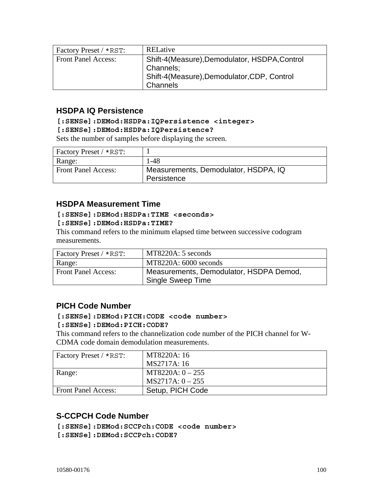| Factory Preset / *RST:     | RELative                                                                                                              |
|----------------------------|-----------------------------------------------------------------------------------------------------------------------|
| <b>Front Panel Access:</b> | Shift-4(Measure), Demodulator, HSDPA, Control<br>Channels;<br>Shift-4(Measure), Demodulator, CDP, Control<br>Channels |

### **HSDPA IQ Persistence**

#### **[:SENSe]:DEMod:HSDPa:IQPersistence <integer>**

#### **[:SENSe]:DEMod:HSDPa:IQPersistence?**

Sets the number of samples before displaying the screen.

| Factory Preset / *RST:     |                                                     |
|----------------------------|-----------------------------------------------------|
| Range:                     | 1-48                                                |
| <b>Front Panel Access:</b> | Measurements, Demodulator, HSDPA, IQ<br>Persistence |

### **HSDPA Measurement Time**

#### **[:SENSe]:DEMod:HSDPa:TIME <seconds>**

#### **[:SENSe]:DEMod:HSDPa:TIME?**

This command refers to the minimum elapsed time between successive codogram measurements.

| Factory Preset / *RST:     | MT8220A: 5 seconds                                           |
|----------------------------|--------------------------------------------------------------|
| Range:                     | MT8220A: 6000 seconds                                        |
| <b>Front Panel Access:</b> | Measurements, Demodulator, HSDPA Demod,<br>Single Sweep Time |

### **PICH Code Number**

#### **[:SENSe]:DEMod:PICH:CODE <code number>**

#### **[:SENSe]:DEMod:PICH:CODE?**

This command refers to the channelization code number of the PICH channel for W-CDMA code domain demodulation measurements.

| Factory Preset / *RST:     | MT8220A: 16        |
|----------------------------|--------------------|
|                            | MS2717A: 16        |
| Range:                     | $MT8220A: 0 - 255$ |
|                            | $MS2717A: 0 - 255$ |
| <b>Front Panel Access:</b> | Setup, PICH Code   |

### **S-CCPCH Code Number**

**[:SENSe]:DEMod:SCCPch:CODE <code number>** 

**[:SENSe]:DEMod:SCCPch:CODE?**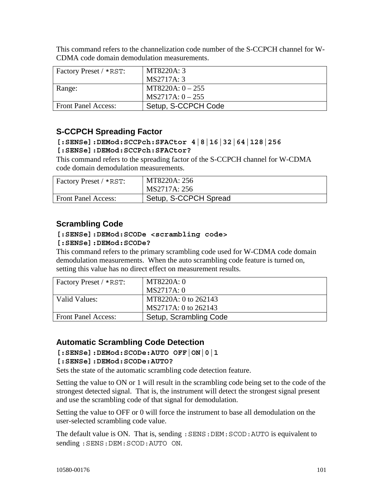| Factory Preset / *RST:     | MT8220A: 3          |
|----------------------------|---------------------|
|                            | MS2717A: 3          |
| Range:                     | $MT8220A: 0-255$    |
|                            | $MS2717A: 0-255$    |
| <b>Front Panel Access:</b> | Setup, S-CCPCH Code |

This command refers to the channelization code number of the S-CCPCH channel for W-CDMA code domain demodulation measurements.

### **S-CCPCH Spreading Factor**

**[:SENSe]:DEMod:SCCPch:SFACtor 4|8|16|32|64|128|256** 

#### **[:SENSe]:DEMod:SCCPch:SFACtor?**

This command refers to the spreading factor of the S-CCPCH channel for W-CDMA code domain demodulation measurements.

| Factory Preset / *RST:     | MT8220A: 256<br>MS2717A: 256 |
|----------------------------|------------------------------|
| <b>Front Panel Access:</b> | Setup, S-CCPCH Spread        |

### **Scrambling Code**

### **[:SENSe]:DEMod:SCODe <scrambling code>**

#### **[:SENSe]:DEMod:SCODe?**

This command refers to the primary scrambling code used for W-CDMA code domain demodulation measurements. When the auto scrambling code feature is turned on, setting this value has no direct effect on measurement results.

| Factory Preset / *RST:     | MT8220A: 0             |
|----------------------------|------------------------|
|                            | MS2717A: 0             |
| Valid Values:              | MT8220A: 0 to 262143   |
|                            | MS2717A: 0 to 262143   |
| <b>Front Panel Access:</b> | Setup, Scrambling Code |

### **Automatic Scrambling Code Detection**

**[:SENSe]:DEMod:SCODe:AUTO OFF|ON|0|1** 

#### **[:SENSe]:DEMod:SCODe:AUTO?**

Sets the state of the automatic scrambling code detection feature.

Setting the value to ON or 1 will result in the scrambling code being set to the code of the strongest detected signal. That is, the instrument will detect the strongest signal present and use the scrambling code of that signal for demodulation.

Setting the value to OFF or 0 will force the instrument to base all demodulation on the user-selected scrambling code value.

The default value is ON. That is, sending: SENS: DEM: SCOD: AUTO is equivalent to sending :SENS:DEM:SCOD:AUTO ON.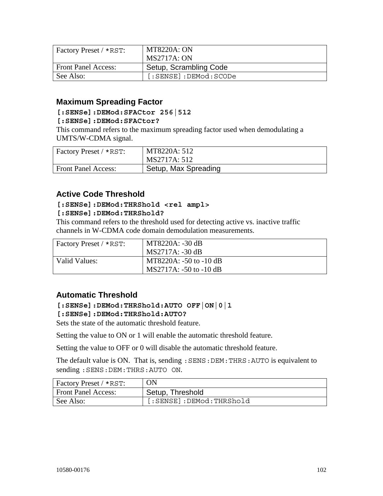| Factory Preset / *RST:     | <b>MT8220A: ON</b>        |
|----------------------------|---------------------------|
|                            | <b>MS2717A: ON</b>        |
| <b>Front Panel Access:</b> | Setup, Scrambling Code    |
| See Also:                  | $[:SENSE]:$ $DEMod:SCODe$ |

### **Maximum Spreading Factor**

#### **[:SENSe]:DEMod:SFACtor 256|512**

#### **[:SENSe]:DEMod:SFACtor?**

This command refers to the maximum spreading factor used when demodulating a UMTS/W-CDMA signal.

| Factory Preset / *RST:     | MT8220A: 512         |
|----------------------------|----------------------|
|                            | MS2717A: 512         |
| <b>Front Panel Access:</b> | Setup, Max Spreading |

### **Active Code Threshold**

#### **[:SENSe]:DEMod:THRShold <rel ampl>**

#### **[:SENSe]:DEMod:THRShold?**

This command refers to the threshold used for detecting active vs. inactive traffic channels in W-CDMA code domain demodulation measurements.

| $\vert$ Factory Preset / *RST: | MT8220A: -30 dB            |
|--------------------------------|----------------------------|
|                                | MS2717A: -30 dB            |
| Valid Values:                  | MT8220A: $-50$ to $-10$ dB |
|                                | $MS2717A: -50$ to $-10$ dB |

### **Automatic Threshold**

#### **[:SENSe]:DEMod:THRShold:AUTO OFF|ON|0|1**

#### **[:SENSe]:DEMod:THRShold:AUTO?**

Sets the state of the automatic threshold feature.

Setting the value to ON or 1 will enable the automatic threshold feature.

Setting the value to OFF or 0 will disable the automatic threshold feature.

The default value is ON. That is, sending: SENS: DEM: THRS: AUTO is equivalent to sending :SENS:DEM:THRS:AUTO ON.

| Factory Preset / *RST:     | ON                      |
|----------------------------|-------------------------|
| <b>Front Panel Access:</b> | Setup, Threshold        |
| See Also:                  | [:SENSE]:DEMod:THRShold |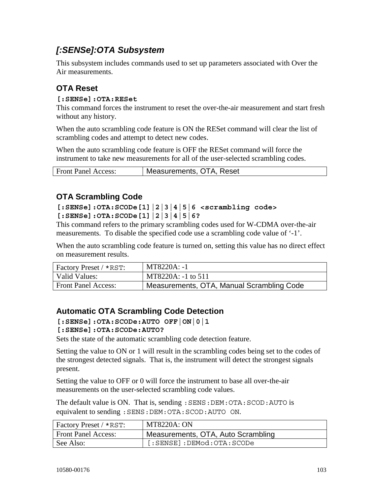## *[:SENSe]:OTA Subsystem*

This subsystem includes commands used to set up parameters associated with Over the Air measurements.

### **OTA Reset**

#### **[:SENSe]:OTA:RESet**

This command forces the instrument to reset the over-the-air measurement and start fresh without any history.

When the auto scrambling code feature is ON the RESet command will clear the list of scrambling codes and attempt to detect new codes.

When the auto scrambling code feature is OFF the RESet command will force the instrument to take new measurements for all of the user-selected scrambling codes.

|  | <b>Front Panel Access:</b> | Measurements, OTA, Reset |
|--|----------------------------|--------------------------|
|--|----------------------------|--------------------------|

### **OTA Scrambling Code**

**[:SENSe]:OTA:SCODe[1]|2|3|4|5|6 <scrambling code> [:SENSe]:OTA:SCODe[1]|2|3|4|5|6?** 

This command refers to the primary scrambling codes used for W-CDMA over-the-air measurements. To disable the specified code use a scrambling code value of '-1'.

When the auto scrambling code feature is turned on, setting this value has no direct effect on measurement results.

| $\vert$ Factory Preset / *RST: | MT8220A: -1                               |
|--------------------------------|-------------------------------------------|
| Valid Values:                  | MT8220A: -1 to 511                        |
| <b>Front Panel Access:</b>     | Measurements, OTA, Manual Scrambling Code |

### **Automatic OTA Scrambling Code Detection**

**[:SENSe]:OTA:SCODe:AUTO OFF|ON|0|1** 

#### **[:SENSe]:OTA:SCODe:AUTO?**

Sets the state of the automatic scrambling code detection feature.

Setting the value to ON or 1 will result in the scrambling codes being set to the codes of the strongest detected signals. That is, the instrument will detect the strongest signals present.

Setting the value to OFF or 0 will force the instrument to base all over-the-air measurements on the user-selected scrambling code values.

The default value is ON. That is, sending : SENS: DEM: OTA: SCOD: AUTO is equivalent to sending :SENS:DEM:OTA:SCOD:AUTO ON.

| Factory Preset / *RST:     | <b>MT8220A: ON</b>                 |
|----------------------------|------------------------------------|
| <b>Front Panel Access:</b> | Measurements, OTA, Auto Scrambling |
| See Also:                  | $[:SENSE]:$ $DEMod:OTA:SCODe$      |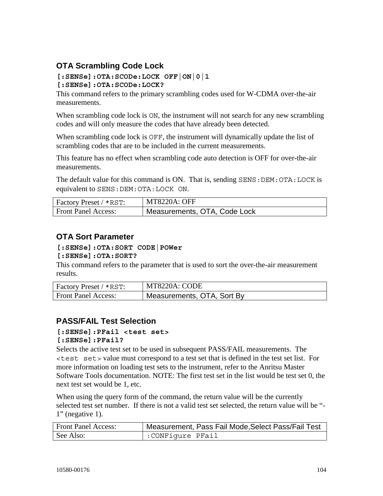### **OTA Scrambling Code Lock**

# **[:SENSe]:OTA:SCODe:LOCK OFF|ON|0|1**

**[:SENSe]:OTA:SCODe:LOCK?** 

This command refers to the primary scrambling codes used for W-CDMA over-the-air measurements.

When scrambling code lock is  $ON$ , the instrument will not search for any new scrambling codes and will only measure the codes that have already been detected.

When scrambling code lock is OFF, the instrument will dynamically update the list of scrambling codes that are to be included in the current measurements.

This feature has no effect when scrambling code auto detection is OFF for over-the-air measurements.

The default value for this command is ON. That is, sending SENS:DEM:OTA:LOCK is equivalent to SENS:DEM:OTA:LOCK ON.

| Factory Preset / *RST:     | <b>MT8220A: OFF</b>          |
|----------------------------|------------------------------|
| <b>Front Panel Access:</b> | Measurements, OTA, Code Lock |

### **OTA Sort Parameter**

#### **[:SENSe]:OTA:SORT CODE|POWer**

#### **[:SENSe]:OTA:SORT?**

This command refers to the parameter that is used to sort the over-the-air measurement results.

| Factory Preset / *RST:     | MT8220A: CODE              |
|----------------------------|----------------------------|
| <b>Front Panel Access:</b> | Measurements, OTA, Sort By |

### **PASS/FAIL Test Selection**

#### **[:SENSe]:PFail <test set> [:SENSe]:PFail?**

Selects the active test set to be used in subsequent PASS/FAIL measurements. The <test set> value must correspond to a test set that is defined in the test set list. For more information on loading test sets to the instrument, refer to the Anritsu Master Software Tools documentation. NOTE: The first test set in the list would be test set 0, the next test set would be 1, etc.

When using the query form of the command, the return value will be the currently selected test set number. If there is not a valid test set selected, the return value will be "-  $1"$  (negative 1).

| <b>Front Panel Access:</b> | ' Measurement, Pass Fail Mode,Select Pass/Fail Test |
|----------------------------|-----------------------------------------------------|
| See Also:                  | :CONFigure PFail                                    |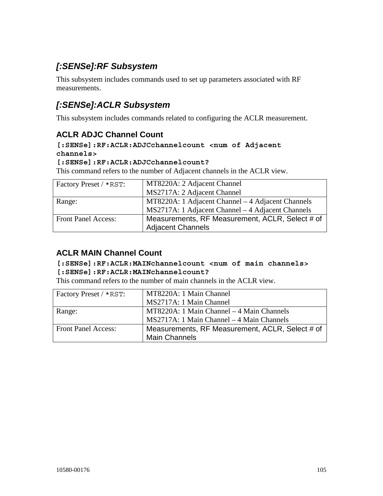# *[:SENSe]:RF Subsystem*

This subsystem includes commands used to set up parameters associated with RF measurements.

## *[:SENSe]:ACLR Subsystem*

This subsystem includes commands related to configuring the ACLR measurement.

### **ACLR ADJC Channel Count**

#### **[:SENSe]:RF:ACLR:ADJCchannelcount <num of Adjacent channels>**

#### **[:SENSe]:RF:ACLR:ADJCchannelcount?**

This command refers to the number of Adjacent channels in the ACLR view.

| Factory Preset / *RST:     | MT8220A: 2 Adjacent Channel                       |
|----------------------------|---------------------------------------------------|
|                            | MS2717A: 2 Adjacent Channel                       |
| Range:                     | MT8220A: 1 Adjacent Channel – 4 Adjacent Channels |
|                            | MS2717A: 1 Adjacent Channel – 4 Adjacent Channels |
| <b>Front Panel Access:</b> | Measurements, RF Measurement, ACLR, Select # of   |
|                            | <b>Adjacent Channels</b>                          |

### **ACLR MAIN Channel Count**

#### **[:SENSe]:RF:ACLR:MAINchannelcount <num of main channels> [:SENSe]:RF:ACLR:MAINchannelcount?**

This command refers to the number of main channels in the ACLR view.

| Factory Preset / *RST:     | MT8220A: 1 Main Channel                         |
|----------------------------|-------------------------------------------------|
|                            | MS2717A: 1 Main Channel                         |
| Range:                     | MT8220A: 1 Main Channel – 4 Main Channels       |
|                            | MS2717A: 1 Main Channel - 4 Main Channels       |
| <b>Front Panel Access:</b> | Measurements, RF Measurement, ACLR, Select # of |
|                            | <b>Main Channels</b>                            |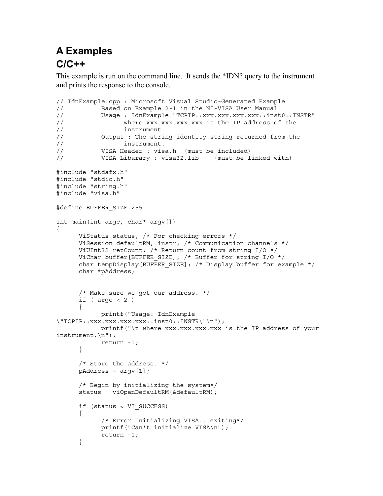# **A Examples C/C++**

This example is run on the command line. It sends the \*IDN? query to the instrument and prints the response to the console.

```
// IdnExample.cpp : Microsoft Visual Studio-Generated Example 
// Based on Example 2-1 in the NI-VISA User Manual<br>//               Usage : IdnExample "TCPIP::xxx.xxx.xxx.xxx::ins
            Usage : IdnExample "TCPIP::xxx.xxx.xxx.xxx::inst0::INSTR"
// where xxx.xxx.xxx.xxx is the IP address of the 
// instrument. 
// Output : The string identity string returned from the 
// instrument. 
// VISA Header : visa.h (must be included) 
// VISA Libarary : visa32.lib (must be linked with) 
#include "stdafx.h" 
#include "stdio.h" 
#include "string.h" 
#include "visa.h" 
#define BUFFER_SIZE 255 
int main(int argc, char* argv[]) 
\{ ViStatus status; /* For checking errors */ 
       ViSession defaultRM, instr; /* Communication channels */ 
       ViUInt32 retCount; /* Return count from string I/O */ 
      ViChar buffer[BUFFER SIZE]; /* Buffer for string I/O */
      char tempDisplay[BUFFER SIZE]; /* Display buffer for example */
       char *pAddress; 
       /* Make sure we got our address. */ 
      if ( \text{argc} < 2 )
       { 
             printf("Usage: IdnExample 
\Upsilon"TCPIP::xxx.xxx.xxx.xxx::inst0::INSTR\"\n");
            printf("\t where xxx.xxx.xxx.xxx is the IP address of your
instrument.\n"); 
             return -1; 
       } 
       /* Store the address. */ 
       pAddress = argv[1]; 
       /* Begin by initializing the system*/ 
       status = viOpenDefaultRM(&defaultRM); 
       if (status < VI_SUCCESS) 
       { 
             /* Error Initializing VISA...exiting*/ 
             printf("Can't initialize VISA\n"); 
             return -1; 
       }
```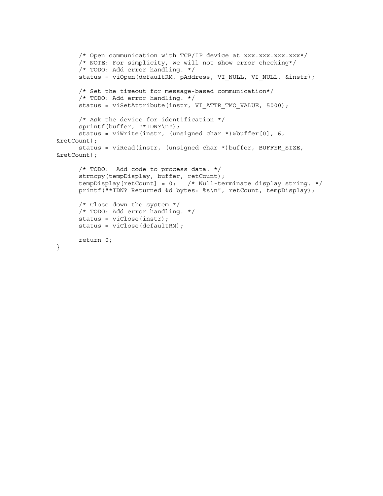```
/* Open communication with TCP/IP device at xxx.xxx.xxx.xxx*/
       /* NOTE: For simplicity, we will not show error checking*/ 
       /* TODO: Add error handling. */ 
      status = viOpen(defaultRM, pAddress, VI_NULL, VI_NULL, &instr);
       /* Set the timeout for message-based communication*/ 
       /* TODO: Add error handling. */ 
      status = viSetAttribute(instr, VI ATTR TMO VALUE, 5000);
       /* Ask the device for identification */ 
      sprintf(buffer, "*IDN?\n");
       status = viWrite(instr, (unsigned char *)&buffer[0], 6, 
&retCount); 
       status = viRead(instr, (unsigned char *)buffer, BUFFER_SIZE, 
&retCount); 
       /* TODO: Add code to process data. */ 
       strncpy(tempDisplay, buffer, retCount); 
      tempDisplay[retCount] = 0; /* Null-terminate display string. */
       printf("*IDN? Returned %d bytes: %s\n", retCount, tempDisplay); 
       /* Close down the system */ 
       /* TODO: Add error handling. */ 
       status = viClose(instr); 
       status = viClose(defaultRM); 
      return 0;
```

```
}
```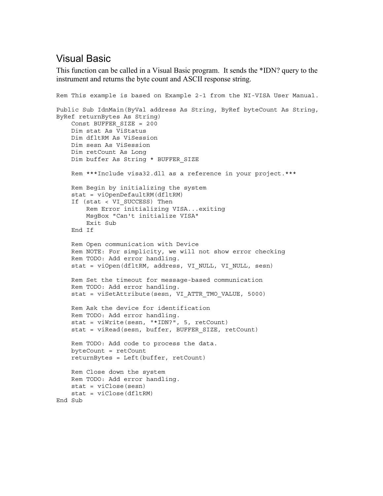## Visual Basic

This function can be called in a Visual Basic program. It sends the \*IDN? query to the instrument and returns the byte count and ASCII response string.

```
Rem This example is based on Example 2-1 from the NI-VISA User Manual. 
Public Sub IdnMain(ByVal address As String, ByRef byteCount As String, 
ByRef returnBytes As String) 
     Const BUFFER_SIZE = 200 
    Dim stat As ViStatus 
    Dim dfltRM As ViSession 
     Dim sesn As ViSession 
     Dim retCount As Long 
    Dim buffer As String * BUFFER_SIZE 
     Rem ***Include visa32.dll as a reference in your project.*** 
     Rem Begin by initializing the system 
     stat = viOpenDefaultRM(dfltRM) 
     If (stat < VI_SUCCESS) Then 
         Rem Error initializing VISA...exiting 
         MsgBox "Can't initialize VISA" 
         Exit Sub 
     End If 
     Rem Open communication with Device 
     Rem NOTE: For simplicity, we will not show error checking 
     Rem TODO: Add error handling. 
     stat = viOpen(dfltRM, address, VI_NULL, VI_NULL, sesn) 
     Rem Set the timeout for message-based communication 
     Rem TODO: Add error handling. 
     stat = viSetAttribute(sesn, VI_ATTR_TMO_VALUE, 5000) 
    Rem Ask the device for identification 
     Rem TODO: Add error handling. 
     stat = viWrite(sesn, "*IDN?", 5, retCount) 
     stat = viRead(sesn, buffer, BUFFER_SIZE, retCount) 
     Rem TODO: Add code to process the data. 
    byteCount = retCount 
     returnBytes = Left(buffer, retCount) 
    Rem Close down the system 
    Rem TODO: Add error handling. 
     stat = viClose(sesn) 
     stat = viClose(dfltRM) 
End Sub
```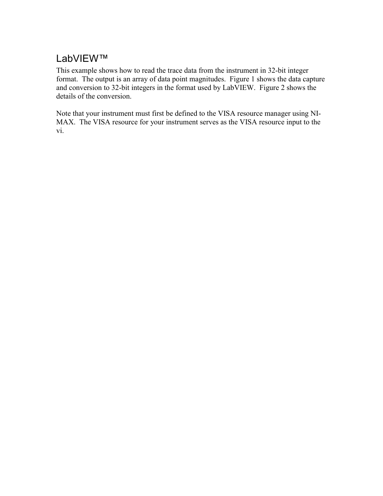## LabVIEW™

This example shows how to read the trace data from the instrument in 32-bit integer format. The output is an array of data point magnitudes. Figure 1 shows the data capture and conversion to 32-bit integers in the format used by LabVIEW. Figure 2 shows the details of the conversion.

Note that your instrument must first be defined to the VISA resource manager using NI-MAX. The VISA resource for your instrument serves as the VISA resource input to the vi.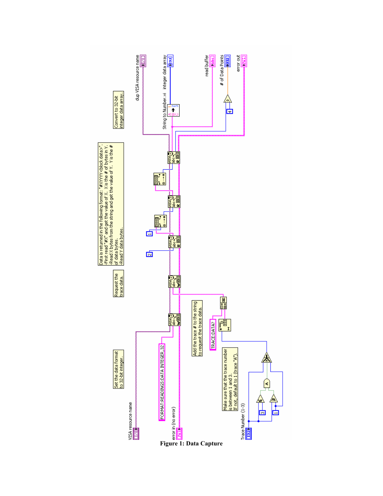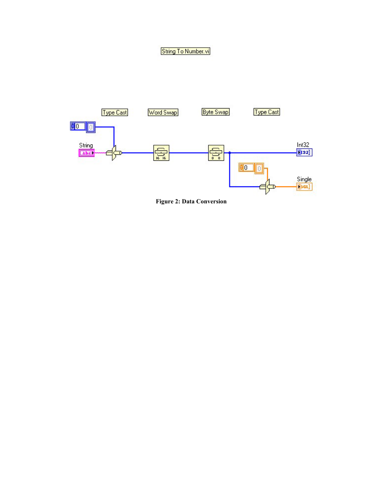## String To Number.vi